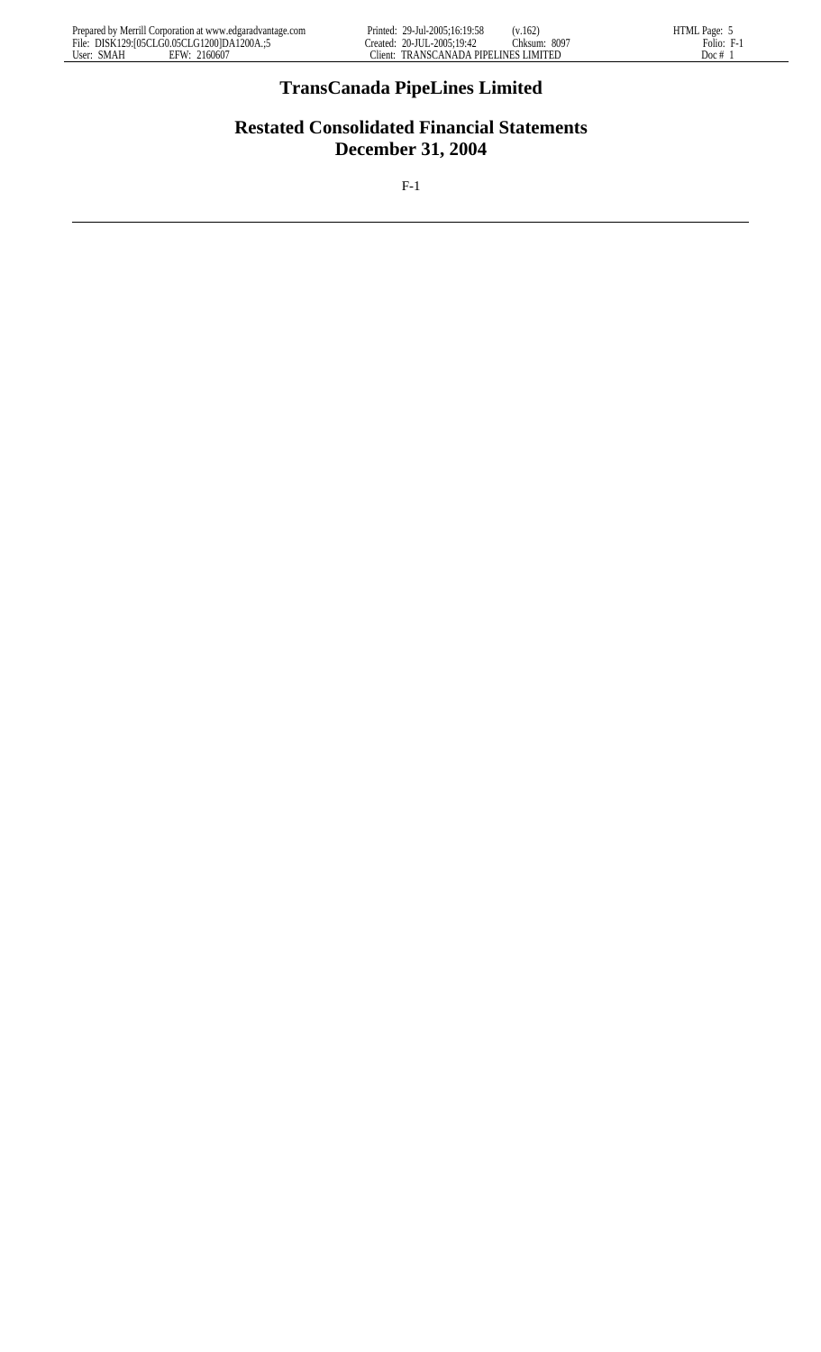# **TransCanada PipeLines Limited**

# **Restated Consolidated Financial Statements December 31, 2004**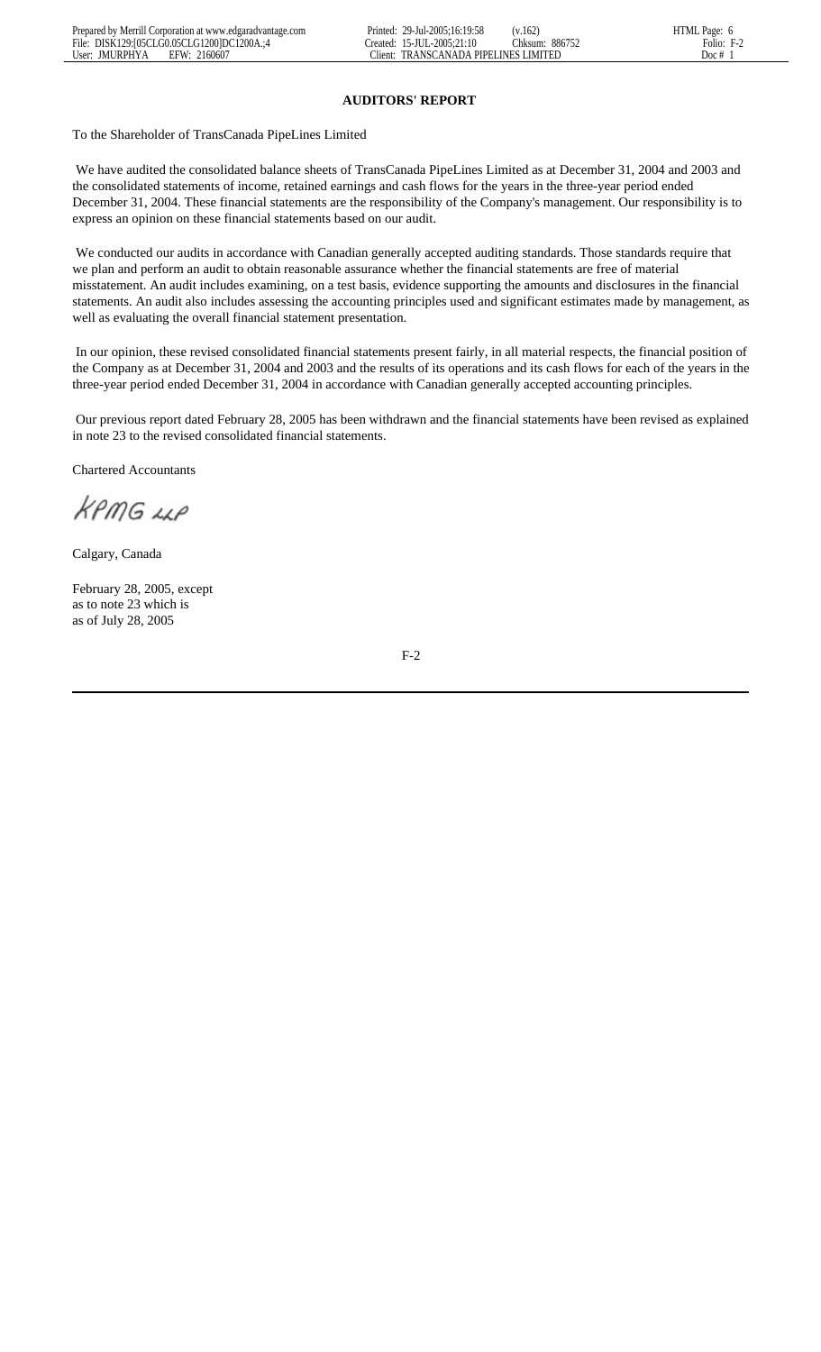#### **AUDITORS' REPORT**

To the Shareholder of TransCanada PipeLines Limited

 We have audited the consolidated balance sheets of TransCanada PipeLines Limited as at December 31, 2004 and 2003 and the consolidated statements of income, retained earnings and cash flows for the years in the three-year period ended December 31, 2004. These financial statements are the responsibility of the Company's management. Our responsibility is to express an opinion on these financial statements based on our audit.

We conducted our audits in accordance with Canadian generally accepted auditing standards. Those standards require that we plan and perform an audit to obtain reasonable assurance whether the financial statements are free of material misstatement. An audit includes examining, on a test basis, evidence supporting the amounts and disclosures in the financial statements. An audit also includes assessing the accounting principles used and significant estimates made by management, as well as evaluating the overall financial statement presentation.

 In our opinion, these revised consolidated financial statements present fairly, in all material respects, the financial position of the Company as at December 31, 2004 and 2003 and the results of its operations and its cash flows for each of the years in the three-year period ended December 31, 2004 in accordance with Canadian generally accepted accounting principles.

 Our previous report dated February 28, 2005 has been withdrawn and the financial statements have been revised as explained in note 23 to the revised consolidated financial statements.

Chartered Accountants

KPMG LLP

Calgary, Canada

February 28, 2005, except as to note 23 which is as of July 28, 2005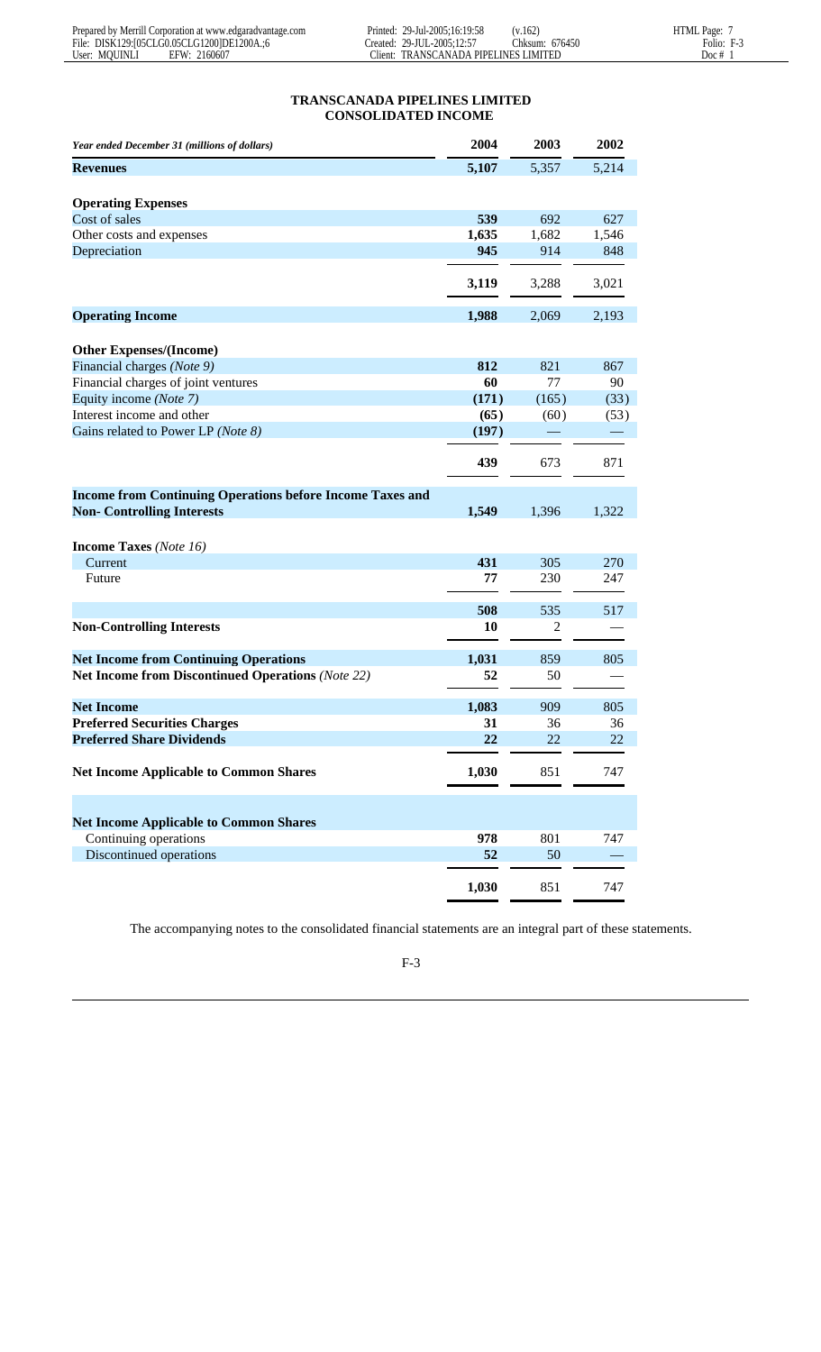# **TRANSCANADA PIPELINES LIMITED CONSOLIDATED INCOME**

| Year ended December 31 (millions of dollars)                     | 2004  | 2003  | 2002  |
|------------------------------------------------------------------|-------|-------|-------|
| <b>Revenues</b>                                                  | 5,107 | 5,357 | 5,214 |
|                                                                  |       |       |       |
| <b>Operating Expenses</b>                                        |       |       |       |
| Cost of sales                                                    | 539   | 692   | 627   |
| Other costs and expenses                                         | 1,635 | 1,682 | 1,546 |
| Depreciation                                                     | 945   | 914   | 848   |
|                                                                  | 3,119 | 3,288 | 3,021 |
| <b>Operating Income</b>                                          | 1,988 | 2,069 | 2,193 |
| <b>Other Expenses/(Income)</b>                                   |       |       |       |
| Financial charges (Note 9)                                       | 812   | 821   | 867   |
| Financial charges of joint ventures                              | 60    | 77    | 90    |
| Equity income (Note 7)                                           | (171) | (165) | (33)  |
| Interest income and other                                        | (65)  | (60)  | (53)  |
| Gains related to Power LP (Note 8)                               | (197) |       |       |
|                                                                  |       |       |       |
|                                                                  | 439   | 673   | 871   |
| <b>Income from Continuing Operations before Income Taxes and</b> |       |       |       |
| <b>Non- Controlling Interests</b>                                | 1,549 | 1,396 | 1,322 |
|                                                                  |       |       |       |
| <b>Income Taxes</b> (Note 16)                                    |       |       |       |
| Current                                                          | 431   | 305   | 270   |
| Future                                                           | 77    | 230   | 247   |
|                                                                  |       |       |       |
|                                                                  | 508   | 535   | 517   |
| <b>Non-Controlling Interests</b>                                 | 10    | 2     |       |
| <b>Net Income from Continuing Operations</b>                     | 1,031 | 859   | 805   |
| <b>Net Income from Discontinued Operations (Note 22)</b>         | 52    | 50    |       |
|                                                                  |       |       |       |
| <b>Net Income</b>                                                | 1,083 | 909   | 805   |
| <b>Preferred Securities Charges</b>                              | 31    | 36    | 36    |
| <b>Preferred Share Dividends</b>                                 | 22    | 22    | 22    |
| <b>Net Income Applicable to Common Shares</b>                    | 1,030 | 851   | 747   |
|                                                                  |       |       |       |
| <b>Net Income Applicable to Common Shares</b>                    |       |       |       |
| Continuing operations                                            | 978   | 801   | 747   |
| Discontinued operations                                          | 52    | 50    |       |
|                                                                  | 1,030 | 851   | 747   |
|                                                                  |       |       |       |

The accompanying notes to the consolidated financial statements are an integral part of these statements.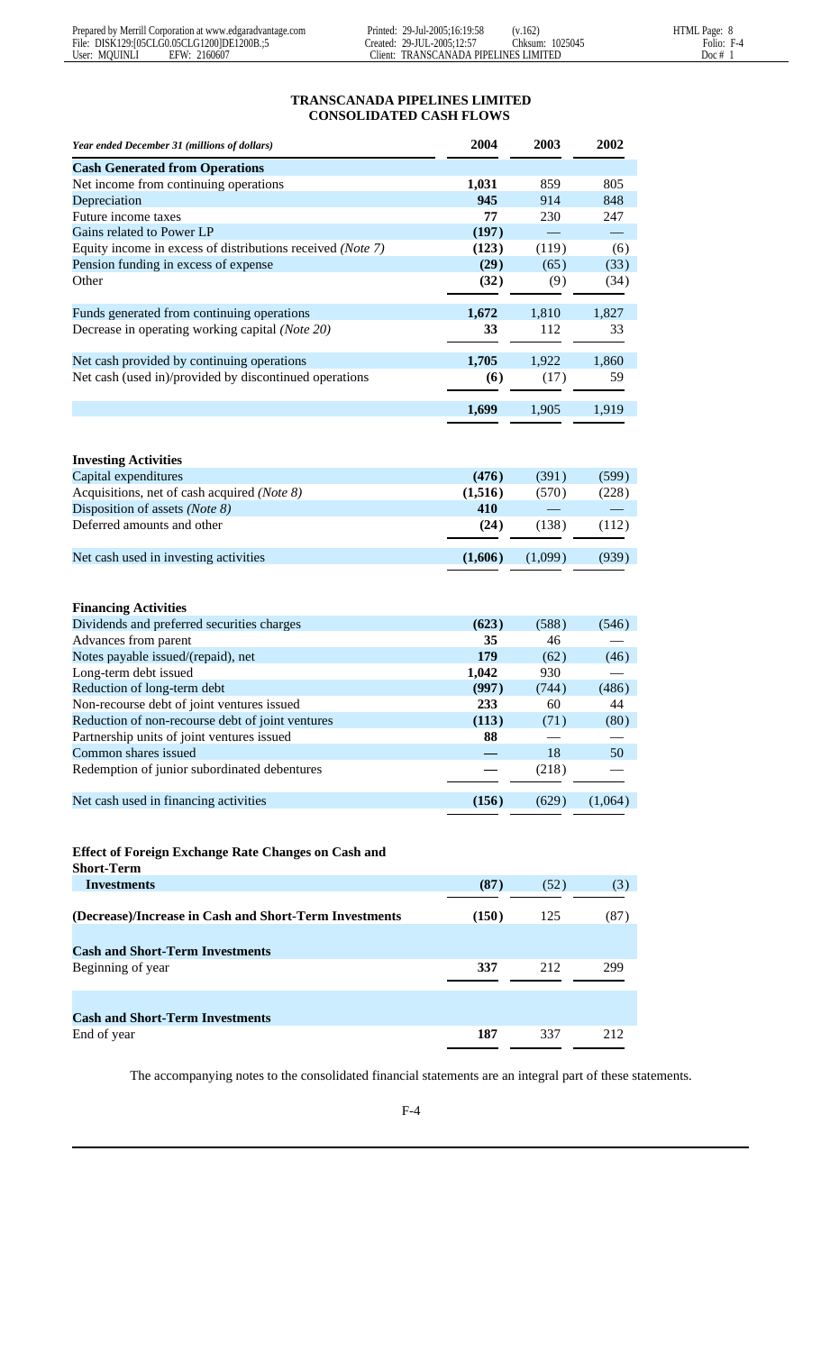# **TRANSCANADA PIPELINES LIMITED CONSOLIDATED CASH FLOWS**

| Year ended December 31 (millions of dollars)                                                   | 2004        | 2003    | 2002    |
|------------------------------------------------------------------------------------------------|-------------|---------|---------|
| <b>Cash Generated from Operations</b>                                                          |             |         |         |
| Net income from continuing operations                                                          | 1,031       | 859     | 805     |
| Depreciation                                                                                   | 945         | 914     | 848     |
| Future income taxes                                                                            | 77          | 230     | 247     |
| Gains related to Power LP                                                                      | (197)       |         |         |
| Equity income in excess of distributions received (Note 7)                                     | (123)       | (119)   | (6)     |
| Pension funding in excess of expense                                                           | (29)        | (65)    | (33)    |
| Other                                                                                          | (32)        | (9)     | (34)    |
| Funds generated from continuing operations                                                     | 1,672       | 1,810   | 1,827   |
| Decrease in operating working capital (Note 20)                                                | 33          | 112     | 33      |
| Net cash provided by continuing operations                                                     | 1,705       | 1,922   | 1,860   |
| Net cash (used in)/provided by discontinued operations                                         | (6)         | (17)    | 59      |
|                                                                                                | 1,699       | 1,905   | 1,919   |
|                                                                                                |             |         |         |
| <b>Investing Activities</b>                                                                    |             |         |         |
| Capital expenditures                                                                           | (476)       | (391)   | (599)   |
| Acquisitions, net of cash acquired (Note 8)                                                    | (1,516)     | (570)   | (228)   |
| Disposition of assets (Note 8)                                                                 | 410         |         |         |
| Deferred amounts and other                                                                     | (24)        | (138)   | (112)   |
| Net cash used in investing activities                                                          | (1,606)     | (1,099) | (939)   |
| <b>Financing Activities</b><br>Dividends and preferred securities charges                      | (623)       | (588)   | (546)   |
| Advances from parent                                                                           | 35          | 46      |         |
| Notes payable issued/(repaid), net                                                             | 179         | (62)    | (46)    |
| Long-term debt issued                                                                          | 1,042       | 930     |         |
| Reduction of long-term debt                                                                    | (997)       | (744)   | (486)   |
| Non-recourse debt of joint ventures issued<br>Reduction of non-recourse debt of joint ventures | 233         | 60      | 44      |
| Partnership units of joint ventures issued                                                     | (113)<br>88 | (71)    | (80)    |
| Common shares issued                                                                           |             | 18      | 50      |
| Redemption of junior subordinated debentures                                                   |             | (218)   |         |
| Net cash used in financing activities                                                          | (156)       | (629)   | (1,064) |
|                                                                                                |             |         |         |
| <b>Effect of Foreign Exchange Rate Changes on Cash and</b><br><b>Short-Term</b>                |             |         |         |
| <b>Investments</b>                                                                             | (87)        | (52)    | (3)     |
| (Decrease)/Increase in Cash and Short-Term Investments                                         | (150)       | 125     | (87)    |
| <b>Cash and Short-Term Investments</b>                                                         |             |         |         |
| Beginning of year                                                                              | 337         | 212     | 299     |
|                                                                                                |             |         |         |
| <b>Cash and Short-Term Investments</b>                                                         |             |         |         |
| End of year                                                                                    | 187         | 337     | 212     |
|                                                                                                |             |         |         |

The accompanying notes to the consolidated financial statements are an integral part of these statements.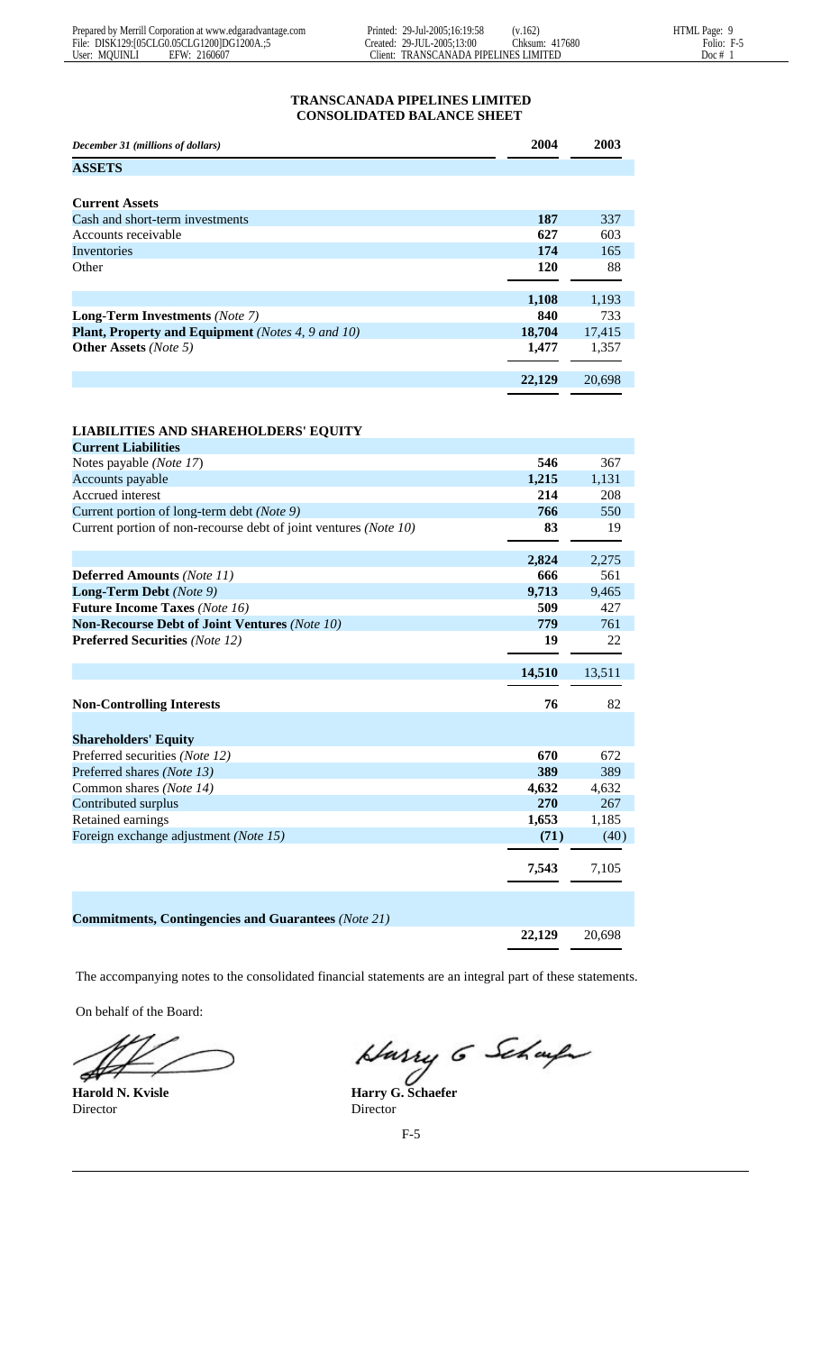# **TRANSCANADA PIPELINES LIMITED CONSOLIDATED BALANCE SHEET**

| 2004   | 2003   |
|--------|--------|
|        |        |
|        |        |
|        |        |
| 187    | 337    |
| 627    | 603    |
| 174    | 165    |
| 120    | 88     |
|        |        |
| 1,108  | 1,193  |
| 840    | 733    |
| 18,704 | 17,415 |
| 1,477  | 1,357  |
|        |        |
|        |        |

**22,129** 20,698

| <b>LIABILITIES AND SHAREHOLDERS' EQUITY</b> |  |  |
|---------------------------------------------|--|--|
|                                             |  |  |

| <b>Current Liabilities</b>                                       |               |               |
|------------------------------------------------------------------|---------------|---------------|
| Notes payable (Note 17)                                          | 546           | 367           |
| Accounts payable                                                 | 1,215         | 1,131         |
| Accrued interest                                                 | 214           | 208           |
| Current portion of long-term debt (Note 9)                       | 766           | 550           |
| Current portion of non-recourse debt of joint ventures (Note 10) | 83            | 19            |
|                                                                  | 2,824         | 2,275         |
| <b>Deferred Amounts (Note 11)</b>                                | 666           | 561           |
| Long-Term Debt (Note 9)                                          | 9,713         | 9,465         |
| <b>Future Income Taxes (Note 16)</b>                             | 509           | 427           |
| <b>Non-Recourse Debt of Joint Ventures (Note 10)</b>             | 779           | 761           |
| <b>Preferred Securities (Note 12)</b>                            | 19            | 22            |
|                                                                  | 14,510        | 13,511        |
|                                                                  |               |               |
| <b>Non-Controlling Interests</b>                                 | 76            | 82            |
| <b>Shareholders' Equity</b>                                      |               |               |
| Preferred securities (Note 12)                                   | 670           | 672           |
| Preferred shares (Note 13)                                       | 389           | 389           |
| Common shares (Note 14)                                          | 4,632         | 4,632         |
| Contributed surplus                                              | 270           | 267           |
| Retained earnings                                                | 1,653         | 1,185         |
| Foreign exchange adjustment (Note 15)                            | (71)<br>7,543 | (40)<br>7,105 |
| <b>Commitments, Contingencies and Guarantees (Note 21)</b>       |               |               |

The accompanying notes to the consolidated financial statements are an integral part of these statements.

On behalf of the Board:

Þ

Director Director

Harry 6 Scharfe

**Harold N. Kvisle Harry G. Schaefer**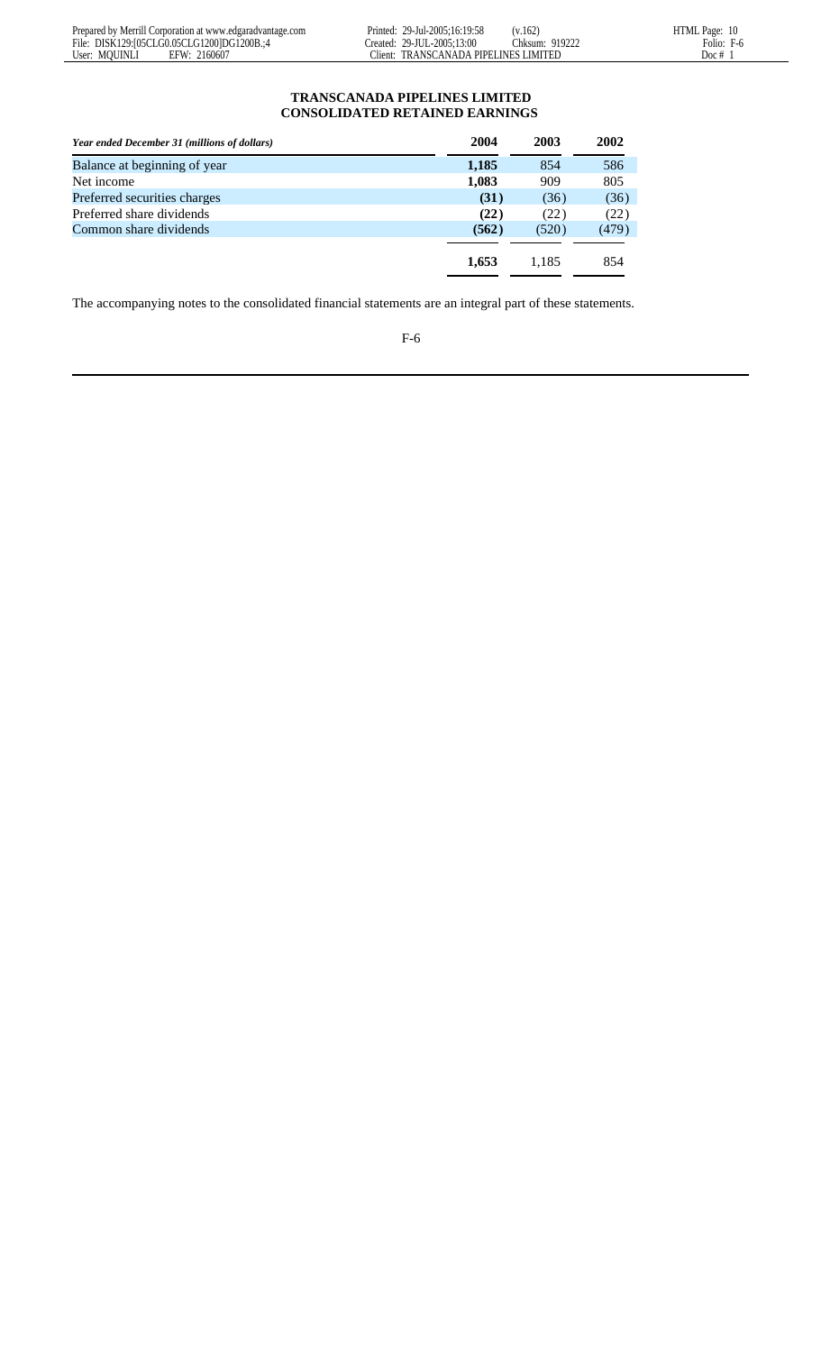# **TRANSCANADA PIPELINES LIMITED CONSOLIDATED RETAINED EARNINGS**

| Year ended December 31 (millions of dollars) | 2004  | 2003  | 2002  |
|----------------------------------------------|-------|-------|-------|
| Balance at beginning of year                 | 1,185 | 854   | 586   |
| Net income                                   | 1,083 | 909   | 805   |
| Preferred securities charges                 | (31)  | (36)  | (36)  |
| Preferred share dividends                    | (22)  | (22)  | (22)  |
| Common share dividends                       | (562) | (520) | (479) |
|                                              |       |       |       |
|                                              | 1,653 | 1.185 | 854   |
|                                              |       |       |       |

The accompanying notes to the consolidated financial statements are an integral part of these statements.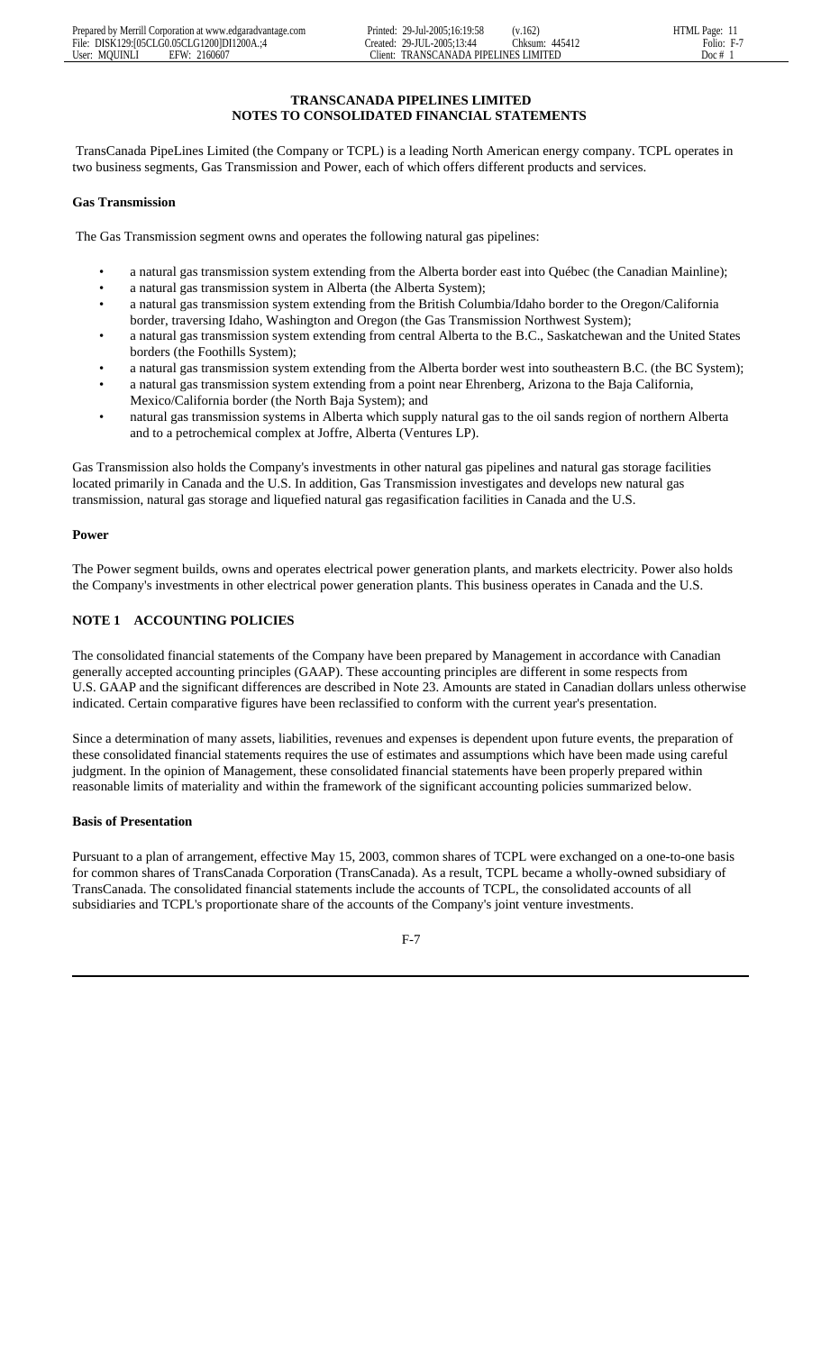#### **TRANSCANADA PIPELINES LIMITED NOTES TO CONSOLIDATED FINANCIAL STATEMENTS**

 TransCanada PipeLines Limited (the Company or TCPL) is a leading North American energy company. TCPL operates in two business segments, Gas Transmission and Power, each of which offers different products and services.

#### **Gas Transmission**

The Gas Transmission segment owns and operates the following natural gas pipelines:

- a natural gas transmission system extending from the Alberta border east into Québec (the Canadian Mainline);
- a natural gas transmission system in Alberta (the Alberta System);
- a natural gas transmission system extending from the British Columbia/Idaho border to the Oregon/California border, traversing Idaho, Washington and Oregon (the Gas Transmission Northwest System);
- a natural gas transmission system extending from central Alberta to the B.C., Saskatchewan and the United States borders (the Foothills System);
- a natural gas transmission system extending from the Alberta border west into southeastern B.C. (the BC System);
- a natural gas transmission system extending from a point near Ehrenberg, Arizona to the Baja California, Mexico/California border (the North Baja System); and
- natural gas transmission systems in Alberta which supply natural gas to the oil sands region of northern Alberta and to a petrochemical complex at Joffre, Alberta (Ventures LP).

Gas Transmission also holds the Company's investments in other natural gas pipelines and natural gas storage facilities located primarily in Canada and the U.S. In addition, Gas Transmission investigates and develops new natural gas transmission, natural gas storage and liquefied natural gas regasification facilities in Canada and the U.S.

#### **Power**

The Power segment builds, owns and operates electrical power generation plants, and markets electricity. Power also holds the Company's investments in other electrical power generation plants. This business operates in Canada and the U.S.

# **NOTE 1 ACCOUNTING POLICIES**

The consolidated financial statements of the Company have been prepared by Management in accordance with Canadian generally accepted accounting principles (GAAP). These accounting principles are different in some respects from U.S. GAAP and the significant differences are described in Note 23. Amounts are stated in Canadian dollars unless otherwise indicated. Certain comparative figures have been reclassified to conform with the current year's presentation.

Since a determination of many assets, liabilities, revenues and expenses is dependent upon future events, the preparation of these consolidated financial statements requires the use of estimates and assumptions which have been made using careful judgment. In the opinion of Management, these consolidated financial statements have been properly prepared within reasonable limits of materiality and within the framework of the significant accounting policies summarized below.

# **Basis of Presentation**

Pursuant to a plan of arrangement, effective May 15, 2003, common shares of TCPL were exchanged on a one-to-one basis for common shares of TransCanada Corporation (TransCanada). As a result, TCPL became a wholly-owned subsidiary of TransCanada. The consolidated financial statements include the accounts of TCPL, the consolidated accounts of all subsidiaries and TCPL's proportionate share of the accounts of the Company's joint venture investments.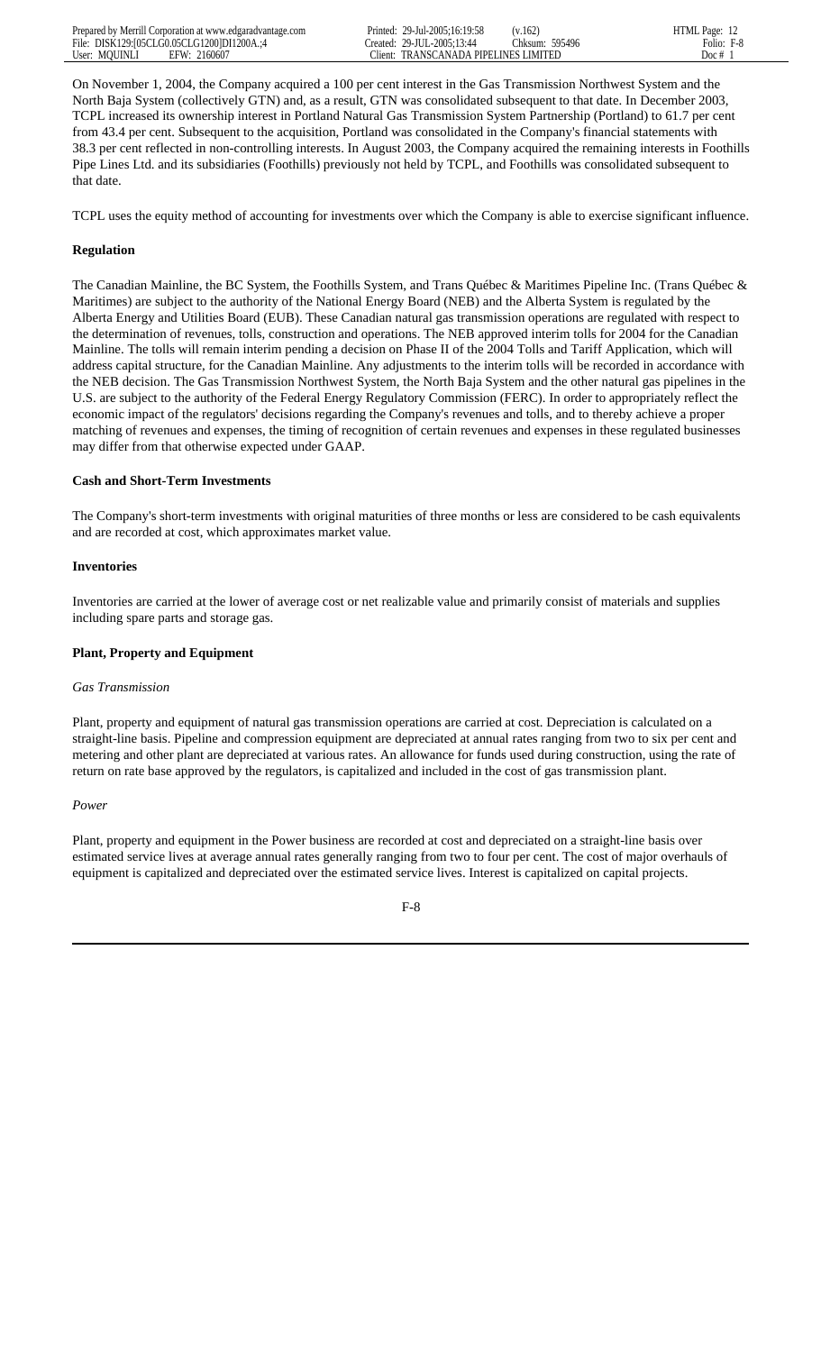On November 1, 2004, the Company acquired a 100 per cent interest in the Gas Transmission Northwest System and the North Baja System (collectively GTN) and, as a result, GTN was consolidated subsequent to that date. In December 2003, TCPL increased its ownership interest in Portland Natural Gas Transmission System Partnership (Portland) to 61.7 per cent from 43.4 per cent. Subsequent to the acquisition, Portland was consolidated in the Company's financial statements with 38.3 per cent reflected in non-controlling interests. In August 2003, the Company acquired the remaining interests in Foothills Pipe Lines Ltd. and its subsidiaries (Foothills) previously not held by TCPL, and Foothills was consolidated subsequent to that date.

TCPL uses the equity method of accounting for investments over which the Company is able to exercise significant influence.

#### **Regulation**

The Canadian Mainline, the BC System, the Foothills System, and Trans Québec & Maritimes Pipeline Inc. (Trans Québec & Maritimes) are subject to the authority of the National Energy Board (NEB) and the Alberta System is regulated by the Alberta Energy and Utilities Board (EUB). These Canadian natural gas transmission operations are regulated with respect to the determination of revenues, tolls, construction and operations. The NEB approved interim tolls for 2004 for the Canadian Mainline. The tolls will remain interim pending a decision on Phase II of the 2004 Tolls and Tariff Application, which will address capital structure, for the Canadian Mainline. Any adjustments to the interim tolls will be recorded in accordance with the NEB decision. The Gas Transmission Northwest System, the North Baja System and the other natural gas pipelines in the U.S. are subject to the authority of the Federal Energy Regulatory Commission (FERC). In order to appropriately reflect the economic impact of the regulators' decisions regarding the Company's revenues and tolls, and to thereby achieve a proper matching of revenues and expenses, the timing of recognition of certain revenues and expenses in these regulated businesses may differ from that otherwise expected under GAAP.

#### **Cash and Short-Term Investments**

The Company's short-term investments with original maturities of three months or less are considered to be cash equivalents and are recorded at cost, which approximates market value.

#### **Inventories**

Inventories are carried at the lower of average cost or net realizable value and primarily consist of materials and supplies including spare parts and storage gas.

# **Plant, Property and Equipment**

#### *Gas Transmission*

Plant, property and equipment of natural gas transmission operations are carried at cost. Depreciation is calculated on a straight-line basis. Pipeline and compression equipment are depreciated at annual rates ranging from two to six per cent and metering and other plant are depreciated at various rates. An allowance for funds used during construction, using the rate of return on rate base approved by the regulators, is capitalized and included in the cost of gas transmission plant.

#### *Power*

Plant, property and equipment in the Power business are recorded at cost and depreciated on a straight-line basis over estimated service lives at average annual rates generally ranging from two to four per cent. The cost of major overhauls of equipment is capitalized and depreciated over the estimated service lives. Interest is capitalized on capital projects.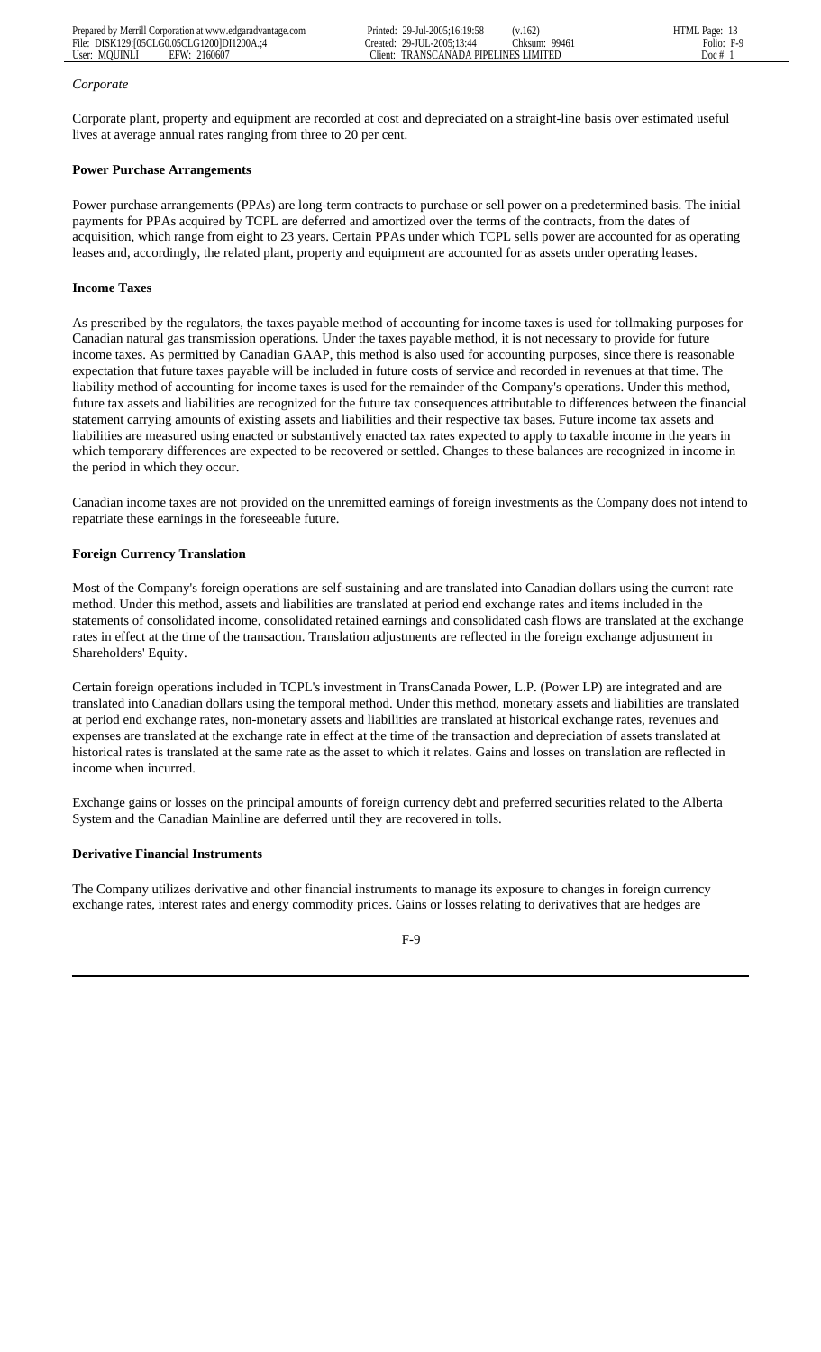#### *Corporate*

Corporate plant, property and equipment are recorded at cost and depreciated on a straight-line basis over estimated useful lives at average annual rates ranging from three to 20 per cent.

# **Power Purchase Arrangements**

Power purchase arrangements (PPAs) are long-term contracts to purchase or sell power on a predetermined basis. The initial payments for PPAs acquired by TCPL are deferred and amortized over the terms of the contracts, from the dates of acquisition, which range from eight to 23 years. Certain PPAs under which TCPL sells power are accounted for as operating leases and, accordingly, the related plant, property and equipment are accounted for as assets under operating leases.

# **Income Taxes**

As prescribed by the regulators, the taxes payable method of accounting for income taxes is used for tollmaking purposes for Canadian natural gas transmission operations. Under the taxes payable method, it is not necessary to provide for future income taxes. As permitted by Canadian GAAP, this method is also used for accounting purposes, since there is reasonable expectation that future taxes payable will be included in future costs of service and recorded in revenues at that time. The liability method of accounting for income taxes is used for the remainder of the Company's operations. Under this method, future tax assets and liabilities are recognized for the future tax consequences attributable to differences between the financial statement carrying amounts of existing assets and liabilities and their respective tax bases. Future income tax assets and liabilities are measured using enacted or substantively enacted tax rates expected to apply to taxable income in the years in which temporary differences are expected to be recovered or settled. Changes to these balances are recognized in income in the period in which they occur.

Canadian income taxes are not provided on the unremitted earnings of foreign investments as the Company does not intend to repatriate these earnings in the foreseeable future.

# **Foreign Currency Translation**

Most of the Company's foreign operations are self-sustaining and are translated into Canadian dollars using the current rate method. Under this method, assets and liabilities are translated at period end exchange rates and items included in the statements of consolidated income, consolidated retained earnings and consolidated cash flows are translated at the exchange rates in effect at the time of the transaction. Translation adjustments are reflected in the foreign exchange adjustment in Shareholders' Equity.

Certain foreign operations included in TCPL's investment in TransCanada Power, L.P. (Power LP) are integrated and are translated into Canadian dollars using the temporal method. Under this method, monetary assets and liabilities are translated at period end exchange rates, non-monetary assets and liabilities are translated at historical exchange rates, revenues and expenses are translated at the exchange rate in effect at the time of the transaction and depreciation of assets translated at historical rates is translated at the same rate as the asset to which it relates. Gains and losses on translation are reflected in income when incurred.

Exchange gains or losses on the principal amounts of foreign currency debt and preferred securities related to the Alberta System and the Canadian Mainline are deferred until they are recovered in tolls.

# **Derivative Financial Instruments**

The Company utilizes derivative and other financial instruments to manage its exposure to changes in foreign currency exchange rates, interest rates and energy commodity prices. Gains or losses relating to derivatives that are hedges are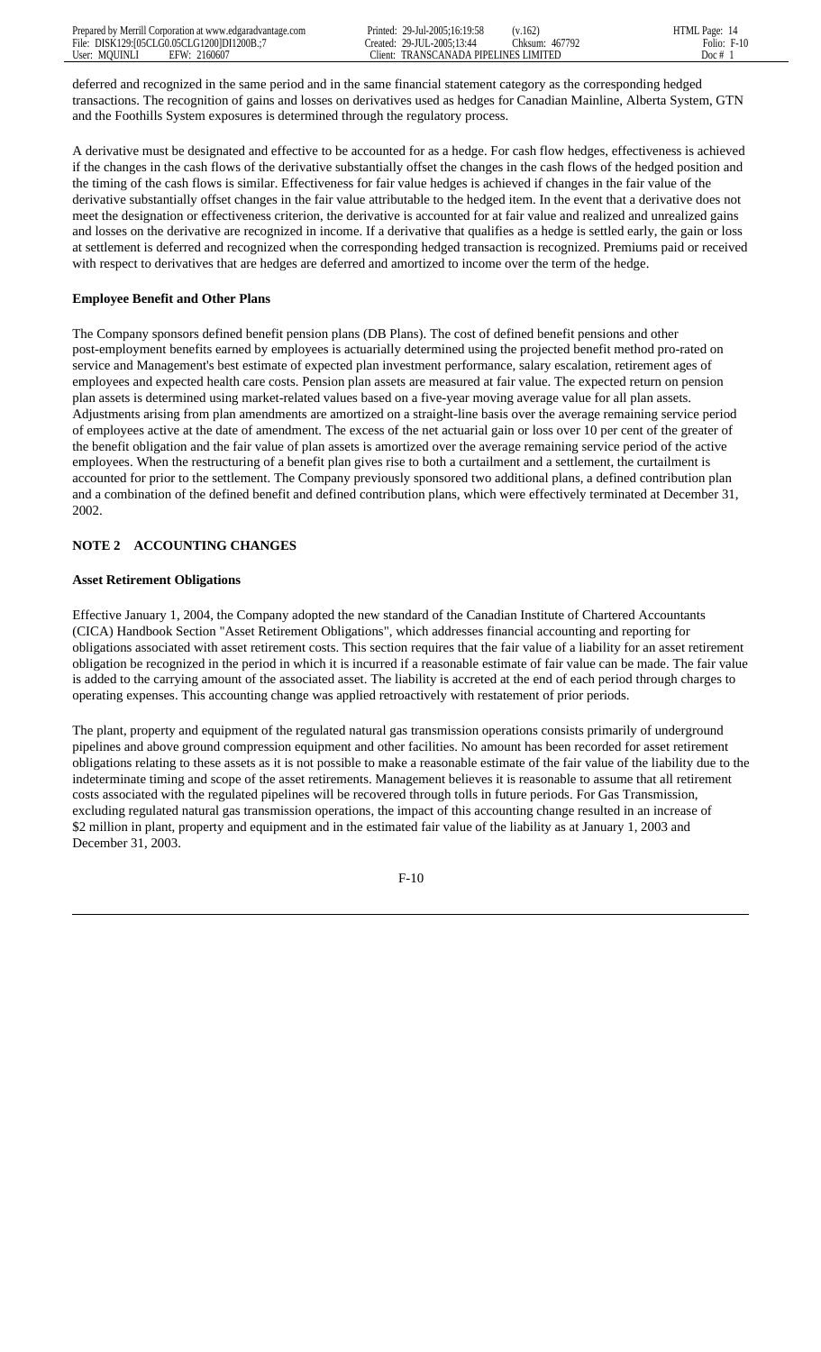deferred and recognized in the same period and in the same financial statement category as the corresponding hedged transactions. The recognition of gains and losses on derivatives used as hedges for Canadian Mainline, Alberta System, GTN and the Foothills System exposures is determined through the regulatory process.

A derivative must be designated and effective to be accounted for as a hedge. For cash flow hedges, effectiveness is achieved if the changes in the cash flows of the derivative substantially offset the changes in the cash flows of the hedged position and the timing of the cash flows is similar. Effectiveness for fair value hedges is achieved if changes in the fair value of the derivative substantially offset changes in the fair value attributable to the hedged item. In the event that a derivative does not meet the designation or effectiveness criterion, the derivative is accounted for at fair value and realized and unrealized gains and losses on the derivative are recognized in income. If a derivative that qualifies as a hedge is settled early, the gain or loss at settlement is deferred and recognized when the corresponding hedged transaction is recognized. Premiums paid or received with respect to derivatives that are hedges are deferred and amortized to income over the term of the hedge.

#### **Employee Benefit and Other Plans**

The Company sponsors defined benefit pension plans (DB Plans). The cost of defined benefit pensions and other post-employment benefits earned by employees is actuarially determined using the projected benefit method pro-rated on service and Management's best estimate of expected plan investment performance, salary escalation, retirement ages of employees and expected health care costs. Pension plan assets are measured at fair value. The expected return on pension plan assets is determined using market-related values based on a five-year moving average value for all plan assets. Adjustments arising from plan amendments are amortized on a straight-line basis over the average remaining service period of employees active at the date of amendment. The excess of the net actuarial gain or loss over 10 per cent of the greater of the benefit obligation and the fair value of plan assets is amortized over the average remaining service period of the active employees. When the restructuring of a benefit plan gives rise to both a curtailment and a settlement, the curtailment is accounted for prior to the settlement. The Company previously sponsored two additional plans, a defined contribution plan and a combination of the defined benefit and defined contribution plans, which were effectively terminated at December 31, 2002.

#### **NOTE 2 ACCOUNTING CHANGES**

#### **Asset Retirement Obligations**

Effective January 1, 2004, the Company adopted the new standard of the Canadian Institute of Chartered Accountants (CICA) Handbook Section "Asset Retirement Obligations", which addresses financial accounting and reporting for obligations associated with asset retirement costs. This section requires that the fair value of a liability for an asset retirement obligation be recognized in the period in which it is incurred if a reasonable estimate of fair value can be made. The fair value is added to the carrying amount of the associated asset. The liability is accreted at the end of each period through charges to operating expenses. This accounting change was applied retroactively with restatement of prior periods.

The plant, property and equipment of the regulated natural gas transmission operations consists primarily of underground pipelines and above ground compression equipment and other facilities. No amount has been recorded for asset retirement obligations relating to these assets as it is not possible to make a reasonable estimate of the fair value of the liability due to the indeterminate timing and scope of the asset retirements. Management believes it is reasonable to assume that all retirement costs associated with the regulated pipelines will be recovered through tolls in future periods. For Gas Transmission, excluding regulated natural gas transmission operations, the impact of this accounting change resulted in an increase of \$2 million in plant, property and equipment and in the estimated fair value of the liability as at January 1, 2003 and December 31, 2003.

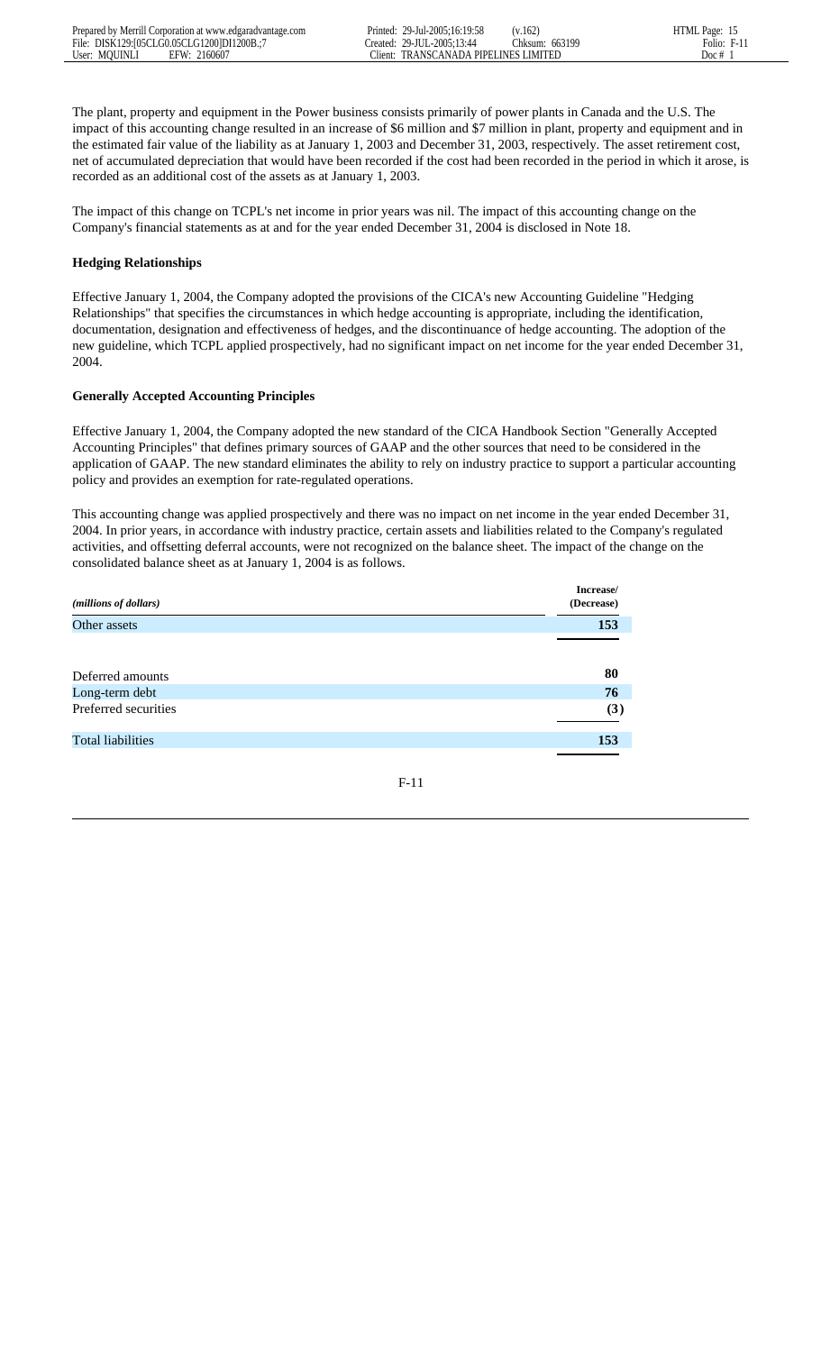The plant, property and equipment in the Power business consists primarily of power plants in Canada and the U.S. The impact of this accounting change resulted in an increase of \$6 million and \$7 million in plant, property and equipment and in the estimated fair value of the liability as at January 1, 2003 and December 31, 2003, respectively. The asset retirement cost, net of accumulated depreciation that would have been recorded if the cost had been recorded in the period in which it arose, is recorded as an additional cost of the assets as at January 1, 2003.

The impact of this change on TCPL's net income in prior years was nil. The impact of this accounting change on the Company's financial statements as at and for the year ended December 31, 2004 is disclosed in Note 18.

# **Hedging Relationships**

Effective January 1, 2004, the Company adopted the provisions of the CICA's new Accounting Guideline "Hedging Relationships" that specifies the circumstances in which hedge accounting is appropriate, including the identification, documentation, designation and effectiveness of hedges, and the discontinuance of hedge accounting. The adoption of the new guideline, which TCPL applied prospectively, had no significant impact on net income for the year ended December 31, 2004.

# **Generally Accepted Accounting Principles**

Effective January 1, 2004, the Company adopted the new standard of the CICA Handbook Section "Generally Accepted Accounting Principles" that defines primary sources of GAAP and the other sources that need to be considered in the application of GAAP. The new standard eliminates the ability to rely on industry practice to support a particular accounting policy and provides an exemption for rate-regulated operations.

This accounting change was applied prospectively and there was no impact on net income in the year ended December 31, 2004. In prior years, in accordance with industry practice, certain assets and liabilities related to the Company's regulated activities, and offsetting deferral accounts, were not recognized on the balance sheet. The impact of the change on the consolidated balance sheet as at January 1, 2004 is as follows.

| (millions of dollars)    | Increase/<br>(Decrease) |
|--------------------------|-------------------------|
| Other assets             | 153                     |
|                          |                         |
| Deferred amounts         | 80                      |
| Long-term debt           | 76                      |
| Preferred securities     | (3)                     |
| <b>Total liabilities</b> | 153                     |
|                          |                         |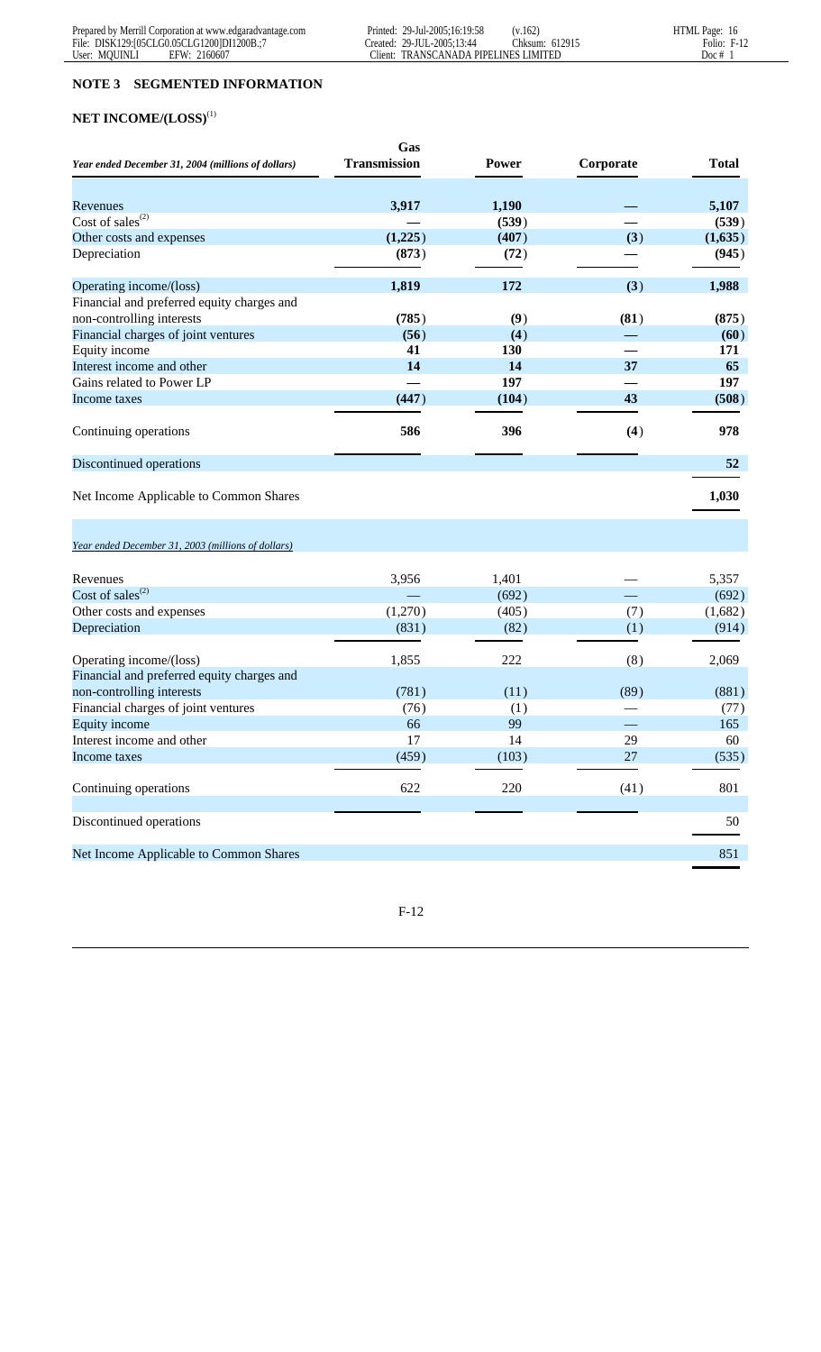# **NOTE 3 SEGMENTED INFORMATION**

# **NET INCOME/(LOSS)**(1)

|                                                                                              | Gas                 |              |           |              |
|----------------------------------------------------------------------------------------------|---------------------|--------------|-----------|--------------|
| Year ended December 31, 2004 (millions of dollars)                                           | <b>Transmission</b> | <b>Power</b> | Corporate | <b>Total</b> |
|                                                                                              |                     |              |           |              |
| Revenues                                                                                     | 3,917               | 1,190        |           | 5,107        |
| Cost of sales $^{(2)}$                                                                       |                     | (539)        |           | (539)        |
| Other costs and expenses                                                                     | (1,225)             | (407)        | (3)       | (1,635)      |
| Depreciation                                                                                 | (873)               | (72)         |           | (945)        |
| Operating income/(loss)                                                                      | 1,819               | 172          | (3)       | 1,988        |
| Financial and preferred equity charges and                                                   |                     |              |           |              |
| non-controlling interests                                                                    | (785)               | (9)          | (81)      | (875)        |
| Financial charges of joint ventures                                                          | (56)                | (4)          |           | (60)         |
| Equity income                                                                                | 41                  | 130          |           | 171          |
| Interest income and other                                                                    | 14                  | 14           | 37        | 65           |
| Gains related to Power LP                                                                    |                     | 197          |           | 197          |
| Income taxes                                                                                 | (447)               | (104)        | 43        | (508)        |
| Continuing operations                                                                        | 586                 | 396          | (4)       | 978          |
| Discontinued operations                                                                      |                     |              |           | 52           |
| Net Income Applicable to Common Shares<br>Year ended December 31, 2003 (millions of dollars) |                     |              |           | 1,030        |
|                                                                                              |                     |              |           |              |
| Revenues                                                                                     | 3,956               | 1,401        |           | 5,357        |
| Cost of sales <sup>(2)</sup>                                                                 |                     | (692)        |           | (692)        |
| Other costs and expenses                                                                     | (1,270)             | (405)        | (7)       | (1,682)      |
| Depreciation                                                                                 | (831)               | (82)         | (1)       | (914)        |
| Operating income/(loss)                                                                      | 1,855               | 222          | (8)       | 2,069        |
| Financial and preferred equity charges and                                                   |                     |              |           |              |
| non-controlling interests                                                                    | (781)               | (11)         | (89)      | (881)        |
| Financial charges of joint ventures                                                          | (76)                | (1)          |           | (77)         |
| Equity income                                                                                | 66                  | 99           |           | 165          |
| Interest income and other                                                                    | 17                  | 14           | 29        | 60           |
| Income taxes                                                                                 | (459)               | (103)        | 27        | (535)        |
| Continuing operations                                                                        | 622                 | 220          | (41)      | 801          |
| Discontinued operations                                                                      |                     |              |           | 50           |
| Net Income Applicable to Common Shares                                                       |                     |              |           | 851          |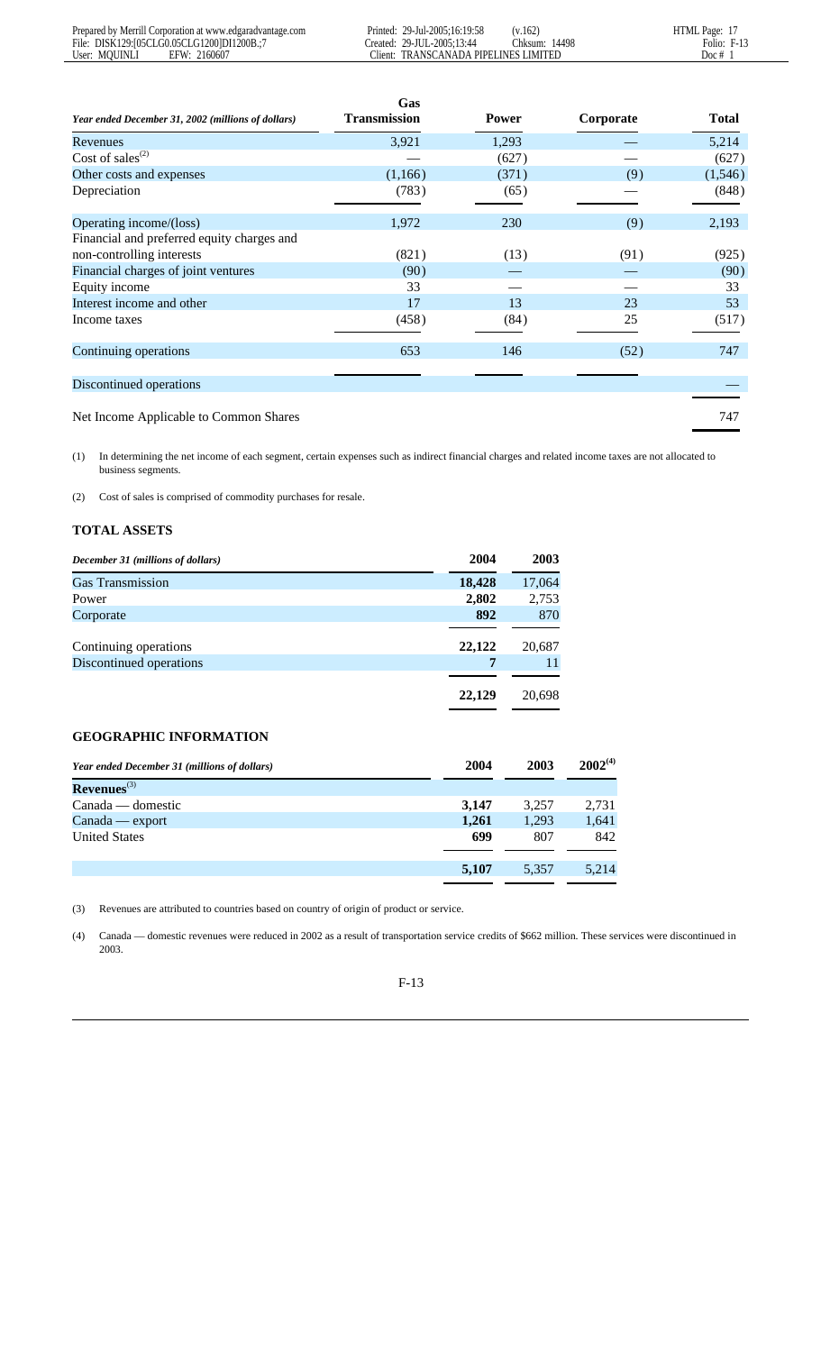|                                                    | Gas                 |       |           |              |
|----------------------------------------------------|---------------------|-------|-----------|--------------|
| Year ended December 31, 2002 (millions of dollars) | <b>Transmission</b> | Power | Corporate | <b>Total</b> |
| Revenues                                           | 3,921               | 1,293 |           | 5,214        |
| Cost of sales <sup><math>(2)</math></sup>          |                     | (627) |           | (627)        |
| Other costs and expenses                           | (1,166)             | (371) | (9)       | (1,546)      |
| Depreciation                                       | (783)               | (65)  |           | (848)        |
| Operating income/(loss)                            | 1,972               | 230   | (9)       | 2,193        |
| Financial and preferred equity charges and         |                     |       |           |              |
| non-controlling interests                          | (821)               | (13)  | (91)      | (925)        |
| Financial charges of joint ventures                | (90)                |       |           | (90)         |
| Equity income                                      | 33                  |       |           | 33           |
| Interest income and other                          | 17                  | 13    | 23        | 53           |
| Income taxes                                       | (458)               | (84)  | 25        | (517)        |
| Continuing operations                              | 653                 | 146   | (52)      | 747          |
| Discontinued operations                            |                     |       |           |              |
| Net Income Applicable to Common Shares             |                     |       |           | 747          |

(1) In determining the net income of each segment, certain expenses such as indirect financial charges and related income taxes are not allocated to business segments.

(2) Cost of sales is comprised of commodity purchases for resale.

# **TOTAL ASSETS**

| December 31 (millions of dollars) | 2004   | 2003   |
|-----------------------------------|--------|--------|
| <b>Gas Transmission</b>           | 18,428 | 17,064 |
| Power                             | 2,802  | 2,753  |
| Corporate                         | 892    | 870    |
|                                   |        |        |
| Continuing operations             | 22,122 | 20,687 |
| Discontinued operations           | 7      | 11     |
|                                   |        |        |
|                                   | 22,129 | 20,698 |

# **GEOGRAPHIC INFORMATION**

| Year ended December 31 (millions of dollars) | 2004  | 2003  | $2002^{(4)}$ |
|----------------------------------------------|-------|-------|--------------|
| $Revenues^{(3)}$                             |       |       |              |
| $Canada$ — domestic                          | 3.147 | 3,257 | 2,731        |
| Canada — export                              | 1.261 | 1,293 | 1,641        |
| <b>United States</b>                         | 699   | 807   | 842          |
|                                              |       |       |              |
|                                              | 5.107 | 5,357 | 5.214        |
|                                              |       |       |              |

(3) Revenues are attributed to countries based on country of origin of product or service.

(4) Canada — domestic revenues were reduced in 2002 as a result of transportation service credits of \$662 million. These services were discontinued in 2003.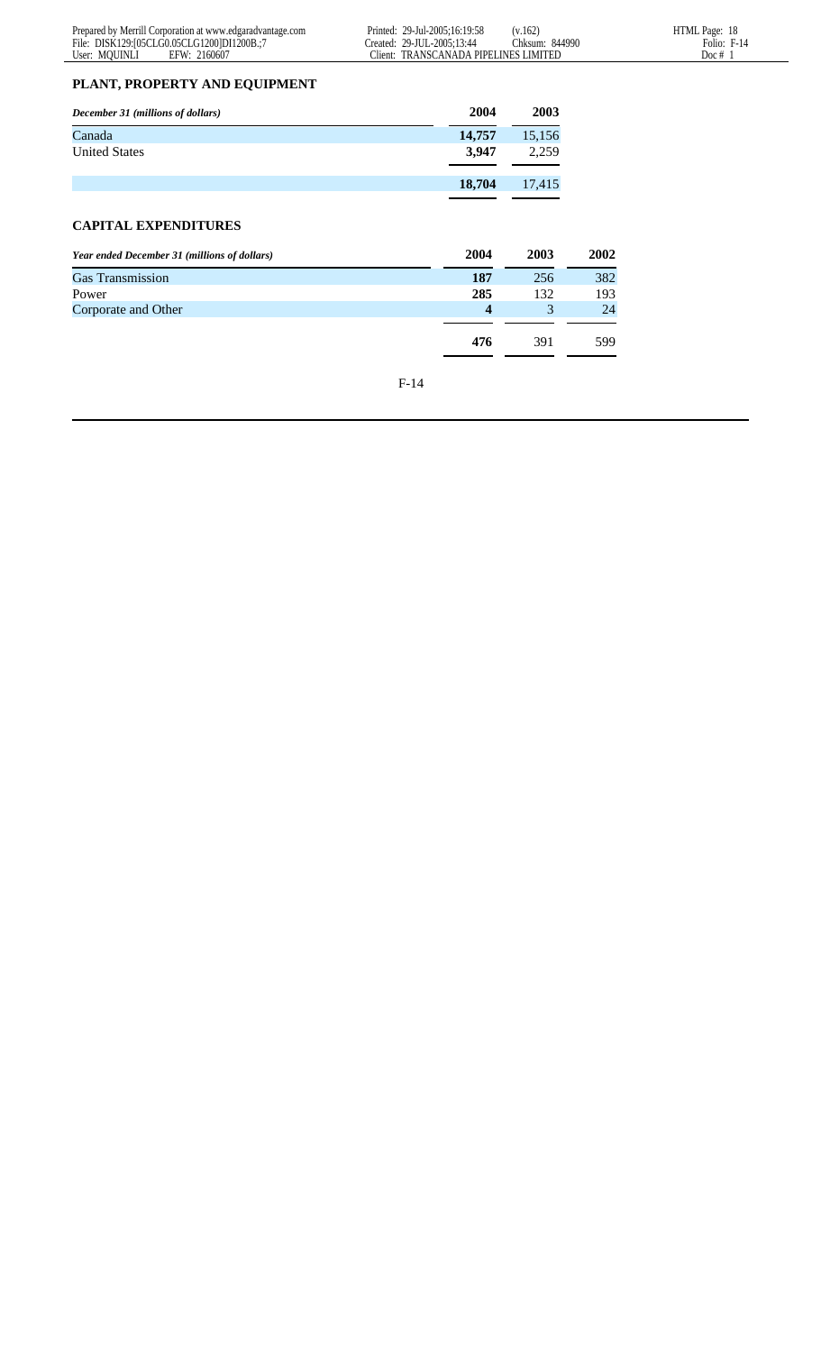# **PLANT, PROPERTY AND EQUIPMENT**

| December 31 (millions of dollars) | 2004   | 2003   |
|-----------------------------------|--------|--------|
| Canada                            | 14,757 | 15,156 |
| <b>United States</b>              | 3.947  | 2.259  |
|                                   |        |        |
|                                   | 18,704 | 17,415 |
|                                   |        |        |

# **CAPITAL EXPENDITURES**

| Year ended December 31 (millions of dollars) | 2004             | 2003 | 2002 |
|----------------------------------------------|------------------|------|------|
| <b>Gas Transmission</b>                      | 187              | 256  | 382  |
| Power                                        | 285              | 132  | 193  |
| Corporate and Other                          | $\boldsymbol{4}$ |      | 24   |
|                                              |                  |      |      |
|                                              | 476              | 391  | 599  |
|                                              |                  |      |      |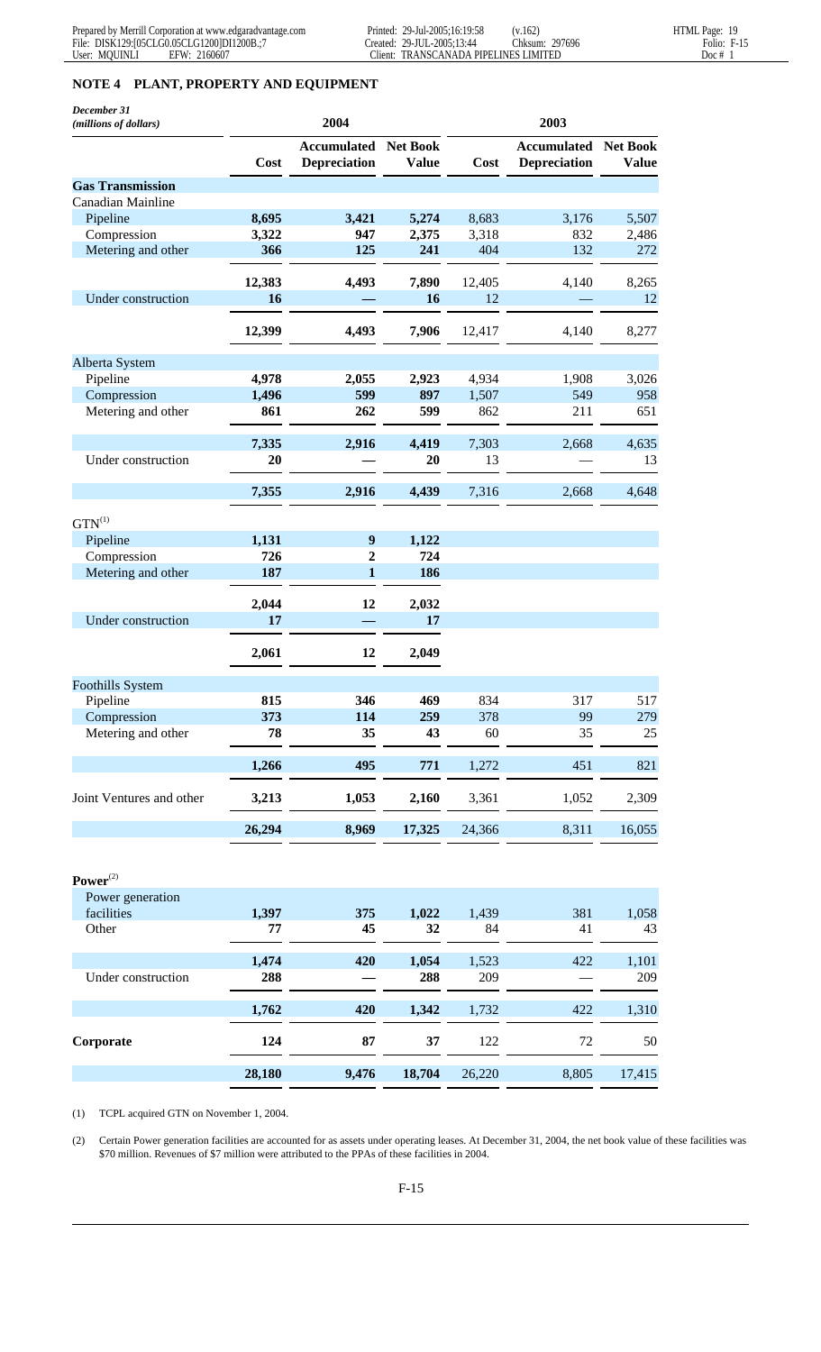# **NOTE 4 PLANT, PROPERTY AND EQUIPMENT**

| December 31<br>(millions of dollars) | 2004   |                                             |              | 2003   |                                             |              |  |
|--------------------------------------|--------|---------------------------------------------|--------------|--------|---------------------------------------------|--------------|--|
|                                      | Cost   | <b>Accumulated Net Book</b><br>Depreciation | <b>Value</b> | Cost   | <b>Accumulated Net Book</b><br>Depreciation | <b>Value</b> |  |
| <b>Gas Transmission</b>              |        |                                             |              |        |                                             |              |  |
| Canadian Mainline                    |        |                                             |              |        |                                             |              |  |
| Pipeline                             | 8,695  | 3,421                                       | 5,274        | 8,683  | 3,176                                       | 5,507        |  |
| Compression                          | 3,322  | 947                                         | 2,375        | 3,318  | 832                                         | 2,486        |  |
| Metering and other                   | 366    | 125                                         | 241          | 404    | 132                                         | 272          |  |
|                                      | 12,383 | 4,493                                       | 7,890        | 12,405 | 4,140                                       | 8,265        |  |
| Under construction                   | 16     |                                             | 16           | 12     |                                             | 12           |  |
|                                      | 12,399 | 4,493                                       | 7,906        | 12,417 | 4,140                                       | 8,277        |  |
| Alberta System                       |        |                                             |              |        |                                             |              |  |
| Pipeline                             | 4,978  | 2,055                                       | 2,923        | 4,934  | 1,908                                       | 3,026        |  |
| Compression                          | 1,496  | 599                                         | 897          | 1,507  | 549                                         | 958          |  |
| Metering and other                   | 861    | 262                                         | 599          | 862    | 211                                         | 651          |  |
|                                      | 7,335  | 2,916                                       | 4,419        | 7,303  | 2,668                                       | 4,635        |  |
| Under construction                   | 20     |                                             | 20           | 13     |                                             | 13           |  |
|                                      |        |                                             |              |        |                                             |              |  |
|                                      | 7,355  | 2,916                                       | 4,439        | 7,316  | 2,668                                       | 4,648        |  |
| $GTN^{(1)}$                          |        |                                             |              |        |                                             |              |  |
| Pipeline                             | 1,131  | $\boldsymbol{9}$                            | 1,122        |        |                                             |              |  |
| Compression                          | 726    | 2                                           | 724          |        |                                             |              |  |
| Metering and other                   | 187    | $\mathbf{1}$                                | 186          |        |                                             |              |  |
|                                      | 2,044  | 12                                          | 2,032        |        |                                             |              |  |
| Under construction                   | 17     |                                             | 17           |        |                                             |              |  |
|                                      | 2,061  | 12                                          | 2,049        |        |                                             |              |  |
| <b>Foothills System</b>              |        |                                             |              |        |                                             |              |  |
| Pipeline                             | 815    | 346                                         | 469          | 834    | 317                                         | 517          |  |
| Compression                          | 373    | 114                                         | 259          | 378    | 99                                          | 279          |  |
| Metering and other                   | 78     | 35                                          | 43           | 60     | 35                                          | 25           |  |
|                                      | 1,266  | 495                                         | 771          | 1,272  | 451                                         | 821          |  |
| Joint Ventures and other             | 3,213  | 1,053                                       | 2,160        | 3,361  | 1,052                                       | 2,309        |  |
|                                      | 26,294 | 8,969                                       | 17,325       | 24,366 | 8,311                                       | 16,055       |  |
| $Power^{(2)}$                        |        |                                             |              |        |                                             |              |  |
| Power generation                     |        |                                             |              |        |                                             |              |  |
| facilities                           | 1,397  | 375                                         | 1,022        | 1,439  | 381                                         | 1,058        |  |
| Other                                | 77     | 45                                          | 32           | 84     | 41                                          | 43           |  |
|                                      | 1,474  | 420                                         | 1,054        | 1,523  | 422                                         | 1,101        |  |
| Under construction                   | 288    |                                             | 288          | 209    |                                             | 209          |  |
|                                      | 1,762  | 420                                         | 1,342        | 1,732  | 422                                         | 1,310        |  |
| Corporate                            | 124    | 87                                          | 37           | 122    | 72                                          | 50           |  |
|                                      | 28,180 | 9,476                                       | 18,704       | 26,220 | 8,805                                       | 17,415       |  |

(1) TCPL acquired GTN on November 1, 2004.

(2) Certain Power generation facilities are accounted for as assets under operating leases. At December 31, 2004, the net book value of these facilities was \$70 million. Revenues of \$7 million were attributed to the PPAs of these facilities in 2004.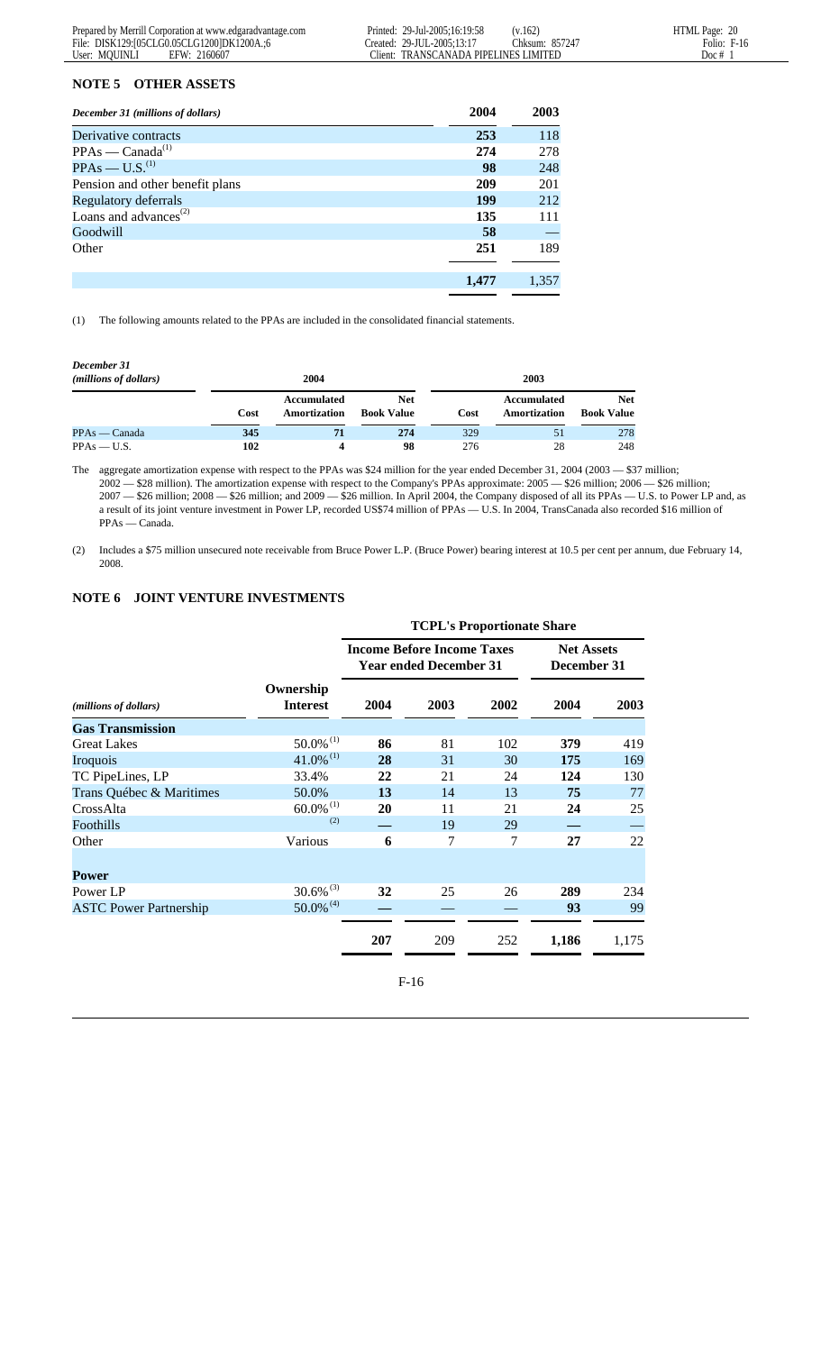# **NOTE 5 OTHER ASSETS**

| December 31 (millions of dollars) | 2004  | 2003  |
|-----------------------------------|-------|-------|
| Derivative contracts              | 253   | 118   |
| $PPAs - Canada^{(1)}$             | 274   | 278   |
| $PPAs - U.S.(1)$                  | 98    | 248   |
| Pension and other benefit plans   | 209   | 201   |
| Regulatory deferrals              | 199   | 212   |
| Loans and advances <sup>(2)</sup> | 135   | 111   |
| Goodwill                          | 58    |       |
| Other                             | 251   | 189   |
|                                   | 1,477 | 1,357 |
|                                   |       |       |

(1) The following amounts related to the PPAs are included in the consolidated financial statements.

| December 31<br>(millions of dollars) |      | 2004                        |                                 | 2003 |                             |                          |  |
|--------------------------------------|------|-----------------------------|---------------------------------|------|-----------------------------|--------------------------|--|
|                                      | Cost | Accumulated<br>Amortization | <b>Net</b><br><b>Book Value</b> | Cost | Accumulated<br>Amortization | Net<br><b>Book Value</b> |  |
| PPAs — Canada                        | 345  | 71                          | 274                             | 329  | 51                          | 278                      |  |
| $PPAs = U.S.$                        | 102  | Δ                           | 98                              | 276  | 28                          | 248                      |  |

The aggregate amortization expense with respect to the PPAs was \$24 million for the year ended December 31, 2004 (2003 - \$37 million; 2002 — \$28 million). The amortization expense with respect to the Company's PPAs approximate: 2005 — \$26 million; 2006 — \$26 million; 2007 — \$26 million; 2008 — \$26 million; and 2009 — \$26 million. In April 2004, the Company disposed of all its PPAs — U.S. to Power LP and, as a result of its joint venture investment in Power LP, recorded US\$74 million of PPAs — U.S. In 2004, TransCanada also recorded \$16 million of PPAs — Canada.

(2) Includes a \$75 million unsecured note receivable from Bruce Power L.P. (Bruce Power) bearing interest at 10.5 per cent per annum, due February 14, 2008.

#### **NOTE 6 JOINT VENTURE INVESTMENTS**

|                               |                              | <b>TCPL's Proportionate Share</b> |                                                                    |      |                                  |       |  |
|-------------------------------|------------------------------|-----------------------------------|--------------------------------------------------------------------|------|----------------------------------|-------|--|
|                               |                              |                                   | <b>Income Before Income Taxes</b><br><b>Year ended December 31</b> |      | <b>Net Assets</b><br>December 31 |       |  |
| (millions of dollars)         | Ownership<br><b>Interest</b> | 2004                              | 2003                                                               | 2002 | 2004                             | 2003  |  |
| <b>Gas Transmission</b>       |                              |                                   |                                                                    |      |                                  |       |  |
| <b>Great Lakes</b>            | $50.0\%$ <sup>(1)</sup>      | 86                                | 81                                                                 | 102  | 379                              | 419   |  |
| Iroquois                      | $41.0\%$ <sup>(1)</sup>      | 28                                | 31                                                                 | 30   | 175                              | 169   |  |
| TC PipeLines, LP              | 33.4%                        | 22                                | 21                                                                 | 24   | 124                              | 130   |  |
| Trans Québec & Maritimes      | 50.0%                        | 13                                | 14                                                                 | 13   | 75                               | 77    |  |
| CrossAlta                     | $60.0\%$ <sup>(1)</sup>      | 20                                | 11                                                                 | 21   | 24                               | 25    |  |
| Foothills                     | (2)                          |                                   | 19                                                                 | 29   |                                  |       |  |
| Other                         | Various                      | 6                                 | 7                                                                  | 7    | 27                               | 22    |  |
| <b>Power</b>                  |                              |                                   |                                                                    |      |                                  |       |  |
| Power LP                      | $30.6\%$ <sup>(3)</sup>      | 32                                | 25                                                                 | 26   | 289                              | 234   |  |
| <b>ASTC Power Partnership</b> | $50.0\%$ <sup>(4)</sup>      |                                   |                                                                    |      | 93                               | 99    |  |
|                               |                              | 207                               | 209                                                                | 252  | 1,186                            | 1,175 |  |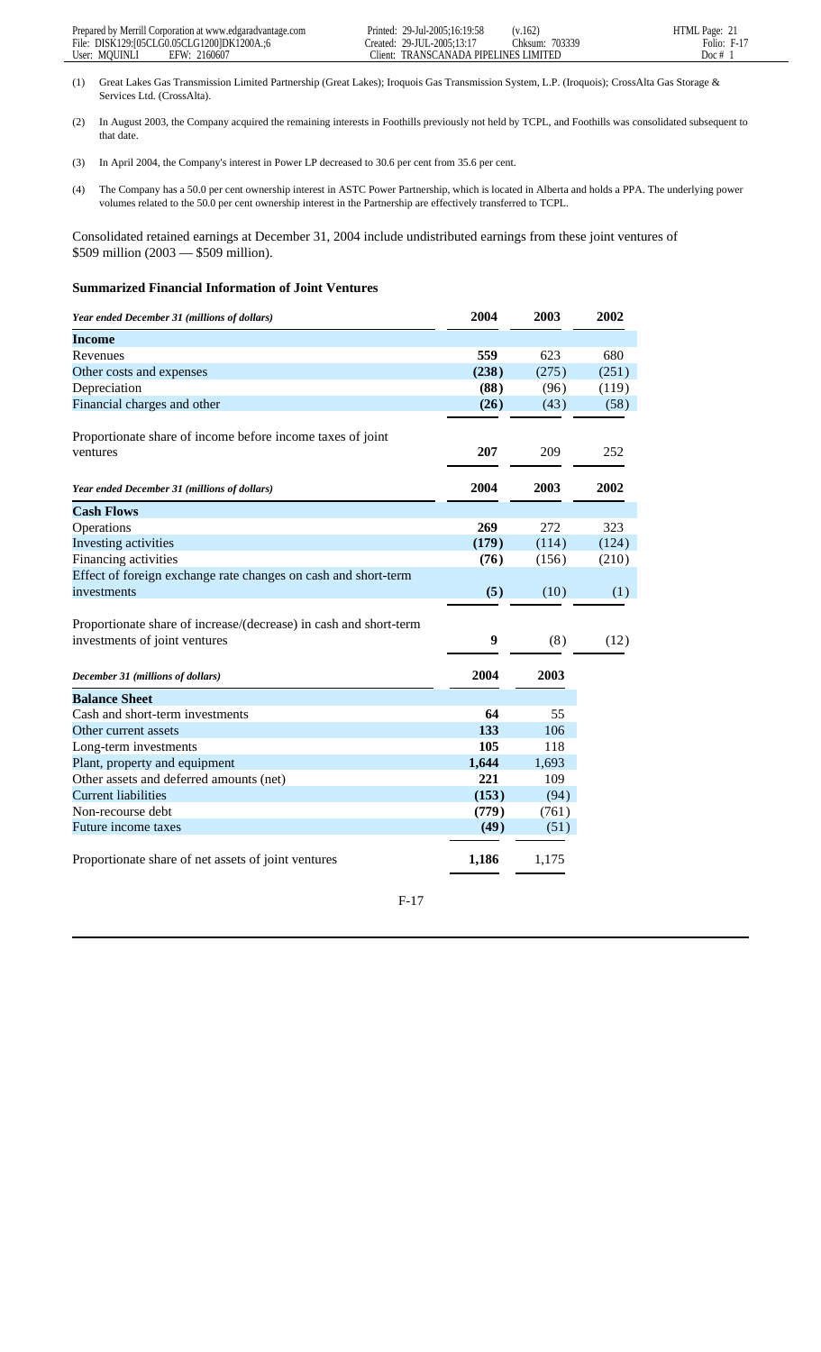- (1) Great Lakes Gas Transmission Limited Partnership (Great Lakes); Iroquois Gas Transmission System, L.P. (Iroquois); CrossAlta Gas Storage & Services Ltd. (CrossAlta).
- (2) In August 2003, the Company acquired the remaining interests in Foothills previously not held by TCPL, and Foothills was consolidated subsequent to that date.
- (3) In April 2004, the Company's interest in Power LP decreased to 30.6 per cent from 35.6 per cent.
- (4) The Company has a 50.0 per cent ownership interest in ASTC Power Partnership, which is located in Alberta and holds a PPA. The underlying power volumes related to the 50.0 per cent ownership interest in the Partnership are effectively transferred to TCPL.

Consolidated retained earnings at December 31, 2004 include undistributed earnings from these joint ventures of \$509 million (2003 — \$509 million).

#### **Summarized Financial Information of Joint Ventures**

| Year ended December 31 (millions of dollars)                      | 2004  | 2003  | 2002  |  |
|-------------------------------------------------------------------|-------|-------|-------|--|
| <b>Income</b>                                                     |       |       |       |  |
| Revenues                                                          | 559   | 623   | 680   |  |
| Other costs and expenses                                          | (238) | (275) | (251) |  |
| Depreciation                                                      | (88)  | (96)  | (119) |  |
| Financial charges and other                                       | (26)  | (43)  | (58)  |  |
| Proportionate share of income before income taxes of joint        |       |       |       |  |
| ventures                                                          | 207   | 209   | 252   |  |
| Year ended December 31 (millions of dollars)                      | 2004  | 2003  | 2002  |  |
| <b>Cash Flows</b>                                                 |       |       |       |  |
| Operations                                                        | 269   | 272   | 323   |  |
| Investing activities                                              | (179) | (114) | (124) |  |
| Financing activities                                              | (76)  | (156) | (210) |  |
| Effect of foreign exchange rate changes on cash and short-term    |       |       |       |  |
| investments                                                       | (5)   | (10)  | (1)   |  |
|                                                                   |       |       |       |  |
| Proportionate share of increase/(decrease) in cash and short-term |       |       |       |  |
| investments of joint ventures                                     | 9     | (8)   | (12)  |  |
| December 31 (millions of dollars)                                 | 2004  | 2003  |       |  |
|                                                                   |       |       |       |  |
| <b>Balance Sheet</b>                                              |       |       |       |  |
| Cash and short-term investments                                   | 64    | 55    |       |  |
| Other current assets                                              | 133   | 106   |       |  |
| Long-term investments                                             | 105   | 118   |       |  |
| Plant, property and equipment                                     | 1,644 | 1,693 |       |  |
| Other assets and deferred amounts (net)                           | 221   | 109   |       |  |
| <b>Current liabilities</b>                                        | (153) | (94)  |       |  |
| Non-recourse debt                                                 | (779) | (761) |       |  |
| Future income taxes                                               | (49)  | (51)  |       |  |
| Proportionate share of net assets of joint ventures               | 1,186 | 1,175 |       |  |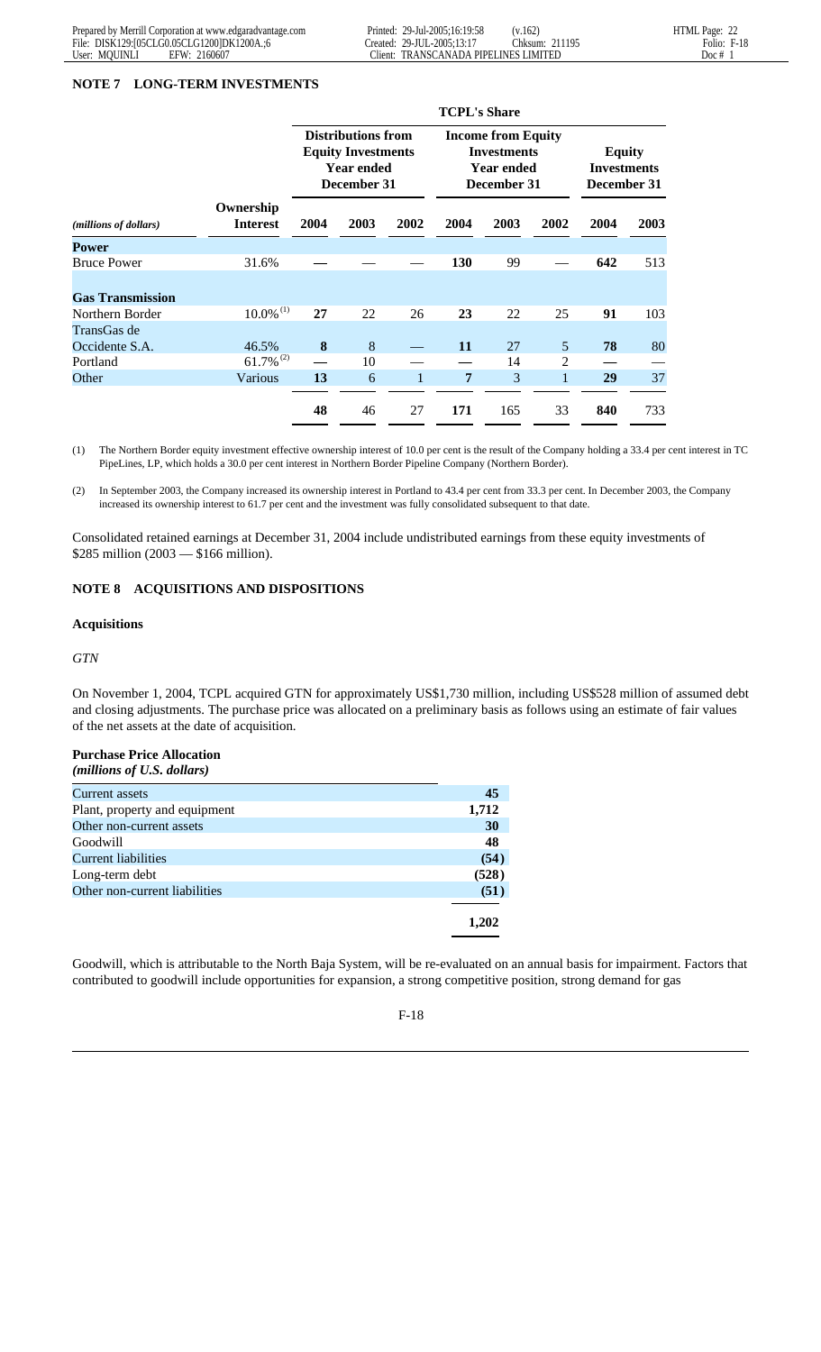#### **NOTE 7 LONG-TERM INVESTMENTS**

|                         |                              | <b>TCPL's Share</b>                                                                        |      |                                                                              |            |                                                    |      |      |      |
|-------------------------|------------------------------|--------------------------------------------------------------------------------------------|------|------------------------------------------------------------------------------|------------|----------------------------------------------------|------|------|------|
|                         |                              | <b>Distributions from</b><br><b>Equity Investments</b><br><b>Year ended</b><br>December 31 |      | <b>Income from Equity</b><br><b>Investments</b><br>Year ended<br>December 31 |            | <b>Equity</b><br><b>Investments</b><br>December 31 |      |      |      |
| (millions of dollars)   | Ownership<br><b>Interest</b> | 2004                                                                                       | 2003 | 2002                                                                         | 2004       | 2003                                               | 2002 | 2004 | 2003 |
| Power                   |                              |                                                                                            |      |                                                                              |            |                                                    |      |      |      |
| <b>Bruce Power</b>      | 31.6%                        |                                                                                            |      |                                                                              | <b>130</b> | 99                                                 |      | 642  | 513  |
|                         |                              |                                                                                            |      |                                                                              |            |                                                    |      |      |      |
| <b>Gas Transmission</b> |                              |                                                                                            |      |                                                                              |            |                                                    |      |      |      |
| Northern Border         | $10.0\%$ <sup>(1)</sup>      | 27                                                                                         | 22   | 26                                                                           | 23         | 22                                                 | 25   | 91   | 103  |
| TransGas de             |                              |                                                                                            |      |                                                                              |            |                                                    |      |      |      |
| Occidente S.A.          | 46.5%                        | 8                                                                                          | 8    |                                                                              | 11         | 27                                                 | 5    | 78   | 80   |
| Portland                | $61.7\%$ <sup>(2)</sup>      |                                                                                            | 10   |                                                                              |            | 14                                                 | 2    |      |      |
| Other                   | Various                      | 13                                                                                         | 6    | $\mathbf{1}$                                                                 | 7          | 3                                                  | 1    | 29   | 37   |
|                         |                              |                                                                                            |      |                                                                              |            |                                                    |      |      |      |
|                         |                              | 48                                                                                         | 46   | 27                                                                           | 171        | 165                                                | 33   | 840  | 733  |

(1) The Northern Border equity investment effective ownership interest of 10.0 per cent is the result of the Company holding a 33.4 per cent interest in TC PipeLines, LP, which holds a 30.0 per cent interest in Northern Border Pipeline Company (Northern Border).

(2) In September 2003, the Company increased its ownership interest in Portland to 43.4 per cent from 33.3 per cent. In December 2003, the Company increased its ownership interest to 61.7 per cent and the investment was fully consolidated subsequent to that date.

Consolidated retained earnings at December 31, 2004 include undistributed earnings from these equity investments of \$285 million (2003 — \$166 million).

# **NOTE 8 ACQUISITIONS AND DISPOSITIONS**

#### **Acquisitions**

#### *GTN*

On November 1, 2004, TCPL acquired GTN for approximately US\$1,730 million, including US\$528 million of assumed debt and closing adjustments. The purchase price was allocated on a preliminary basis as follows using an estimate of fair values of the net assets at the date of acquisition.

# **Purchase Price Allocation**

*(millions of U.S. dollars)*

| <b>Current</b> assets         | 45    |
|-------------------------------|-------|
| Plant, property and equipment | 1,712 |
| Other non-current assets      | 30    |
| Goodwill                      | 48    |
| <b>Current liabilities</b>    | (54)  |
| Long-term debt                | (528) |
| Other non-current liabilities | (51)  |
|                               |       |
|                               | 1.202 |

Goodwill, which is attributable to the North Baja System, will be re-evaluated on an annual basis for impairment. Factors that contributed to goodwill include opportunities for expansion, a strong competitive position, strong demand for gas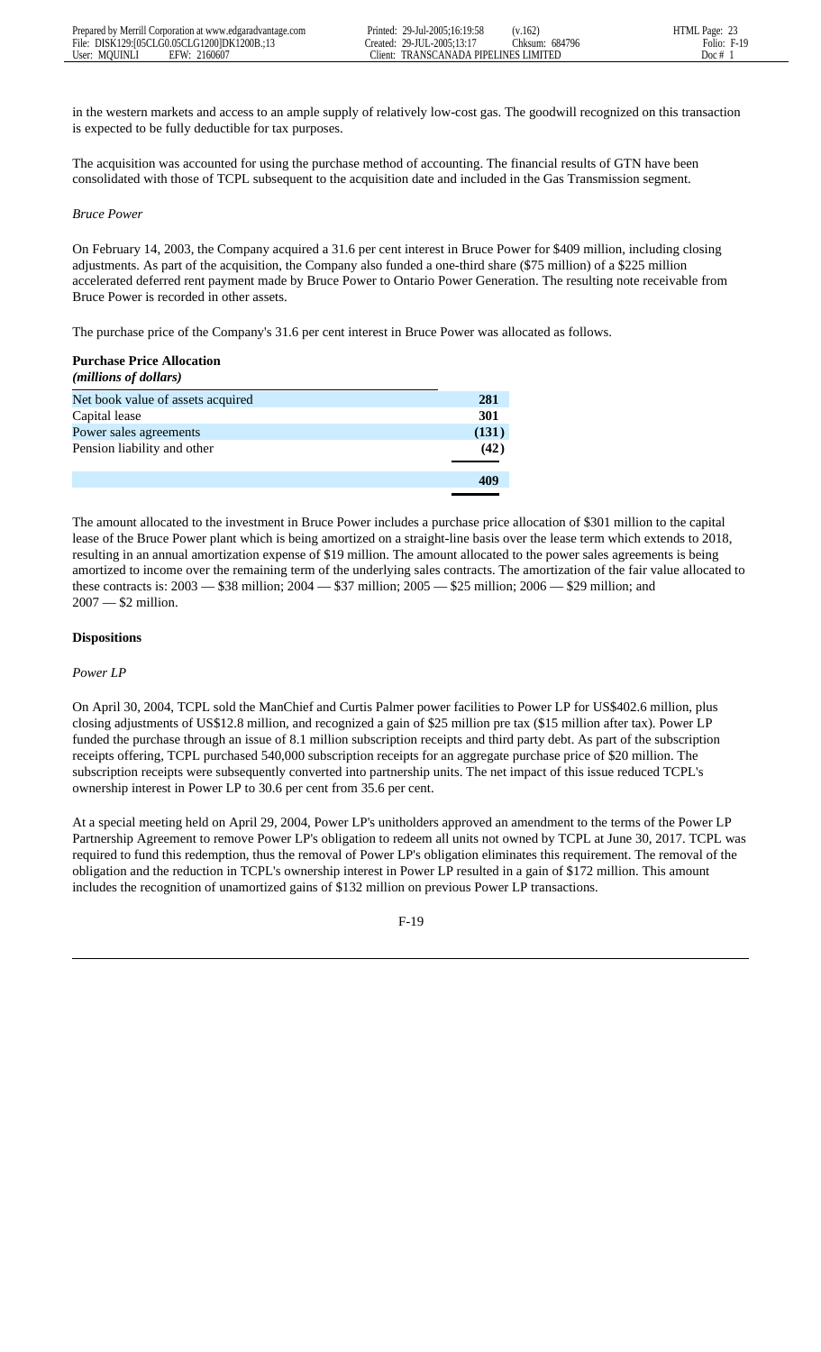in the western markets and access to an ample supply of relatively low-cost gas. The goodwill recognized on this transaction is expected to be fully deductible for tax purposes.

The acquisition was accounted for using the purchase method of accounting. The financial results of GTN have been consolidated with those of TCPL subsequent to the acquisition date and included in the Gas Transmission segment.

#### *Bruce Power*

On February 14, 2003, the Company acquired a 31.6 per cent interest in Bruce Power for \$409 million, including closing adjustments. As part of the acquisition, the Company also funded a one-third share (\$75 million) of a \$225 million accelerated deferred rent payment made by Bruce Power to Ontario Power Generation. The resulting note receivable from Bruce Power is recorded in other assets.

The purchase price of the Company's 31.6 per cent interest in Bruce Power was allocated as follows.

# **Purchase Price Allocation**

| ( <i>millions of dollars</i> )    |       |
|-----------------------------------|-------|
| Net book value of assets acquired | 281   |
| Capital lease                     | 301   |
| Power sales agreements            | (131) |
| Pension liability and other       | (42)  |
|                                   | 409   |
|                                   |       |

The amount allocated to the investment in Bruce Power includes a purchase price allocation of \$301 million to the capital lease of the Bruce Power plant which is being amortized on a straight-line basis over the lease term which extends to 2018, resulting in an annual amortization expense of \$19 million. The amount allocated to the power sales agreements is being amortized to income over the remaining term of the underlying sales contracts. The amortization of the fair value allocated to these contracts is: 2003 — \$38 million; 2004 — \$37 million; 2005 — \$25 million; 2006 — \$29 million; and 2007 — \$2 million.

# **Dispositions**

#### *Power LP*

On April 30, 2004, TCPL sold the ManChief and Curtis Palmer power facilities to Power LP for US\$402.6 million, plus closing adjustments of US\$12.8 million, and recognized a gain of \$25 million pre tax (\$15 million after tax). Power LP funded the purchase through an issue of 8.1 million subscription receipts and third party debt. As part of the subscription receipts offering, TCPL purchased 540,000 subscription receipts for an aggregate purchase price of \$20 million. The subscription receipts were subsequently converted into partnership units. The net impact of this issue reduced TCPL's ownership interest in Power LP to 30.6 per cent from 35.6 per cent.

At a special meeting held on April 29, 2004, Power LP's unitholders approved an amendment to the terms of the Power LP Partnership Agreement to remove Power LP's obligation to redeem all units not owned by TCPL at June 30, 2017. TCPL was required to fund this redemption, thus the removal of Power LP's obligation eliminates this requirement. The removal of the obligation and the reduction in TCPL's ownership interest in Power LP resulted in a gain of \$172 million. This amount includes the recognition of unamortized gains of \$132 million on previous Power LP transactions.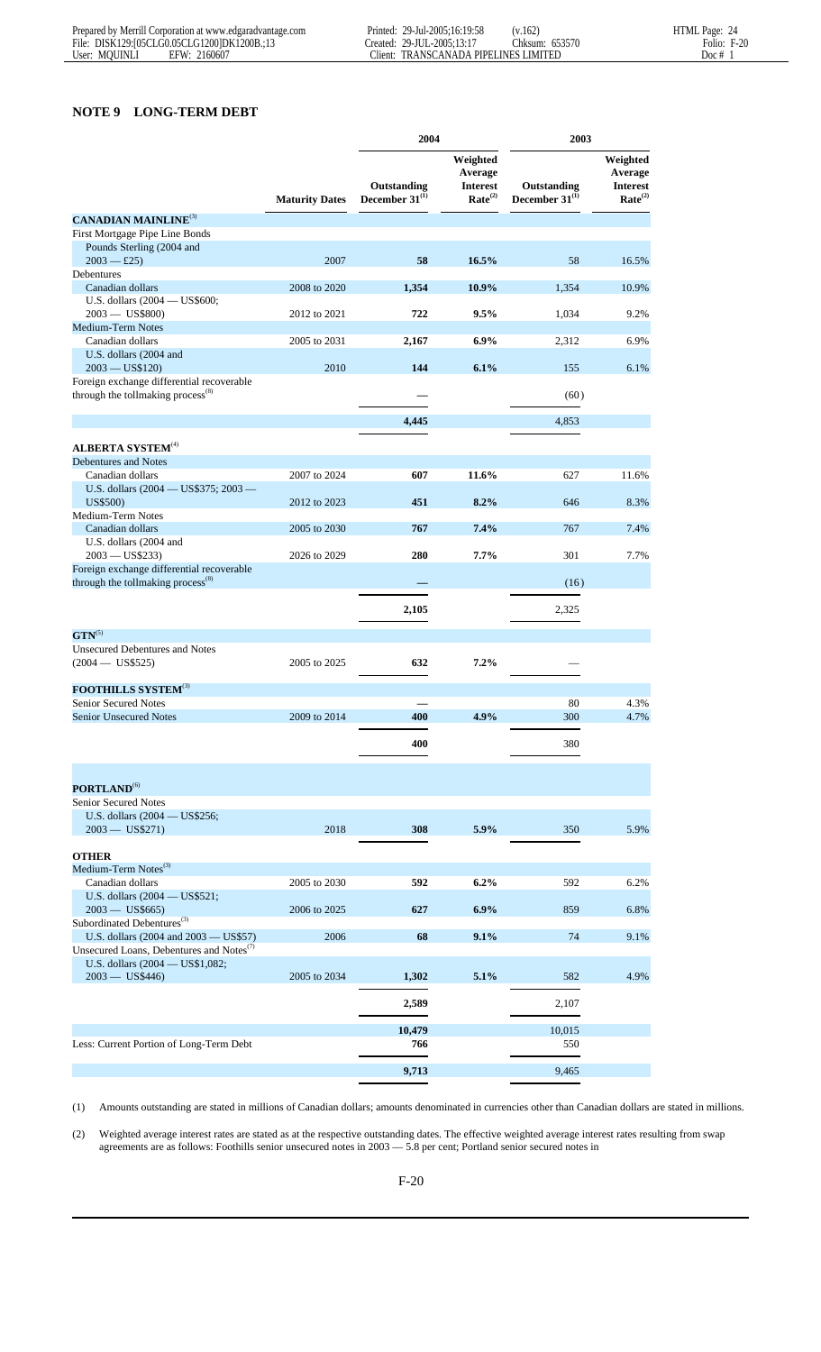# **NOTE 9 LONG-TERM DEBT**

|                                                                                               |                       | 2004                               |                                                               | 2003                               |                                                               |
|-----------------------------------------------------------------------------------------------|-----------------------|------------------------------------|---------------------------------------------------------------|------------------------------------|---------------------------------------------------------------|
|                                                                                               | <b>Maturity Dates</b> | Outstanding<br>December $31^{(1)}$ | Weighted<br>Average<br><b>Interest</b><br>Rate <sup>(2)</sup> | Outstanding<br>December $31^{(1)}$ | Weighted<br>Average<br><b>Interest</b><br>Rate <sup>(2)</sup> |
| <b>CANADIAN MAINLINE<sup>(3)</sup></b>                                                        |                       |                                    |                                                               |                                    |                                                               |
| First Mortgage Pipe Line Bonds                                                                |                       |                                    |                                                               |                                    |                                                               |
| Pounds Sterling (2004 and                                                                     |                       |                                    |                                                               |                                    |                                                               |
| $2003 - \pounds 25$                                                                           | 2007                  | 58                                 | 16.5%                                                         | 58                                 | 16.5%                                                         |
| <b>Debentures</b><br>Canadian dollars                                                         | 2008 to 2020          | 1,354                              | 10.9%                                                         | 1,354                              | 10.9%                                                         |
| U.S. dollars (2004 — US\$600;                                                                 |                       |                                    |                                                               |                                    |                                                               |
| $2003 - US$800$                                                                               | 2012 to 2021          | 722                                | 9.5%                                                          | 1,034                              | 9.2%                                                          |
| Medium-Term Notes                                                                             |                       |                                    |                                                               |                                    |                                                               |
| Canadian dollars                                                                              | 2005 to 2031          | 2,167                              | 6.9%                                                          | 2,312                              | 6.9%                                                          |
| U.S. dollars (2004 and<br>$2003 - US$120$                                                     | 2010                  | 144                                | 6.1%                                                          | 155                                | 6.1%                                                          |
| Foreign exchange differential recoverable                                                     |                       |                                    |                                                               |                                    |                                                               |
| through the tollmaking process <sup>(8)</sup>                                                 |                       |                                    |                                                               | (60)                               |                                                               |
|                                                                                               |                       | 4,445                              |                                                               | 4,853                              |                                                               |
|                                                                                               |                       |                                    |                                                               |                                    |                                                               |
| <b>ALBERTA SYSTEM<sup>(4)</sup></b><br>Debentures and Notes                                   |                       |                                    |                                                               |                                    |                                                               |
| Canadian dollars                                                                              | 2007 to 2024          | 607                                | 11.6%                                                         | 627                                | 11.6%                                                         |
| U.S. dollars (2004 — US\$375; 2003 —                                                          |                       |                                    |                                                               |                                    |                                                               |
| US\$500)                                                                                      | 2012 to 2023          | 451                                | 8.2%                                                          | 646                                | 8.3%                                                          |
| Medium-Term Notes                                                                             |                       |                                    |                                                               |                                    |                                                               |
| Canadian dollars                                                                              | 2005 to 2030          | 767                                | 7.4%                                                          | 767                                | 7.4%                                                          |
| U.S. dollars (2004 and<br>$2003 - US$233$                                                     | 2026 to 2029          | 280                                | 7.7%                                                          | 301                                | 7.7%                                                          |
| Foreign exchange differential recoverable                                                     |                       |                                    |                                                               |                                    |                                                               |
| through the tollmaking process <sup>(8)</sup>                                                 |                       |                                    |                                                               | (16)                               |                                                               |
|                                                                                               |                       | 2,105                              |                                                               | 2,325                              |                                                               |
| $\text{GTN}^{(5)}$                                                                            |                       |                                    |                                                               |                                    |                                                               |
| <b>Unsecured Debentures and Notes</b>                                                         |                       |                                    |                                                               |                                    |                                                               |
| $(2004 - US$525)$                                                                             | 2005 to 2025          | 632                                | 7.2%                                                          |                                    |                                                               |
| <b>FOOTHILLS SYSTEM</b> <sup>(3)</sup>                                                        |                       |                                    |                                                               |                                    |                                                               |
| <b>Senior Secured Notes</b><br><b>Senior Unsecured Notes</b>                                  | 2009 to 2014          | 400                                | 4.9%                                                          | 80<br>300                          | 4.3%<br>4.7%                                                  |
|                                                                                               |                       |                                    |                                                               |                                    |                                                               |
|                                                                                               |                       | 400                                |                                                               | 380                                |                                                               |
|                                                                                               |                       |                                    |                                                               |                                    |                                                               |
| PORTLAND <sup>(6)</sup><br>Senior Secured Notes                                               |                       |                                    |                                                               |                                    |                                                               |
| U.S. dollars $(2004 - US$256;$                                                                |                       |                                    |                                                               |                                    |                                                               |
| $2003 - US$271)$                                                                              | 2018                  | 308                                | 5.9%                                                          | 350                                | 5.9%                                                          |
|                                                                                               |                       |                                    |                                                               |                                    |                                                               |
| <b>OTHER</b><br>Medium-Term Notes <sup>(3)</sup>                                              |                       |                                    |                                                               |                                    |                                                               |
| Canadian dollars                                                                              | 2005 to 2030          | 592                                | $6.2\%$                                                       | 592                                | 6.2%                                                          |
| U.S. dollars (2004 - US\$521;                                                                 |                       |                                    |                                                               |                                    |                                                               |
| $2003 - US$665)$                                                                              | 2006 to 2025          | 627                                | $6.9\%$                                                       | 859                                | 6.8%                                                          |
| Subordinated Debentures <sup>(3)</sup>                                                        |                       |                                    |                                                               |                                    |                                                               |
| U.S. dollars (2004 and 2003 - US\$57)<br>Unsecured Loans, Debentures and Notes <sup>(7)</sup> | 2006                  | 68                                 | 9.1%                                                          | 74                                 | 9.1%                                                          |
| U.S. dollars (2004 - US\$1,082;<br>$2003 - US$446)$                                           | 2005 to 2034          | 1,302                              | 5.1%                                                          | 582                                | 4.9%                                                          |
|                                                                                               |                       | 2,589                              |                                                               | 2,107                              |                                                               |
|                                                                                               |                       |                                    |                                                               |                                    |                                                               |
| Less: Current Portion of Long-Term Debt                                                       |                       | 10,479<br>766                      |                                                               | 10,015<br>550                      |                                                               |
|                                                                                               |                       |                                    |                                                               |                                    |                                                               |
|                                                                                               |                       | 9,713                              |                                                               | 9,465                              |                                                               |

(1) Amounts outstanding are stated in millions of Canadian dollars; amounts denominated in currencies other than Canadian dollars are stated in millions.

(2) Weighted average interest rates are stated as at the respective outstanding dates. The effective weighted average interest rates resulting from swap agreements are as follows: Foothills senior unsecured notes in 2003 — 5.8 per cent; Portland senior secured notes in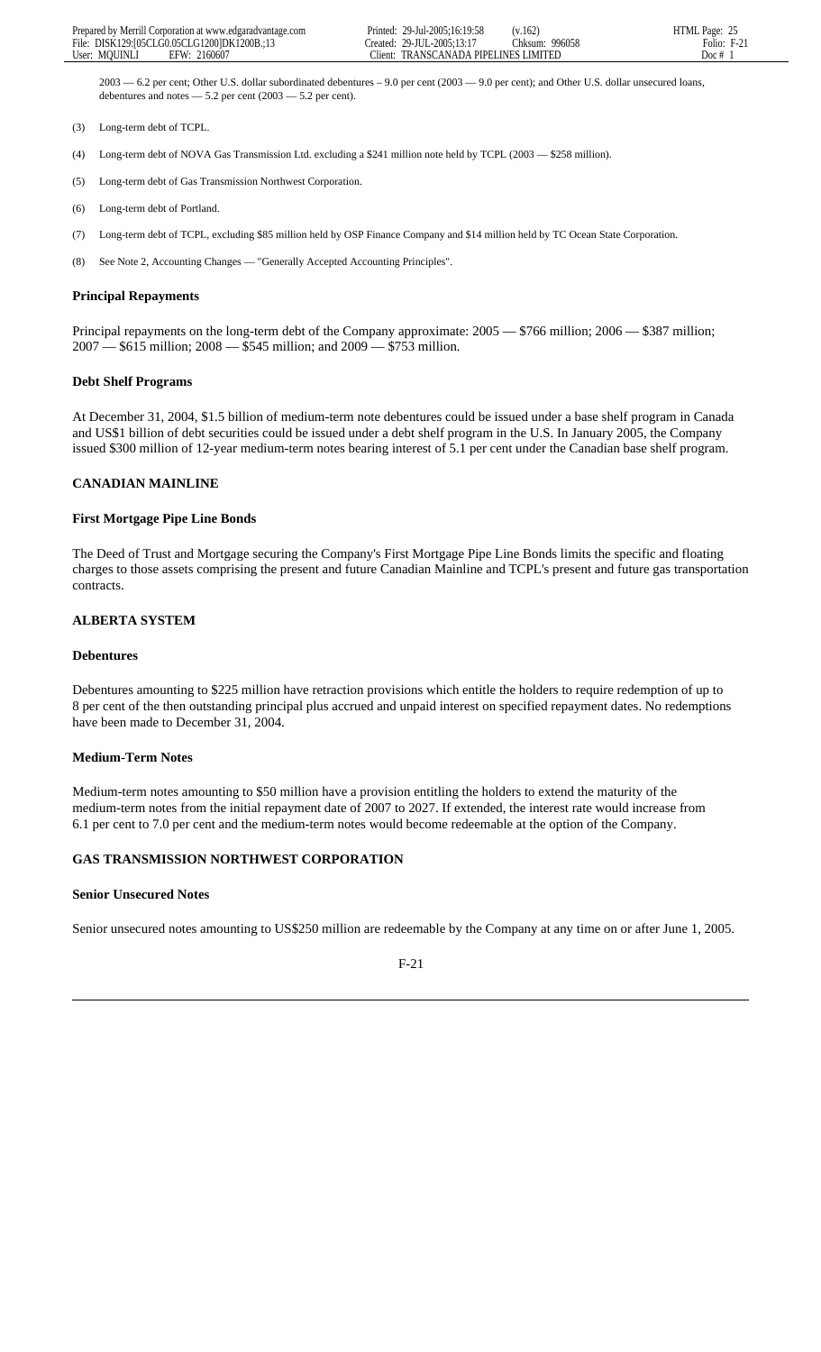2003 — 6.2 per cent; Other U.S. dollar subordinated debentures – 9.0 per cent (2003 — 9.0 per cent); and Other U.S. dollar unsecured loans, debentures and notes  $-5.2$  per cent (2003  $-5.2$  per cent).

- (3) Long-term debt of TCPL.
- (4) Long-term debt of NOVA Gas Transmission Ltd. excluding a \$241 million note held by TCPL (2003 \$258 million).
- (5) Long-term debt of Gas Transmission Northwest Corporation.
- (6) Long-term debt of Portland.
- (7) Long-term debt of TCPL, excluding \$85 million held by OSP Finance Company and \$14 million held by TC Ocean State Corporation.
- (8) See Note 2, Accounting Changes "Generally Accepted Accounting Principles".

#### **Principal Repayments**

Principal repayments on the long-term debt of the Company approximate: 2005 — \$766 million; 2006 — \$387 million; 2007 — \$615 million; 2008 — \$545 million; and 2009 — \$753 million.

#### **Debt Shelf Programs**

At December 31, 2004, \$1.5 billion of medium-term note debentures could be issued under a base shelf program in Canada and US\$1 billion of debt securities could be issued under a debt shelf program in the U.S. In January 2005, the Company issued \$300 million of 12-year medium-term notes bearing interest of 5.1 per cent under the Canadian base shelf program.

#### **CANADIAN MAINLINE**

#### **First Mortgage Pipe Line Bonds**

The Deed of Trust and Mortgage securing the Company's First Mortgage Pipe Line Bonds limits the specific and floating charges to those assets comprising the present and future Canadian Mainline and TCPL's present and future gas transportation contracts.

# **ALBERTA SYSTEM**

#### **Debentures**

Debentures amounting to \$225 million have retraction provisions which entitle the holders to require redemption of up to 8 per cent of the then outstanding principal plus accrued and unpaid interest on specified repayment dates. No redemptions have been made to December 31, 2004.

#### **Medium-Term Notes**

Medium-term notes amounting to \$50 million have a provision entitling the holders to extend the maturity of the medium-term notes from the initial repayment date of 2007 to 2027. If extended, the interest rate would increase from 6.1 per cent to 7.0 per cent and the medium-term notes would become redeemable at the option of the Company.

#### **GAS TRANSMISSION NORTHWEST CORPORATION**

#### **Senior Unsecured Notes**

Senior unsecured notes amounting to US\$250 million are redeemable by the Company at any time on or after June 1, 2005.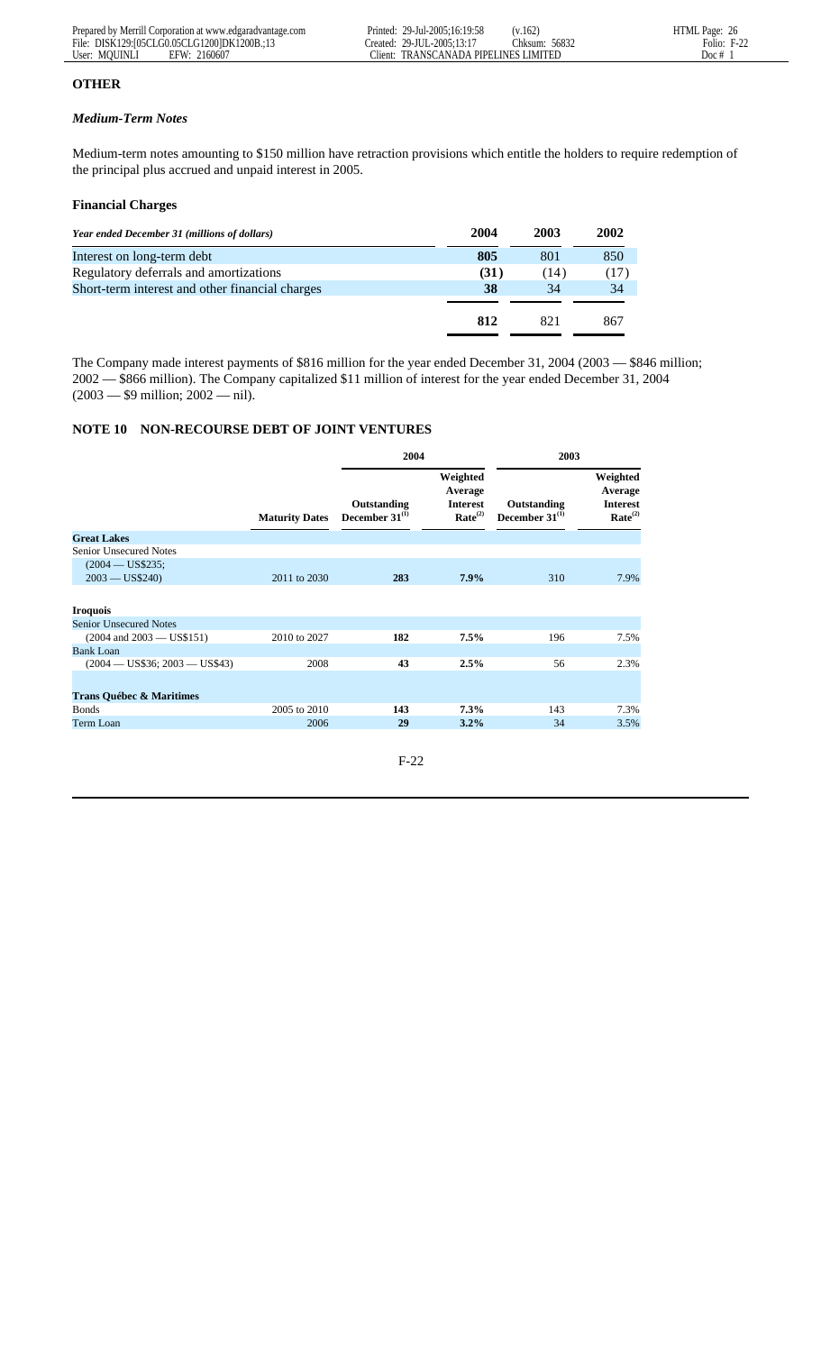# **OTHER**

# *Medium-Term Notes*

Medium-term notes amounting to \$150 million have retraction provisions which entitle the holders to require redemption of the principal plus accrued and unpaid interest in 2005.

# **Financial Charges**

| 2004 | 2003 | 2002 |
|------|------|------|
| 805  | 801  | 850  |
| (31) | (14) | (17) |
| 38   | 34   | 34   |
|      |      |      |
| 812  | 821  | 867  |
|      |      |      |

The Company made interest payments of \$816 million for the year ended December 31, 2004 (2003 — \$846 million; 2002 — \$866 million). The Company capitalized \$11 million of interest for the year ended December 31, 2004 (2003 — \$9 million; 2002 — nil).

# **NOTE 10 NON-RECOURSE DEBT OF JOINT VENTURES**

|                                      |                       | 2004                               |                                                               | 2003                               |                                                               |  |
|--------------------------------------|-----------------------|------------------------------------|---------------------------------------------------------------|------------------------------------|---------------------------------------------------------------|--|
|                                      | <b>Maturity Dates</b> | Outstanding<br>December $31^{(1)}$ | Weighted<br>Average<br><b>Interest</b><br>Rate <sup>(2)</sup> | Outstanding<br>December $31^{(1)}$ | Weighted<br>Average<br><b>Interest</b><br>Rate <sup>(2)</sup> |  |
| <b>Great Lakes</b>                   |                       |                                    |                                                               |                                    |                                                               |  |
| Senior Unsecured Notes               |                       |                                    |                                                               |                                    |                                                               |  |
| $(2004 - US$235;$<br>$2003 - US$240$ | 2011 to 2030          | 283                                | $7.9\%$                                                       | 310                                | 7.9%                                                          |  |
| <b>Iroquois</b>                      |                       |                                    |                                                               |                                    |                                                               |  |
| <b>Senior Unsecured Notes</b>        |                       |                                    |                                                               |                                    |                                                               |  |
| $(2004 \text{ and } 2003 - US$151)$  | 2010 to 2027          | 182                                | 7.5%                                                          | 196                                | 7.5%                                                          |  |
| <b>Bank Loan</b>                     |                       |                                    |                                                               |                                    |                                                               |  |
| $(2004 - US$36; 2003 - US$43)$       | 2008                  | 43                                 | 2.5%                                                          | 56                                 | 2.3%                                                          |  |
| <b>Trans Québec &amp; Maritimes</b>  |                       |                                    |                                                               |                                    |                                                               |  |
| <b>Bonds</b>                         | 2005 to 2010          | 143                                | 7.3%                                                          | 143                                | 7.3%                                                          |  |
| Term Loan                            | 2006                  | 29                                 | 3.2%                                                          | 34                                 | 3.5%                                                          |  |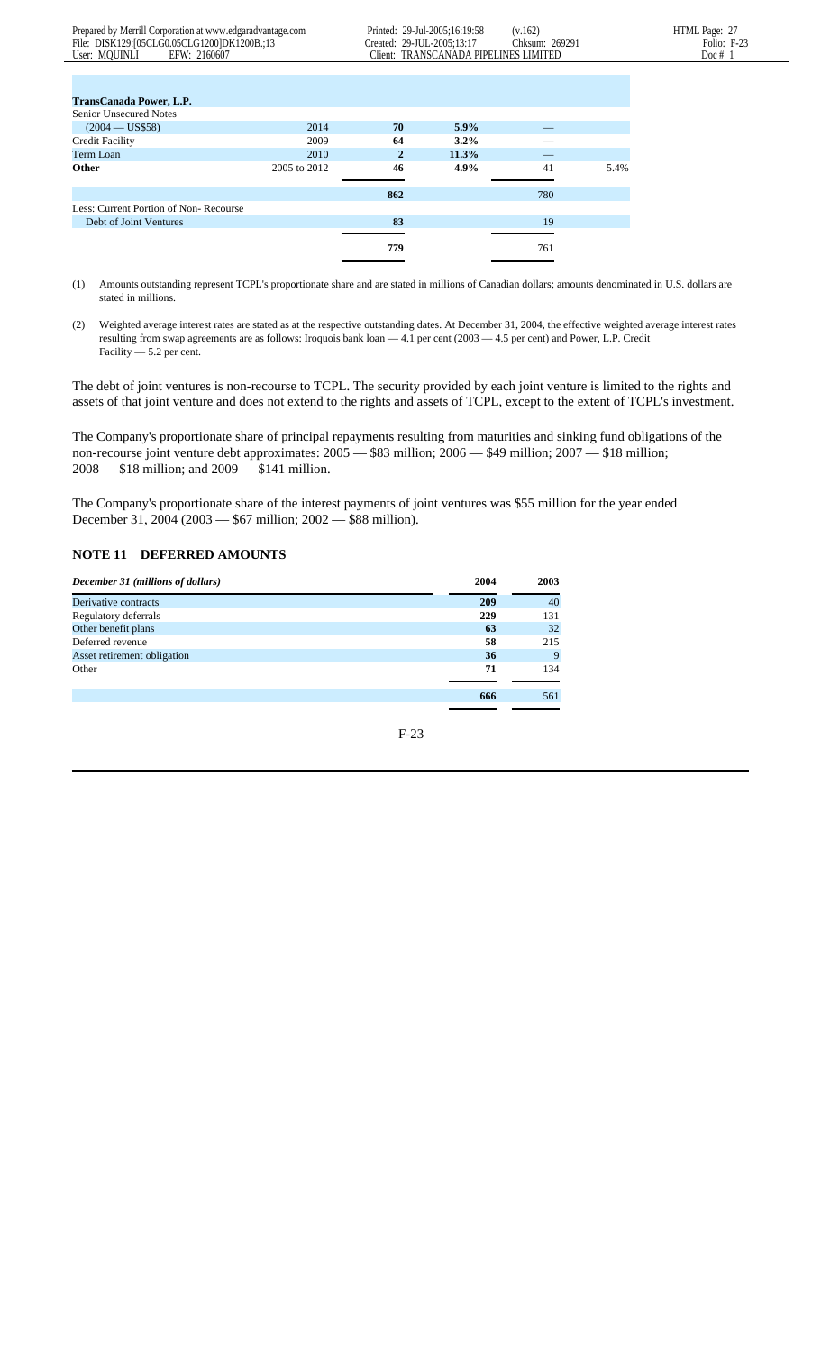| <b>TransCanada Power, L.P.</b>        |              |              |         |     |      |
|---------------------------------------|--------------|--------------|---------|-----|------|
| Senior Unsecured Notes                |              |              |         |     |      |
| $(2004 - US$58)$                      | 2014         | 70           | $5.9\%$ |     |      |
| <b>Credit Facility</b>                | 2009         | 64           | $3.2\%$ |     |      |
| Term Loan                             | 2010         | $\mathbf{2}$ | 11.3%   |     |      |
| <b>Other</b>                          | 2005 to 2012 | 46           | 4.9%    | 41  | 5.4% |
|                                       |              |              |         |     |      |
|                                       |              | 862          |         | 780 |      |
| Less: Current Portion of Non-Recourse |              |              |         |     |      |
| Debt of Joint Ventures                |              | 83           |         | 19  |      |
|                                       |              |              |         |     |      |
|                                       |              | 779          |         | 761 |      |
|                                       |              |              |         |     |      |

(1) Amounts outstanding represent TCPL's proportionate share and are stated in millions of Canadian dollars; amounts denominated in U.S. dollars are stated in millions.

(2) Weighted average interest rates are stated as at the respective outstanding dates. At December 31, 2004, the effective weighted average interest rates resulting from swap agreements are as follows: Iroquois bank loan — 4.1 per cent (2003 — 4.5 per cent) and Power, L.P. Credit Facility — 5.2 per cent.

The debt of joint ventures is non-recourse to TCPL. The security provided by each joint venture is limited to the rights and assets of that joint venture and does not extend to the rights and assets of TCPL, except to the extent of TCPL's investment.

The Company's proportionate share of principal repayments resulting from maturities and sinking fund obligations of the non-recourse joint venture debt approximates: 2005 — \$83 million; 2006 — \$49 million; 2007 — \$18 million; 2008 — \$18 million; and 2009 — \$141 million.

The Company's proportionate share of the interest payments of joint ventures was \$55 million for the year ended December 31, 2004 (2003 — \$67 million; 2002 — \$88 million).

#### **NOTE 11 DEFERRED AMOUNTS**

| December 31 (millions of dollars) | 2004 | 2003 |
|-----------------------------------|------|------|
| Derivative contracts              | 209  | 40   |
| Regulatory deferrals              | 229  | 131  |
| Other benefit plans               | 63   | 32   |
| Deferred revenue                  | 58   | 215  |
| Asset retirement obligation       | 36   | 9    |
| Other                             | 71   | 134  |
|                                   |      |      |
|                                   | 666  | 561  |
|                                   |      |      |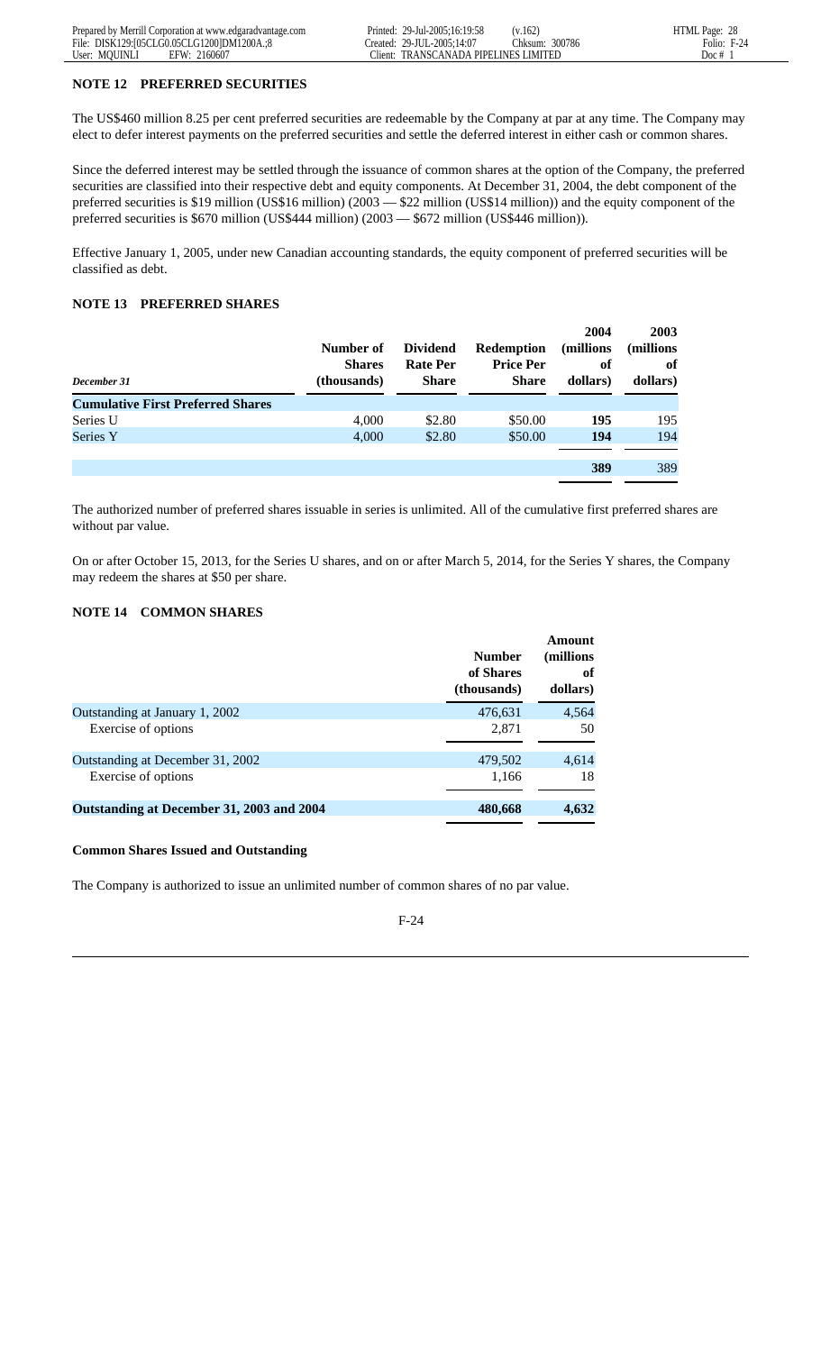#### **NOTE 12 PREFERRED SECURITIES**

The US\$460 million 8.25 per cent preferred securities are redeemable by the Company at par at any time. The Company may elect to defer interest payments on the preferred securities and settle the deferred interest in either cash or common shares.

Since the deferred interest may be settled through the issuance of common shares at the option of the Company, the preferred securities are classified into their respective debt and equity components. At December 31, 2004, the debt component of the preferred securities is \$19 million (US\$16 million) (2003 — \$22 million (US\$14 million)) and the equity component of the preferred securities is \$670 million (US\$444 million) (2003 — \$672 million (US\$446 million)).

Effective January 1, 2005, under new Canadian accounting standards, the equity component of preferred securities will be classified as debt.

#### **NOTE 13 PREFERRED SHARES**

| December 31                              | Number of<br><b>Shares</b><br>(thousands) | <b>Dividend</b><br><b>Rate Per</b><br><b>Share</b> | <b>Redemption</b><br><b>Price Per</b><br><b>Share</b> | 2004<br>(millions)<br>of<br>dollars) | 2003<br>(millions)<br>of<br>dollars) |
|------------------------------------------|-------------------------------------------|----------------------------------------------------|-------------------------------------------------------|--------------------------------------|--------------------------------------|
| <b>Cumulative First Preferred Shares</b> |                                           |                                                    |                                                       |                                      |                                      |
| Series U                                 | 4.000                                     | \$2.80                                             | \$50.00                                               | 195                                  | 195                                  |
| Series Y                                 | 4,000                                     | \$2.80                                             | \$50.00                                               | 194                                  | 194                                  |
|                                          |                                           |                                                    |                                                       |                                      |                                      |
|                                          |                                           |                                                    |                                                       | 389                                  | 389                                  |

The authorized number of preferred shares issuable in series is unlimited. All of the cumulative first preferred shares are without par value.

On or after October 15, 2013, for the Series U shares, and on or after March 5, 2014, for the Series Y shares, the Company may redeem the shares at \$50 per share.

# **NOTE 14 COMMON SHARES**

|                                           | <b>Number</b><br>of Shares<br>(thousands) | <b>Amount</b><br>(millions)<br>of<br>dollars) |
|-------------------------------------------|-------------------------------------------|-----------------------------------------------|
| Outstanding at January 1, 2002            | 476,631                                   | 4,564                                         |
| Exercise of options                       | 2,871                                     | 50                                            |
| Outstanding at December 31, 2002          | 479,502                                   | 4,614                                         |
| Exercise of options                       | 1,166                                     | 18                                            |
| Outstanding at December 31, 2003 and 2004 | 480,668                                   | 4,632                                         |

#### **Common Shares Issued and Outstanding**

The Company is authorized to issue an unlimited number of common shares of no par value.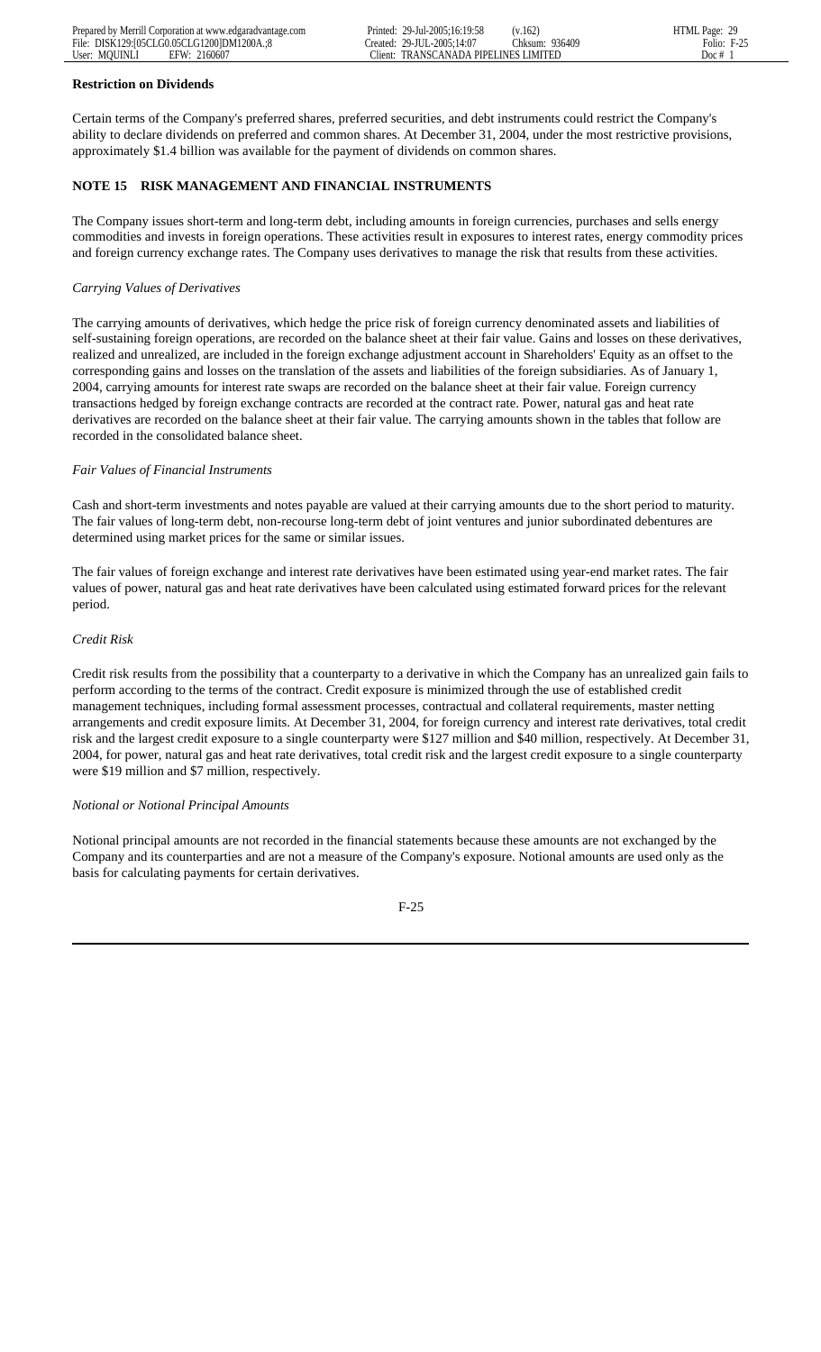#### **Restriction on Dividends**

Certain terms of the Company's preferred shares, preferred securities, and debt instruments could restrict the Company's ability to declare dividends on preferred and common shares. At December 31, 2004, under the most restrictive provisions, approximately \$1.4 billion was available for the payment of dividends on common shares.

# **NOTE 15 RISK MANAGEMENT AND FINANCIAL INSTRUMENTS**

The Company issues short-term and long-term debt, including amounts in foreign currencies, purchases and sells energy commodities and invests in foreign operations. These activities result in exposures to interest rates, energy commodity prices and foreign currency exchange rates. The Company uses derivatives to manage the risk that results from these activities.

# *Carrying Values of Derivatives*

The carrying amounts of derivatives, which hedge the price risk of foreign currency denominated assets and liabilities of self-sustaining foreign operations, are recorded on the balance sheet at their fair value. Gains and losses on these derivatives, realized and unrealized, are included in the foreign exchange adjustment account in Shareholders' Equity as an offset to the corresponding gains and losses on the translation of the assets and liabilities of the foreign subsidiaries. As of January 1, 2004, carrying amounts for interest rate swaps are recorded on the balance sheet at their fair value. Foreign currency transactions hedged by foreign exchange contracts are recorded at the contract rate. Power, natural gas and heat rate derivatives are recorded on the balance sheet at their fair value. The carrying amounts shown in the tables that follow are recorded in the consolidated balance sheet.

# *Fair Values of Financial Instruments*

Cash and short-term investments and notes payable are valued at their carrying amounts due to the short period to maturity. The fair values of long-term debt, non-recourse long-term debt of joint ventures and junior subordinated debentures are determined using market prices for the same or similar issues.

The fair values of foreign exchange and interest rate derivatives have been estimated using year-end market rates. The fair values of power, natural gas and heat rate derivatives have been calculated using estimated forward prices for the relevant period.

# *Credit Risk*

Credit risk results from the possibility that a counterparty to a derivative in which the Company has an unrealized gain fails to perform according to the terms of the contract. Credit exposure is minimized through the use of established credit management techniques, including formal assessment processes, contractual and collateral requirements, master netting arrangements and credit exposure limits. At December 31, 2004, for foreign currency and interest rate derivatives, total credit risk and the largest credit exposure to a single counterparty were \$127 million and \$40 million, respectively. At December 31, 2004, for power, natural gas and heat rate derivatives, total credit risk and the largest credit exposure to a single counterparty were \$19 million and \$7 million, respectively.

# *Notional or Notional Principal Amounts*

Notional principal amounts are not recorded in the financial statements because these amounts are not exchanged by the Company and its counterparties and are not a measure of the Company's exposure. Notional amounts are used only as the basis for calculating payments for certain derivatives.

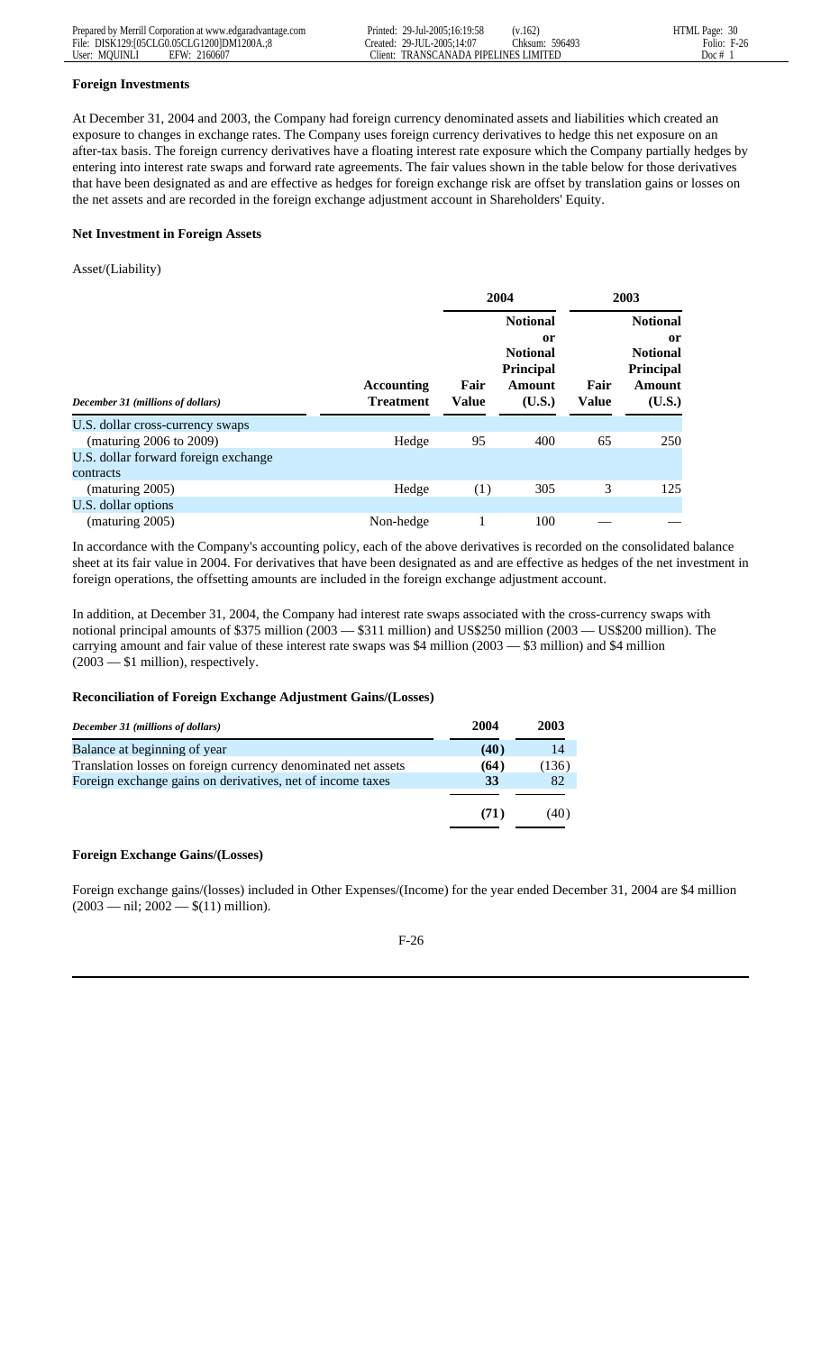#### **Foreign Investments**

At December 31, 2004 and 2003, the Company had foreign currency denominated assets and liabilities which created an exposure to changes in exchange rates. The Company uses foreign currency derivatives to hedge this net exposure on an after-tax basis. The foreign currency derivatives have a floating interest rate exposure which the Company partially hedges by entering into interest rate swaps and forward rate agreements. The fair values shown in the table below for those derivatives that have been designated as and are effective as hedges for foreign exchange risk are offset by translation gains or losses on the net assets and are recorded in the foreign exchange adjustment account in Shareholders' Equity.

#### **Net Investment in Foreign Assets**

#### Asset/(Liability)

|                                                   |                                | 2004                                                                                                                |     | 2003                 |                                                                                                    |  |
|---------------------------------------------------|--------------------------------|---------------------------------------------------------------------------------------------------------------------|-----|----------------------|----------------------------------------------------------------------------------------------------|--|
| December 31 (millions of dollars)                 | Accounting<br><b>Treatment</b> | <b>Notional</b><br><sub>or</sub><br><b>Notional</b><br><b>Principal</b><br>Fair<br>Amount<br><b>Value</b><br>(U.S.) |     | Fair<br><b>Value</b> | <b>Notional</b><br><sub>or</sub><br><b>Notional</b><br><b>Principal</b><br><b>Amount</b><br>(U.S.) |  |
| U.S. dollar cross-currency swaps                  |                                |                                                                                                                     |     |                      |                                                                                                    |  |
| (maturing 2006 to 2009)                           | Hedge                          | 95                                                                                                                  | 400 | 65                   | 250                                                                                                |  |
| U.S. dollar forward foreign exchange<br>contracts |                                |                                                                                                                     |     |                      |                                                                                                    |  |
| (maturing 2005)                                   | Hedge                          | (1)                                                                                                                 | 305 | 3                    | 125                                                                                                |  |
| U.S. dollar options                               |                                |                                                                                                                     |     |                      |                                                                                                    |  |
| (maturing 2005)                                   | Non-hedge                      |                                                                                                                     | 100 |                      |                                                                                                    |  |

In accordance with the Company's accounting policy, each of the above derivatives is recorded on the consolidated balance sheet at its fair value in 2004. For derivatives that have been designated as and are effective as hedges of the net investment in foreign operations, the offsetting amounts are included in the foreign exchange adjustment account.

In addition, at December 31, 2004, the Company had interest rate swaps associated with the cross-currency swaps with notional principal amounts of \$375 million (2003 — \$311 million) and US\$250 million (2003 — US\$200 million). The carrying amount and fair value of these interest rate swaps was \$4 million (2003 — \$3 million) and \$4 million (2003 — \$1 million), respectively.

# **Reconciliation of Foreign Exchange Adjustment Gains/(Losses)**

| December 31 (millions of dollars)                             | 2004 | 2003  |
|---------------------------------------------------------------|------|-------|
| Balance at beginning of year                                  | (40) | 14    |
| Translation losses on foreign currency denominated net assets | (64) | (136) |
| Foreign exchange gains on derivatives, net of income taxes    | 33   | 82    |
|                                                               | (71) | (40)  |
|                                                               |      |       |

# **Foreign Exchange Gains/(Losses)**

Foreign exchange gains/(losses) included in Other Expenses/(Income) for the year ended December 31, 2004 are \$4 million  $(2003 - \text{nil}; 2002 - \text{$}11) \text{ million}).$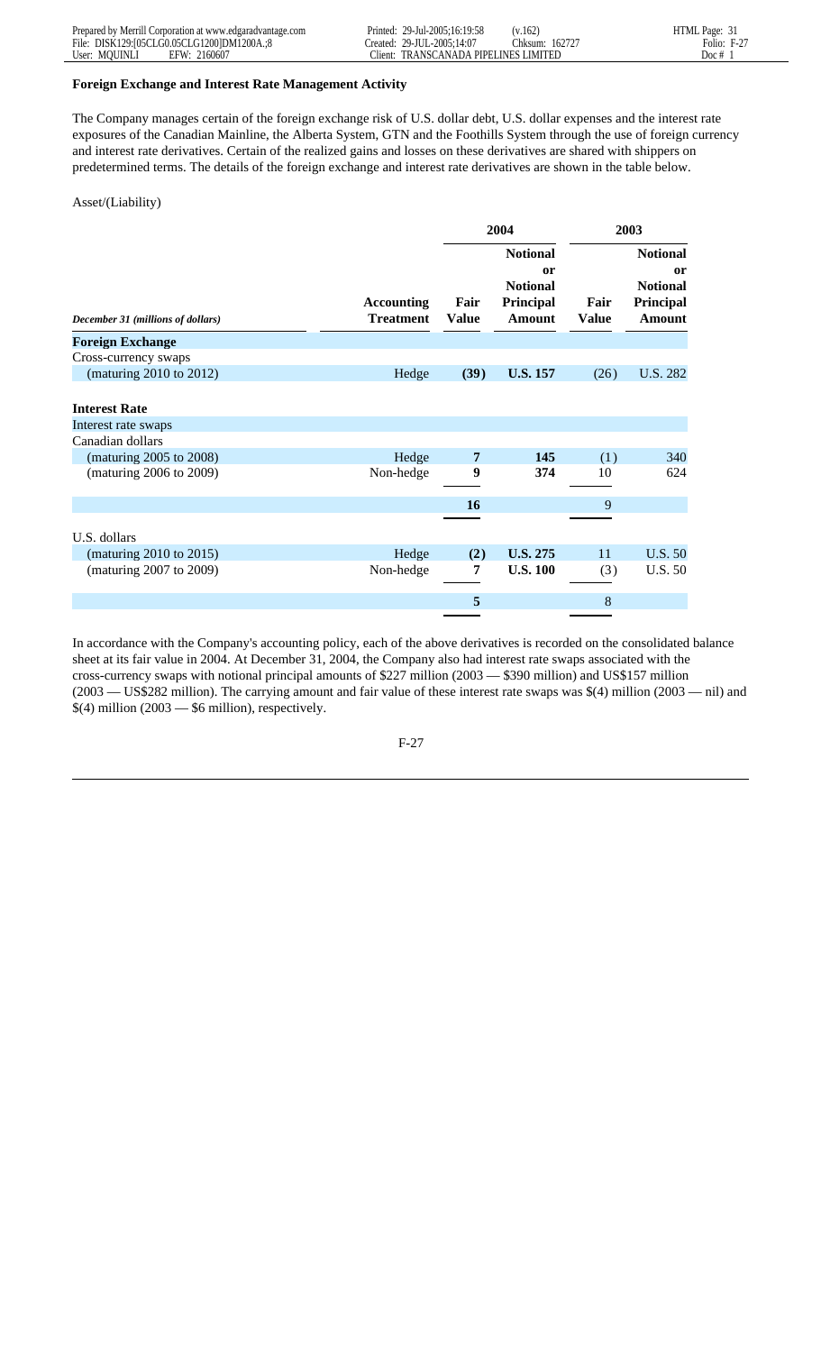#### **Foreign Exchange and Interest Rate Management Activity**

The Company manages certain of the foreign exchange risk of U.S. dollar debt, U.S. dollar expenses and the interest rate exposures of the Canadian Mainline, the Alberta System, GTN and the Foothills System through the use of foreign currency and interest rate derivatives. Certain of the realized gains and losses on these derivatives are shared with shippers on predetermined terms. The details of the foreign exchange and interest rate derivatives are shown in the table below.

#### Asset/(Liability)

|                                   |                                |                      | 2004                                                                              | 2003                 |                                                                        |
|-----------------------------------|--------------------------------|----------------------|-----------------------------------------------------------------------------------|----------------------|------------------------------------------------------------------------|
| December 31 (millions of dollars) | Accounting<br><b>Treatment</b> | Fair<br><b>Value</b> | <b>Notional</b><br><sub>or</sub><br><b>Notional</b><br>Principal<br><b>Amount</b> | Fair<br><b>Value</b> | <b>Notional</b><br>or<br><b>Notional</b><br>Principal<br><b>Amount</b> |
| <b>Foreign Exchange</b>           |                                |                      |                                                                                   |                      |                                                                        |
| Cross-currency swaps              |                                |                      |                                                                                   |                      |                                                                        |
| (maturing 2010 to 2012)           | Hedge                          | (39)                 | <b>U.S. 157</b>                                                                   | (26)                 | U.S. 282                                                               |
| <b>Interest Rate</b>              |                                |                      |                                                                                   |                      |                                                                        |
| Interest rate swaps               |                                |                      |                                                                                   |                      |                                                                        |
| Canadian dollars                  |                                |                      |                                                                                   |                      |                                                                        |
| (maturing 2005 to 2008)           | Hedge                          | 7                    | 145                                                                               | (1)                  | 340                                                                    |
| (maturing 2006 to 2009)           | Non-hedge                      | 9                    | 374                                                                               | 10                   | 624                                                                    |
|                                   |                                | <b>16</b>            |                                                                                   | 9                    |                                                                        |
|                                   |                                |                      |                                                                                   |                      |                                                                        |
| U.S. dollars                      |                                |                      |                                                                                   |                      |                                                                        |
| (maturing 2010 to 2015)           | Hedge                          | (2)                  | <b>U.S. 275</b>                                                                   | 11                   | <b>U.S. 50</b>                                                         |
| (maturing 2007 to 2009)           | Non-hedge                      | 7                    | <b>U.S. 100</b>                                                                   | (3)                  | <b>U.S. 50</b>                                                         |
|                                   |                                | 5                    |                                                                                   | 8                    |                                                                        |

In accordance with the Company's accounting policy, each of the above derivatives is recorded on the consolidated balance sheet at its fair value in 2004. At December 31, 2004, the Company also had interest rate swaps associated with the cross-currency swaps with notional principal amounts of \$227 million (2003 — \$390 million) and US\$157 million (2003 — US\$282 million). The carrying amount and fair value of these interest rate swaps was \$(4) million (2003 — nil) and  $$(4)$  million  $(2003 - $6$  million), respectively.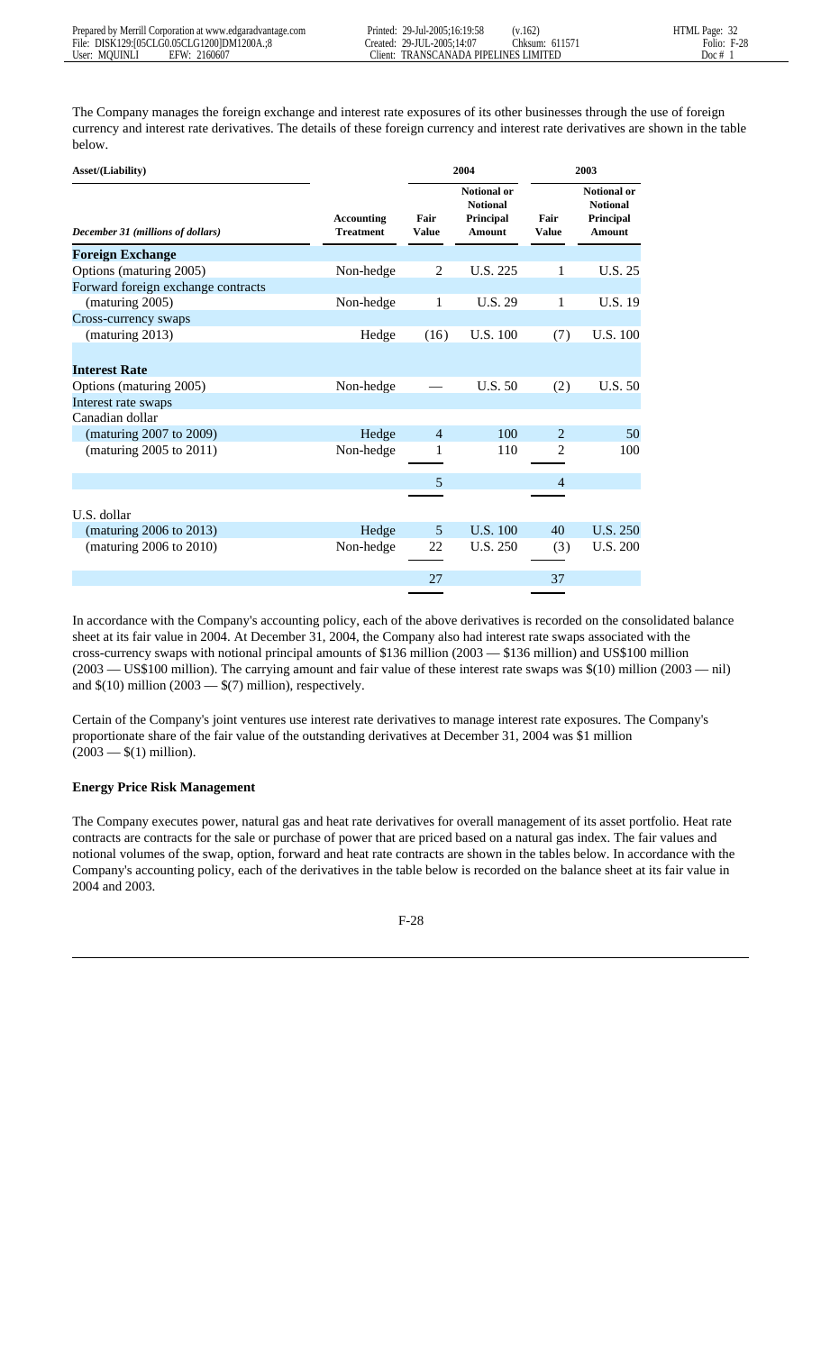The Company manages the foreign exchange and interest rate exposures of its other businesses through the use of foreign currency and interest rate derivatives. The details of these foreign currency and interest rate derivatives are shown in the table below.

| Asset/(Liability)                  |                                       |                      | 2004                                                                |                      | 2003                                                                |  |
|------------------------------------|---------------------------------------|----------------------|---------------------------------------------------------------------|----------------------|---------------------------------------------------------------------|--|
| December 31 (millions of dollars)  | <b>Accounting</b><br><b>Treatment</b> | Fair<br><b>Value</b> | <b>Notional or</b><br><b>Notional</b><br>Principal<br><b>Amount</b> | Fair<br><b>Value</b> | <b>Notional or</b><br><b>Notional</b><br>Principal<br><b>Amount</b> |  |
| <b>Foreign Exchange</b>            |                                       |                      |                                                                     |                      |                                                                     |  |
| Options (maturing 2005)            | Non-hedge                             | $\overline{2}$       | U.S. 225                                                            | 1                    | U.S. 25                                                             |  |
| Forward foreign exchange contracts |                                       |                      |                                                                     |                      |                                                                     |  |
| (maturing 2005)                    | Non-hedge                             | 1                    | U.S. 29                                                             | 1                    | <b>U.S. 19</b>                                                      |  |
| Cross-currency swaps               |                                       |                      |                                                                     |                      |                                                                     |  |
| (maturing 2013)                    | Hedge                                 | (16)                 | U.S. 100                                                            | (7)                  | U.S. 100                                                            |  |
|                                    |                                       |                      |                                                                     |                      |                                                                     |  |
| <b>Interest Rate</b>               |                                       |                      |                                                                     |                      |                                                                     |  |
| Options (maturing 2005)            | Non-hedge                             |                      | U.S. 50                                                             | (2)                  | U.S. 50                                                             |  |
| Interest rate swaps                |                                       |                      |                                                                     |                      |                                                                     |  |
| Canadian dollar                    |                                       |                      |                                                                     |                      |                                                                     |  |
| (maturing 2007 to 2009)            | Hedge                                 | $\overline{4}$       | 100                                                                 | 2                    | 50                                                                  |  |
| (maturing 2005 to 2011)            | Non-hedge                             | 1                    | 110                                                                 | 2                    | 100                                                                 |  |
|                                    |                                       |                      |                                                                     |                      |                                                                     |  |
|                                    |                                       | 5                    |                                                                     | $\overline{4}$       |                                                                     |  |
|                                    |                                       |                      |                                                                     |                      |                                                                     |  |
| U.S. dollar                        |                                       |                      |                                                                     |                      |                                                                     |  |
| (maturing 2006 to 2013)            | Hedge                                 | 5                    | U.S. 100                                                            | 40                   | U.S. 250                                                            |  |
| (maturing 2006 to 2010)            | Non-hedge                             | 22                   | U.S. 250                                                            | (3)                  | <b>U.S. 200</b>                                                     |  |
|                                    |                                       |                      |                                                                     |                      |                                                                     |  |
|                                    |                                       | 27                   |                                                                     | 37                   |                                                                     |  |

In accordance with the Company's accounting policy, each of the above derivatives is recorded on the consolidated balance sheet at its fair value in 2004. At December 31, 2004, the Company also had interest rate swaps associated with the cross-currency swaps with notional principal amounts of \$136 million (2003 — \$136 million) and US\$100 million (2003 — US\$100 million). The carrying amount and fair value of these interest rate swaps was \$(10) million (2003 — nil) and  $\$(10)$  million (2003 —  $\$(7)$  million), respectively.

Certain of the Company's joint ventures use interest rate derivatives to manage interest rate exposures. The Company's proportionate share of the fair value of the outstanding derivatives at December 31, 2004 was \$1 million  $(2003 - $(1)$  million).

# **Energy Price Risk Management**

The Company executes power, natural gas and heat rate derivatives for overall management of its asset portfolio. Heat rate contracts are contracts for the sale or purchase of power that are priced based on a natural gas index. The fair values and notional volumes of the swap, option, forward and heat rate contracts are shown in the tables below. In accordance with the Company's accounting policy, each of the derivatives in the table below is recorded on the balance sheet at its fair value in 2004 and 2003.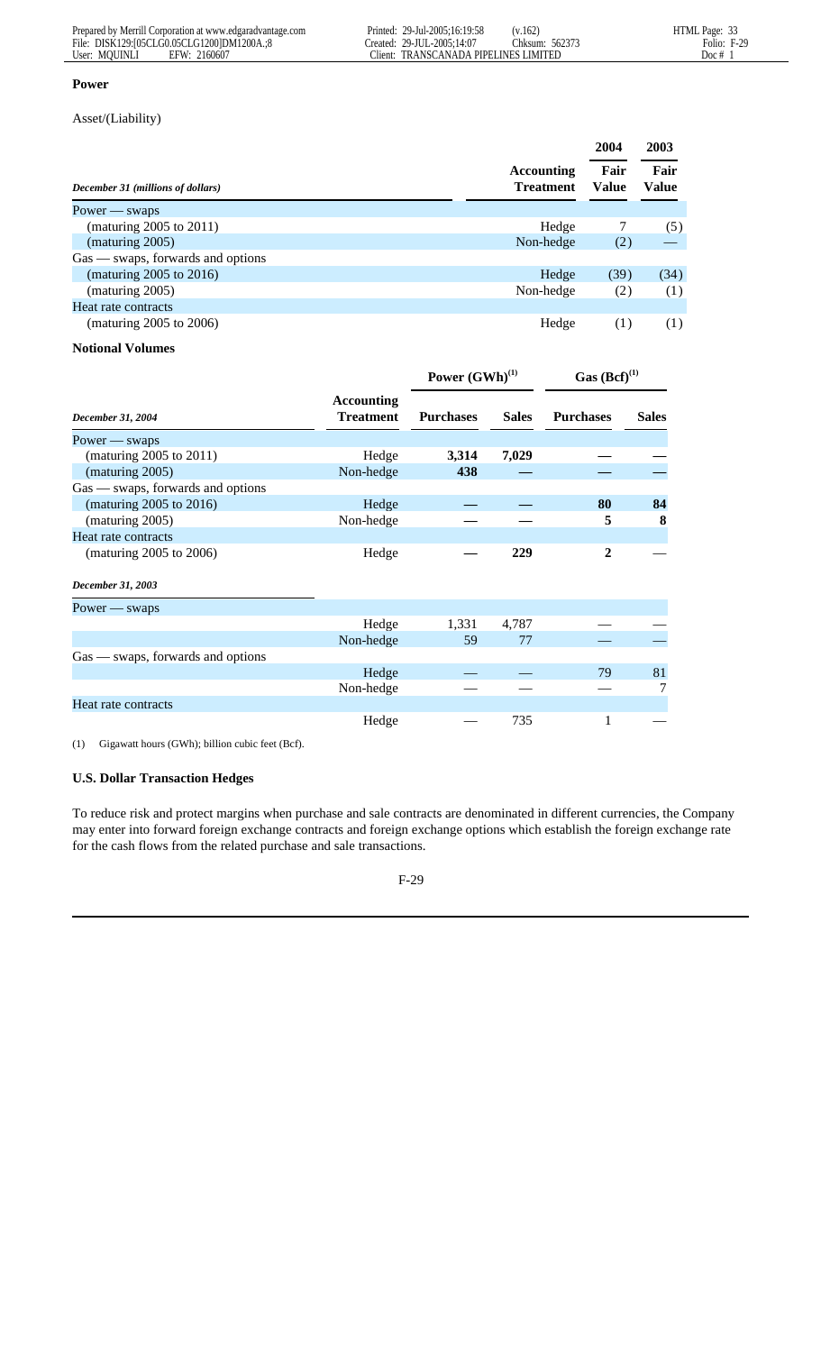#### **Power**

Asset/(Liability)

|                                     |                                | 2004          | 2003                 |
|-------------------------------------|--------------------------------|---------------|----------------------|
| December 31 (millions of dollars)   | Accounting<br><b>Treatment</b> | Fair<br>Value | Fair<br><b>Value</b> |
| Power — swaps                       |                                |               |                      |
| (maturing $2005$ to $2011$ )        | Hedge                          |               | (5)                  |
| (maturing 2005)                     | Non-hedge                      | (2)           |                      |
| $Gas$ — swaps, forwards and options |                                |               |                      |
| (maturing $2005$ to $2016$ )        | Hedge                          | (39)          | (34)                 |
| (maturing 2005)                     | Non-hedge                      | (2)           | (1)                  |
| Heat rate contracts                 |                                |               |                      |
| (maturing 2005 to 2006)             | Hedge                          | (1)           | (1)                  |

# **Notional Volumes**

|                                     |                                       | Power $(GWh)^{(1)}$ |              | Gas $(Bcf)^{(1)}$ |              |
|-------------------------------------|---------------------------------------|---------------------|--------------|-------------------|--------------|
| December 31, 2004                   | <b>Accounting</b><br><b>Treatment</b> | <b>Purchases</b>    | <b>Sales</b> | <b>Purchases</b>  | <b>Sales</b> |
| Power $-$ swaps                     |                                       |                     |              |                   |              |
| (maturing 2005 to 2011)             | Hedge                                 | 3,314               | 7,029        |                   |              |
| (maturing 2005)                     | Non-hedge                             | 438                 |              |                   |              |
| $Gas$ — swaps, forwards and options |                                       |                     |              |                   |              |
| (maturing 2005 to 2016)             | Hedge                                 |                     |              | 80                | 84           |
| (maturing 2005)                     | Non-hedge                             |                     |              | 5                 | 8            |
| Heat rate contracts                 |                                       |                     |              |                   |              |
| (maturing 2005 to 2006)             | Hedge                                 |                     | 229          | $\mathbf{2}$      |              |
| December 31, 2003                   |                                       |                     |              |                   |              |
| $Power - swaps$                     |                                       |                     |              |                   |              |
|                                     | Hedge                                 | 1,331               | 4,787        |                   |              |
|                                     | Non-hedge                             | 59                  | 77           |                   |              |
| Gas — swaps, forwards and options   |                                       |                     |              |                   |              |
|                                     | Hedge                                 |                     |              | 79                | 81           |
|                                     | Non-hedge                             |                     |              |                   | $\tau$       |
| Heat rate contracts                 |                                       |                     |              |                   |              |
|                                     | Hedge                                 |                     | 735          |                   |              |

(1) Gigawatt hours (GWh); billion cubic feet (Bcf).

# **U.S. Dollar Transaction Hedges**

To reduce risk and protect margins when purchase and sale contracts are denominated in different currencies, the Company may enter into forward foreign exchange contracts and foreign exchange options which establish the foreign exchange rate for the cash flows from the related purchase and sale transactions.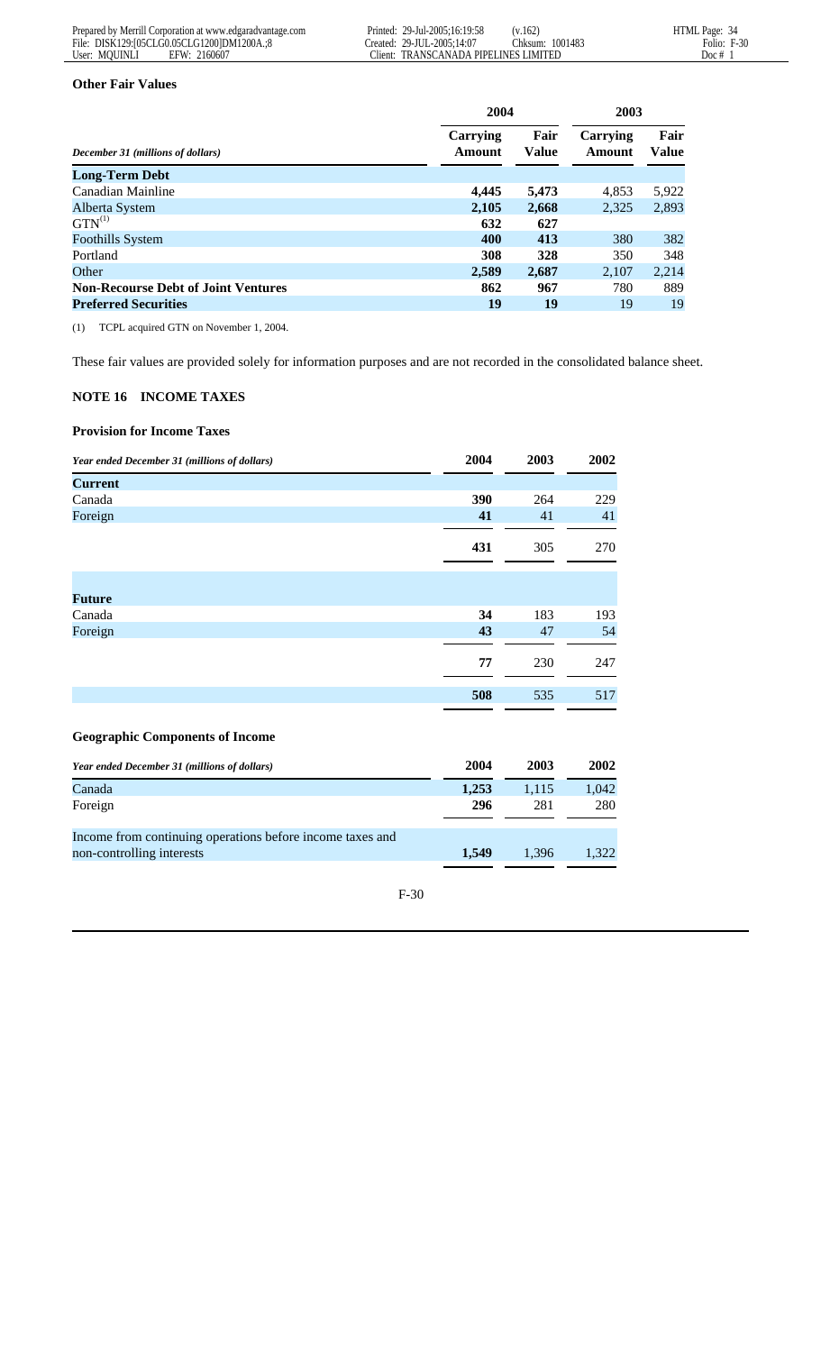#### **Other Fair Values**

|                                            | 2004               |                      | 2003               |               |
|--------------------------------------------|--------------------|----------------------|--------------------|---------------|
| December 31 (millions of dollars)          | Carrying<br>Amount | Fair<br><b>Value</b> | Carrying<br>Amount | Fair<br>Value |
| <b>Long-Term Debt</b>                      |                    |                      |                    |               |
| Canadian Mainline                          | 4,445              | 5,473                | 4,853              | 5,922         |
| Alberta System                             | 2,105              | 2,668                | 2,325              | 2,893         |
| $GTN^{(1)}$                                | 632                | 627                  |                    |               |
| <b>Foothills System</b>                    | 400                | 413                  | 380                | 382           |
| Portland                                   | 308                | 328                  | 350                | 348           |
| Other                                      | 2,589              | 2,687                | 2,107              | 2,214         |
| <b>Non-Recourse Debt of Joint Ventures</b> | 862                | 967                  | 780                | 889           |
| <b>Preferred Securities</b>                | 19                 | 19                   | 19                 | 19            |

(1) TCPL acquired GTN on November 1, 2004.

These fair values are provided solely for information purposes and are not recorded in the consolidated balance sheet.

# **NOTE 16 INCOME TAXES**

#### **Provision for Income Taxes**

| Year ended December 31 (millions of dollars) | 2004  | 2003  | 2002  |
|----------------------------------------------|-------|-------|-------|
| <b>Current</b>                               |       |       |       |
| Canada                                       | 390   | 264   | 229   |
| Foreign                                      | 41    | 41    | 41    |
|                                              | 431   | 305   | 270   |
|                                              |       |       |       |
| <b>Future</b>                                |       |       |       |
| Canada                                       | 34    | 183   | 193   |
| Foreign                                      | 43    | 47    | 54    |
|                                              | 77    | 230   | 247   |
|                                              | 508   | 535   | 517   |
| <b>Geographic Components of Income</b>       |       |       |       |
| Year ended December 31 (millions of dollars) | 2004  | 2003  | 2002  |
| Canada                                       | 1,253 | 1,115 | 1,042 |

| Foreign                                                   | 296   | 281   | 280-  |
|-----------------------------------------------------------|-------|-------|-------|
| Income from continuing operations before income taxes and |       |       |       |
| non-controlling interests                                 | 1.549 | 1.396 | 1.322 |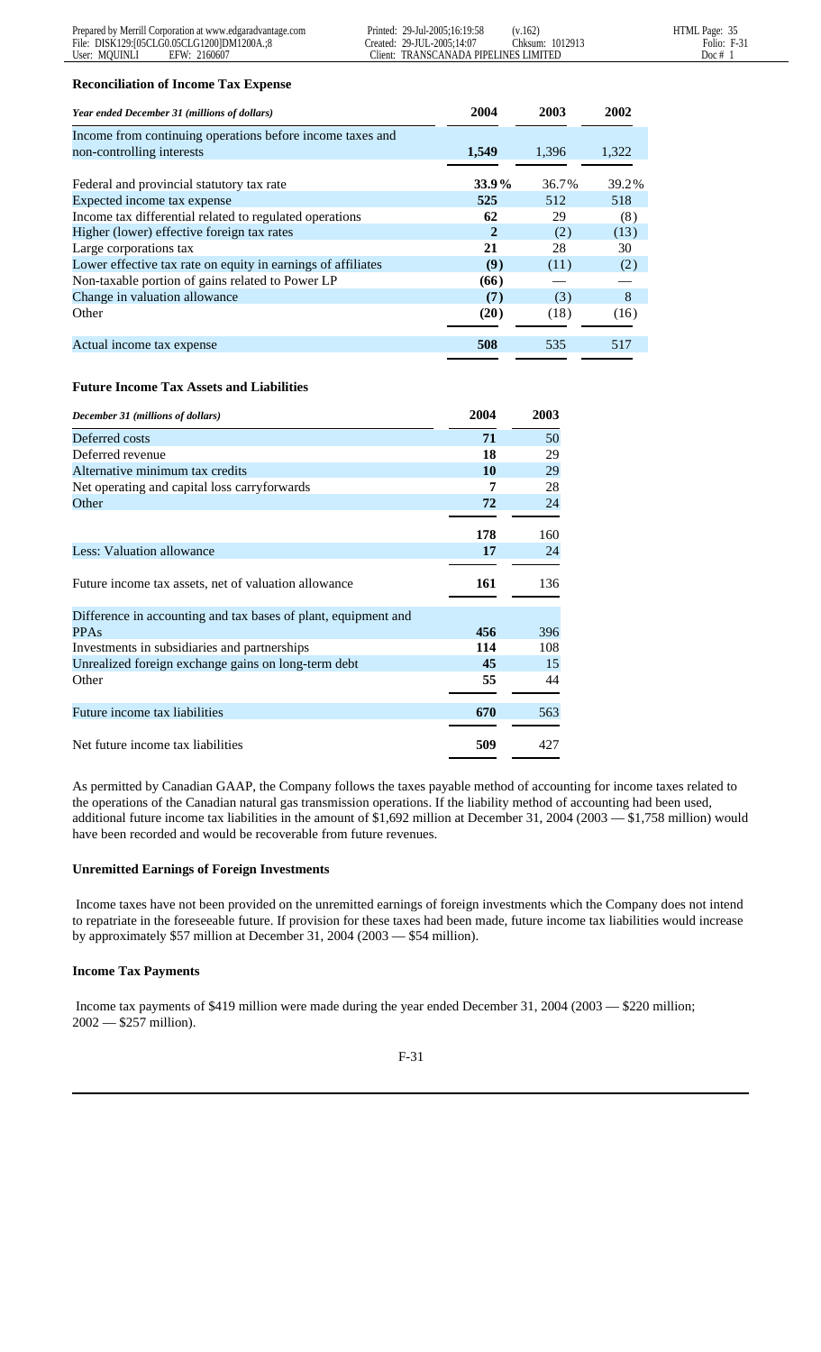#### **Reconciliation of Income Tax Expense**

| Year ended December 31 (millions of dollars)                 | 2004         | 2003  | 2002  |
|--------------------------------------------------------------|--------------|-------|-------|
| Income from continuing operations before income taxes and    |              |       |       |
| non-controlling interests                                    | 1.549        | 1,396 | 1,322 |
|                                                              |              |       |       |
| Federal and provincial statutory tax rate                    | $33.9\%$     | 36.7% | 39.2% |
| Expected income tax expense                                  | 525          | 512   | 518   |
| Income tax differential related to regulated operations      | 62           | 29    | (8)   |
| Higher (lower) effective foreign tax rates                   | $\mathbf{2}$ | (2)   | (13)  |
| Large corporations tax                                       | 21           | 28    | 30    |
| Lower effective tax rate on equity in earnings of affiliates | (9)          | (11)  | (2)   |
| Non-taxable portion of gains related to Power LP             | (66)         |       |       |
| Change in valuation allowance                                | (7)          | (3)   | 8     |
| Other                                                        | (20)         | (18)  | (16)  |
|                                                              |              |       |       |
| Actual income tax expense                                    | 508          | 535   | 517   |
|                                                              |              |       |       |

# **Future Income Tax Assets and Liabilities**

| December 31 (millions of dollars)                              | 2004 | 2003 |
|----------------------------------------------------------------|------|------|
| Deferred costs                                                 | 71   | 50   |
| Deferred revenue                                               | 18   | 29   |
| Alternative minimum tax credits                                | 10   | 29   |
| Net operating and capital loss carryforwards                   | 7    | 28   |
| Other                                                          | 72   | 24   |
|                                                                | 178  | 160  |
| Less: Valuation allowance                                      | 17   | 24   |
|                                                                |      |      |
| Future income tax assets, net of valuation allowance           | 161  | 136  |
| Difference in accounting and tax bases of plant, equipment and |      |      |
| <b>PPAs</b>                                                    | 456  | 396  |
| Investments in subsidiaries and partnerships                   | 114  | 108  |
| Unrealized foreign exchange gains on long-term debt            | 45   | 15   |
| Other                                                          | 55   | 44   |
|                                                                |      |      |
| Future income tax liabilities                                  | 670  | 563  |
| Net future income tax liabilities                              | 509  | 427  |

As permitted by Canadian GAAP, the Company follows the taxes payable method of accounting for income taxes related to the operations of the Canadian natural gas transmission operations. If the liability method of accounting had been used, additional future income tax liabilities in the amount of \$1,692 million at December 31, 2004 (2003 — \$1,758 million) would have been recorded and would be recoverable from future revenues.

# **Unremitted Earnings of Foreign Investments**

 Income taxes have not been provided on the unremitted earnings of foreign investments which the Company does not intend to repatriate in the foreseeable future. If provision for these taxes had been made, future income tax liabilities would increase by approximately \$57 million at December 31, 2004 (2003 — \$54 million).

# **Income Tax Payments**

 Income tax payments of \$419 million were made during the year ended December 31, 2004 (2003 — \$220 million; 2002 — \$257 million).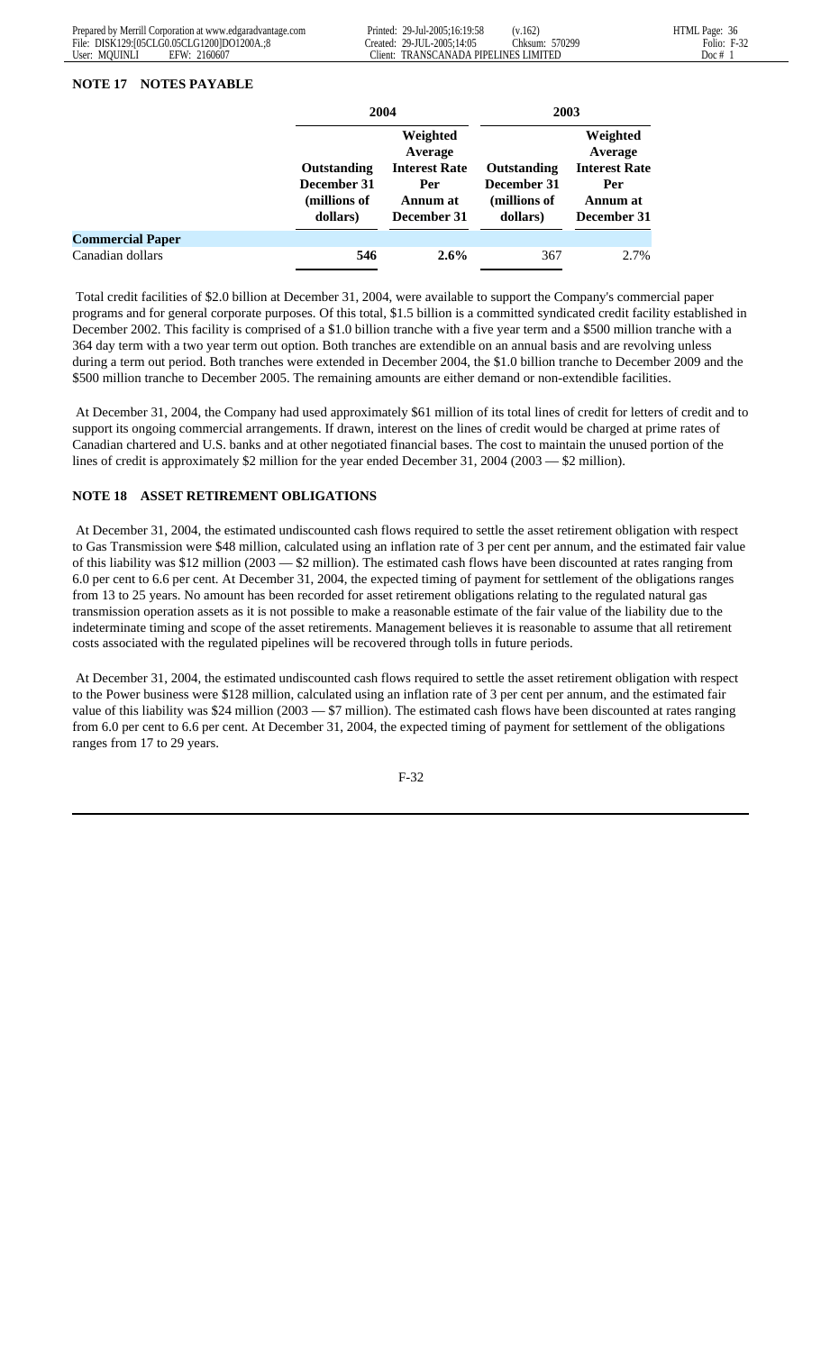#### **NOTE 17 NOTES PAYABLE**

|                         |                                                        | 2004                                                                          |                                                               | 2003                                                                          |
|-------------------------|--------------------------------------------------------|-------------------------------------------------------------------------------|---------------------------------------------------------------|-------------------------------------------------------------------------------|
|                         | Outstanding<br>December 31<br>(millions of<br>dollars) | Weighted<br>Average<br><b>Interest Rate</b><br>Per<br>Annum at<br>December 31 | <b>Outstanding</b><br>December 31<br>(millions of<br>dollars) | Weighted<br>Average<br><b>Interest Rate</b><br>Per<br>Annum at<br>December 31 |
| <b>Commercial Paper</b> |                                                        |                                                                               |                                                               |                                                                               |
| Canadian dollars        | 546                                                    | $2.6\%$                                                                       | 367                                                           | 2.7%                                                                          |

 Total credit facilities of \$2.0 billion at December 31, 2004, were available to support the Company's commercial paper programs and for general corporate purposes. Of this total, \$1.5 billion is a committed syndicated credit facility established in December 2002. This facility is comprised of a \$1.0 billion tranche with a five year term and a \$500 million tranche with a 364 day term with a two year term out option. Both tranches are extendible on an annual basis and are revolving unless during a term out period. Both tranches were extended in December 2004, the \$1.0 billion tranche to December 2009 and the \$500 million tranche to December 2005. The remaining amounts are either demand or non-extendible facilities.

 At December 31, 2004, the Company had used approximately \$61 million of its total lines of credit for letters of credit and to support its ongoing commercial arrangements. If drawn, interest on the lines of credit would be charged at prime rates of Canadian chartered and U.S. banks and at other negotiated financial bases. The cost to maintain the unused portion of the lines of credit is approximately \$2 million for the year ended December 31, 2004 (2003 — \$2 million).

# **NOTE 18 ASSET RETIREMENT OBLIGATIONS**

 At December 31, 2004, the estimated undiscounted cash flows required to settle the asset retirement obligation with respect to Gas Transmission were \$48 million, calculated using an inflation rate of 3 per cent per annum, and the estimated fair value of this liability was \$12 million (2003 — \$2 million). The estimated cash flows have been discounted at rates ranging from 6.0 per cent to 6.6 per cent. At December 31, 2004, the expected timing of payment for settlement of the obligations ranges from 13 to 25 years. No amount has been recorded for asset retirement obligations relating to the regulated natural gas transmission operation assets as it is not possible to make a reasonable estimate of the fair value of the liability due to the indeterminate timing and scope of the asset retirements. Management believes it is reasonable to assume that all retirement costs associated with the regulated pipelines will be recovered through tolls in future periods.

 At December 31, 2004, the estimated undiscounted cash flows required to settle the asset retirement obligation with respect to the Power business were \$128 million, calculated using an inflation rate of 3 per cent per annum, and the estimated fair value of this liability was \$24 million (2003 — \$7 million). The estimated cash flows have been discounted at rates ranging from 6.0 per cent to 6.6 per cent. At December 31, 2004, the expected timing of payment for settlement of the obligations ranges from 17 to 29 years.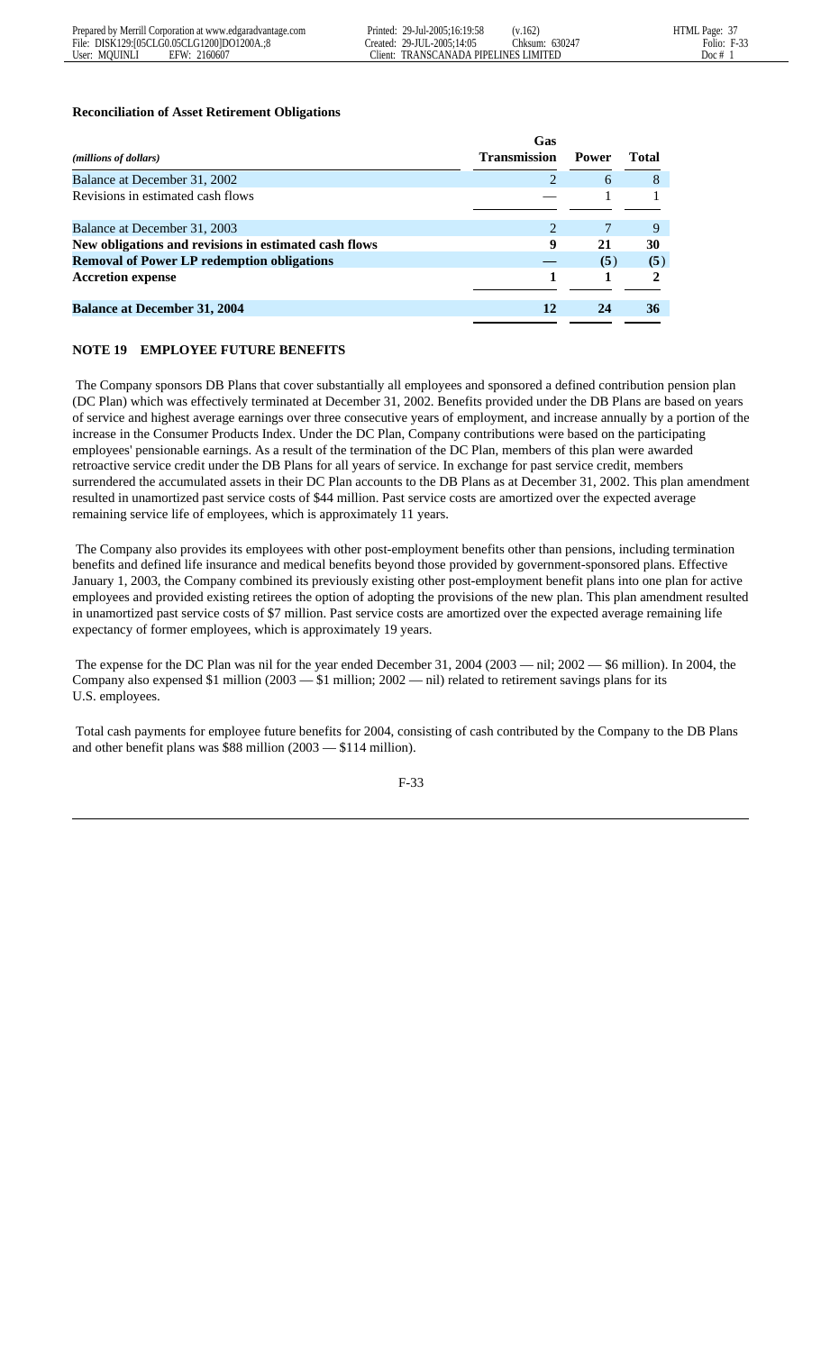#### **Reconciliation of Asset Retirement Obligations**

|                                                       | Gas                   |              |              |
|-------------------------------------------------------|-----------------------|--------------|--------------|
| ( <i>millions of dollars</i> )                        | <b>Transmission</b>   | <b>Power</b> | <b>Total</b> |
| Balance at December 31, 2002                          | 2                     | 6            | 8            |
| Revisions in estimated cash flows                     |                       |              |              |
|                                                       |                       |              |              |
| Balance at December 31, 2003                          | $\mathcal{D}_{\cdot}$ |              | 9            |
| New obligations and revisions in estimated cash flows | 9                     | 21           | 30           |
| <b>Removal of Power LP redemption obligations</b>     |                       | (5)          | (5)          |
| <b>Accretion expense</b>                              |                       |              |              |
|                                                       |                       |              |              |
| <b>Balance at December 31, 2004</b>                   | 12                    | 24           | 36           |

# **NOTE 19 EMPLOYEE FUTURE BENEFITS**

 The Company sponsors DB Plans that cover substantially all employees and sponsored a defined contribution pension plan (DC Plan) which was effectively terminated at December 31, 2002. Benefits provided under the DB Plans are based on years of service and highest average earnings over three consecutive years of employment, and increase annually by a portion of the increase in the Consumer Products Index. Under the DC Plan, Company contributions were based on the participating employees' pensionable earnings. As a result of the termination of the DC Plan, members of this plan were awarded retroactive service credit under the DB Plans for all years of service. In exchange for past service credit, members surrendered the accumulated assets in their DC Plan accounts to the DB Plans as at December 31, 2002. This plan amendment resulted in unamortized past service costs of \$44 million. Past service costs are amortized over the expected average remaining service life of employees, which is approximately 11 years.

 The Company also provides its employees with other post-employment benefits other than pensions, including termination benefits and defined life insurance and medical benefits beyond those provided by government-sponsored plans. Effective January 1, 2003, the Company combined its previously existing other post-employment benefit plans into one plan for active employees and provided existing retirees the option of adopting the provisions of the new plan. This plan amendment resulted in unamortized past service costs of \$7 million. Past service costs are amortized over the expected average remaining life expectancy of former employees, which is approximately 19 years.

 The expense for the DC Plan was nil for the year ended December 31, 2004 (2003 — nil; 2002 — \$6 million). In 2004, the Company also expensed \$1 million (2003 — \$1 million; 2002 — nil) related to retirement savings plans for its U.S. employees.

 Total cash payments for employee future benefits for 2004, consisting of cash contributed by the Company to the DB Plans and other benefit plans was \$88 million (2003 — \$114 million).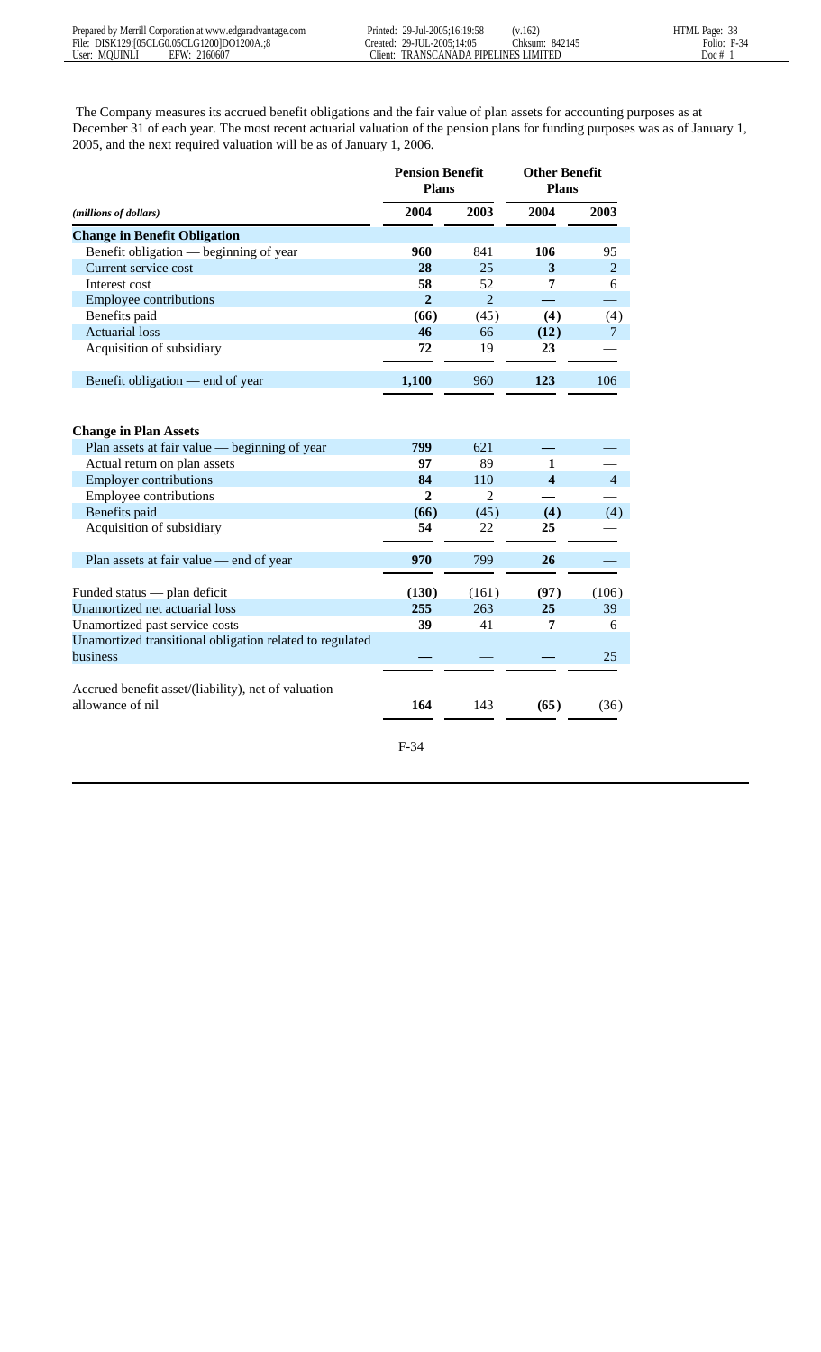The Company measures its accrued benefit obligations and the fair value of plan assets for accounting purposes as at December 31 of each year. The most recent actuarial valuation of the pension plans for funding purposes was as of January 1, 2005, and the next required valuation will be as of January 1, 2006.

|                                                                         | <b>Pension Benefit</b><br><b>Plans</b> |                |                         | <b>Other Benefit</b><br><b>Plans</b> |  |
|-------------------------------------------------------------------------|----------------------------------------|----------------|-------------------------|--------------------------------------|--|
| (millions of dollars)                                                   | 2004                                   | 2003           | 2004                    | 2003                                 |  |
| <b>Change in Benefit Obligation</b>                                     |                                        |                |                         |                                      |  |
| Benefit obligation — beginning of year                                  | 960                                    | 841            | 106                     | 95                                   |  |
| Current service cost                                                    | 28                                     | 25             | 3                       | $\overline{2}$                       |  |
| Interest cost                                                           | 58                                     | 52             | 7                       | 6                                    |  |
| Employee contributions                                                  | $\overline{2}$                         | $\overline{2}$ |                         |                                      |  |
| Benefits paid                                                           | (66)                                   | (45)           | (4)                     | (4)                                  |  |
| <b>Actuarial</b> loss                                                   | 46                                     | 66             | (12)                    | 7                                    |  |
| Acquisition of subsidiary                                               | 72                                     | 19             | 23                      |                                      |  |
| Benefit obligation — end of year                                        | 1,100                                  | 960            | 123                     | 106                                  |  |
|                                                                         |                                        |                |                         |                                      |  |
| <b>Change in Plan Assets</b>                                            |                                        |                |                         |                                      |  |
| Plan assets at fair value — beginning of year                           | 799                                    | 621            |                         |                                      |  |
| Actual return on plan assets                                            | 97                                     | 89             | 1                       |                                      |  |
| <b>Employer contributions</b>                                           | 84                                     | 110            | $\overline{\mathbf{4}}$ | $\overline{4}$                       |  |
| <b>Employee contributions</b>                                           | $\overline{2}$                         | $\overline{2}$ |                         |                                      |  |
| Benefits paid                                                           | (66)                                   | (45)           | (4)                     | (4)                                  |  |
| Acquisition of subsidiary                                               | 54                                     | 22             | 25                      |                                      |  |
| Plan assets at fair value — end of year                                 | 970                                    | 799            | 26                      |                                      |  |
| Funded status — plan deficit                                            | (130)                                  | (161)          | (97)                    | (106)                                |  |
| Unamortized net actuarial loss                                          | 255                                    | 263            | 25                      | 39                                   |  |
| Unamortized past service costs                                          | 39                                     | 41             | 7                       | 6                                    |  |
| Unamortized transitional obligation related to regulated                |                                        |                |                         |                                      |  |
| <b>business</b>                                                         |                                        |                |                         | 25                                   |  |
| Accrued benefit asset/(liability), net of valuation<br>allowance of nil | 164                                    | 143            | (65)                    | (36)                                 |  |
|                                                                         | $F-34$                                 |                |                         |                                      |  |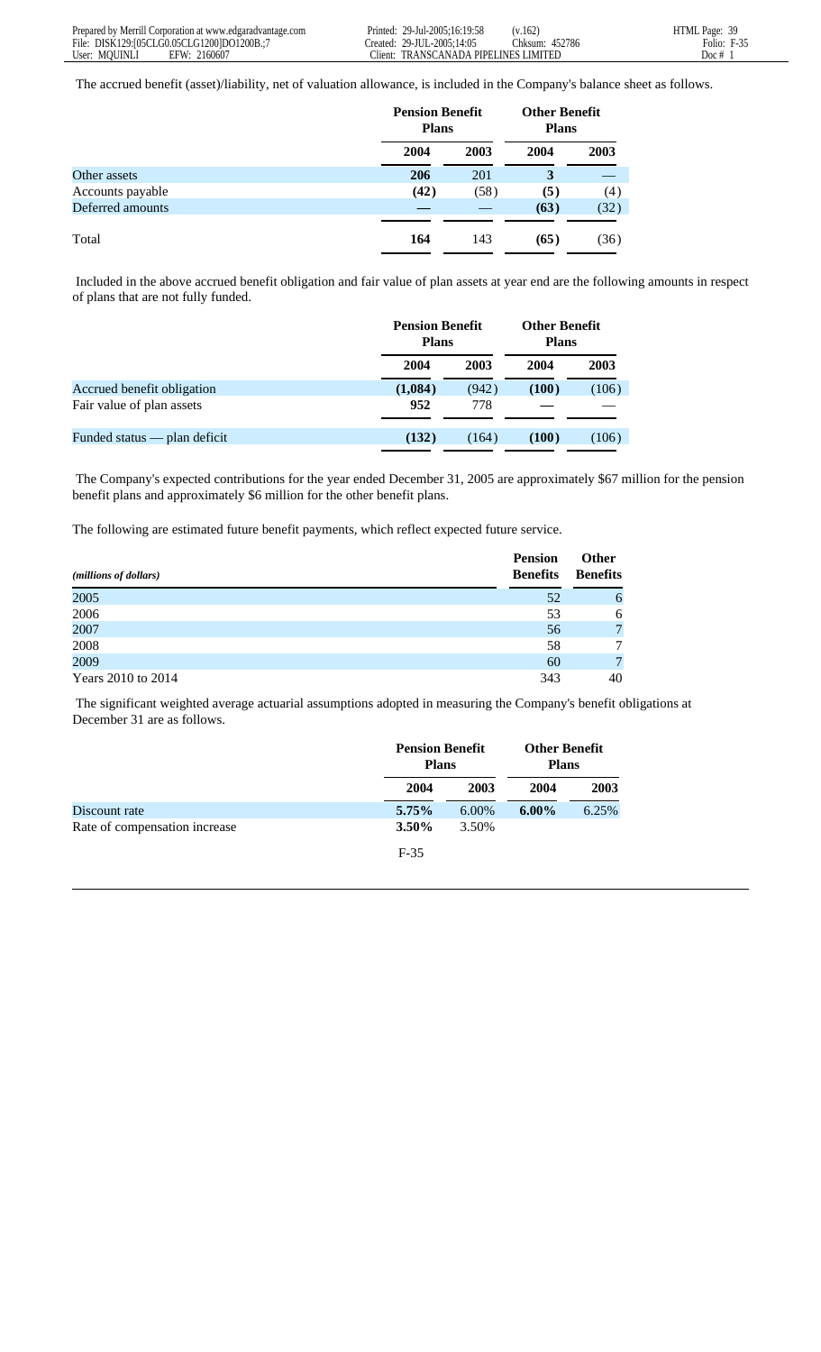The accrued benefit (asset)/liability, net of valuation allowance, is included in the Company's balance sheet as follows.

|                  |      | <b>Pension Benefit</b><br><b>Plans</b> |      | <b>Other Benefit</b><br><b>Plans</b> |  |
|------------------|------|----------------------------------------|------|--------------------------------------|--|
|                  | 2004 | 2003                                   | 2004 | 2003                                 |  |
| Other assets     | 206  | 201                                    | 3    |                                      |  |
| Accounts payable | (42) | (58)                                   | (5)  | (4)                                  |  |
| Deferred amounts |      |                                        | (63) | (32)                                 |  |
|                  |      |                                        |      |                                      |  |
| Total            | 164  | 143                                    | (65) | (36)                                 |  |

 Included in the above accrued benefit obligation and fair value of plan assets at year end are the following amounts in respect of plans that are not fully funded.

|                                |         | <b>Pension Benefit</b><br><b>Plans</b> |       | <b>Other Benefit</b><br><b>Plans</b> |  |
|--------------------------------|---------|----------------------------------------|-------|--------------------------------------|--|
|                                | 2004    | 2003                                   | 2004  | 2003                                 |  |
| Accrued benefit obligation     | (1,084) | (942)                                  | (100) | (106)                                |  |
| Fair value of plan assets      | 952     | 778                                    |       |                                      |  |
| Funded status $-$ plan deficit | (132)   | (164)                                  | (100) | (106)                                |  |

 The Company's expected contributions for the year ended December 31, 2005 are approximately \$67 million for the pension benefit plans and approximately \$6 million for the other benefit plans.

The following are estimated future benefit payments, which reflect expected future service.

| ( <i>millions of dollars</i> ) | <b>Pension</b><br><b>Benefits</b> | <b>Other</b><br><b>Benefits</b> |
|--------------------------------|-----------------------------------|---------------------------------|
| 2005                           | 52                                | $\mathfrak b$                   |
| 2006                           | 53                                | 6                               |
| 2007                           | 56                                | $\overline{7}$                  |
| 2008                           | 58                                |                                 |
| 2009                           | 60                                | $\tau$                          |
| Years 2010 to 2014             | 343                               | 40                              |

 The significant weighted average actuarial assumptions adopted in measuring the Company's benefit obligations at December 31 are as follows.

|                               |        | <b>Pension Benefit</b><br><b>Plans</b> |          | <b>Other Benefit</b><br><b>Plans</b> |  |
|-------------------------------|--------|----------------------------------------|----------|--------------------------------------|--|
|                               | 2004   | 2003                                   | 2004     | 2003                                 |  |
| Discount rate                 | 5.75%  | 6.00%                                  | $6.00\%$ | 6.25%                                |  |
| Rate of compensation increase | 3.50%  | 3.50%                                  |          |                                      |  |
|                               | $F-35$ |                                        |          |                                      |  |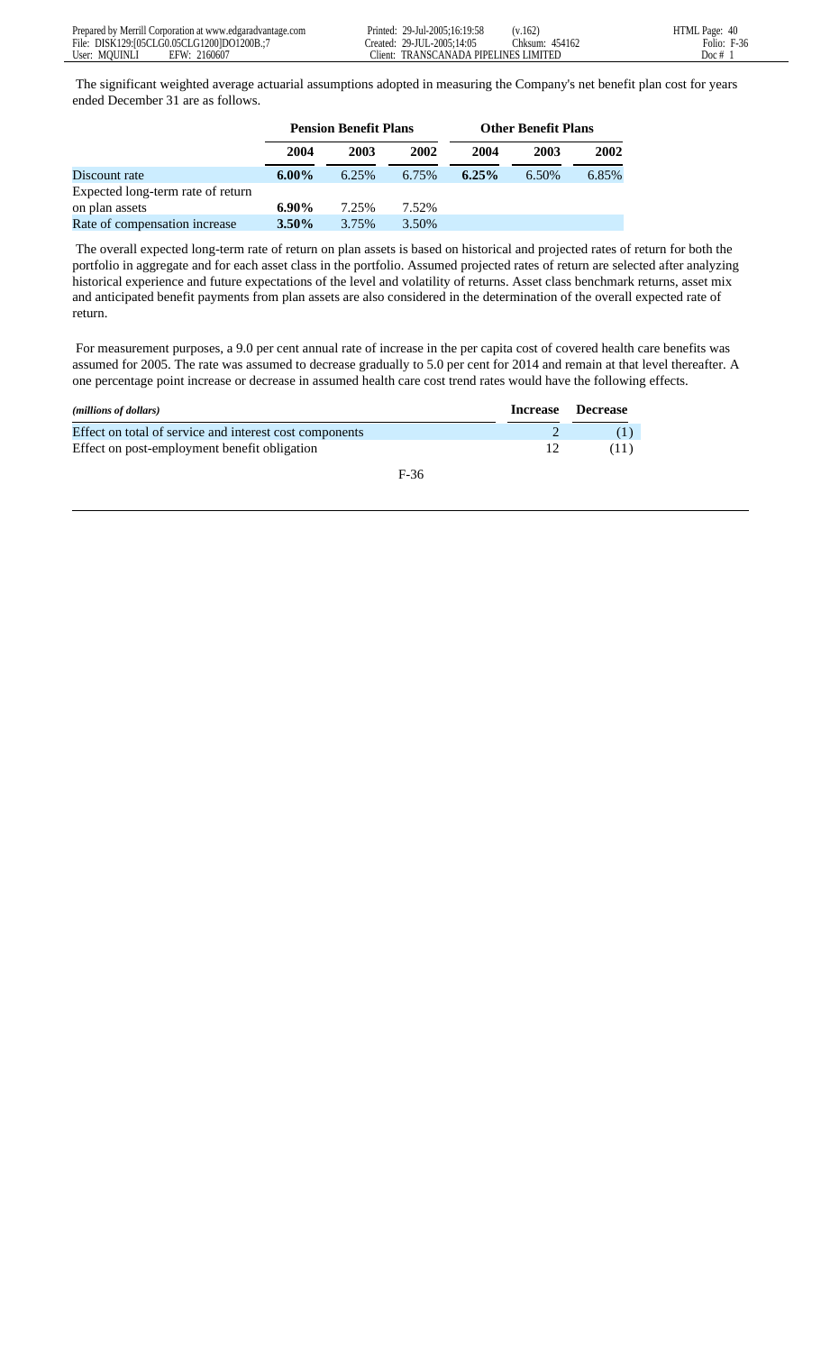The significant weighted average actuarial assumptions adopted in measuring the Company's net benefit plan cost for years ended December 31 are as follows.

|                                   | <b>Pension Benefit Plans</b> |       |       | <b>Other Benefit Plans</b> |       |       |
|-----------------------------------|------------------------------|-------|-------|----------------------------|-------|-------|
|                                   | 2004                         | 2003  | 2002  | 2004                       | 2003  | 2002  |
| Discount rate                     | $6.00\%$                     | 6.25% | 6.75% | 6.25%                      | 6.50% | 6.85% |
| Expected long-term rate of return |                              |       |       |                            |       |       |
| on plan assets                    | $6.90\%$                     | 7.25% | 7.52% |                            |       |       |
| Rate of compensation increase     | $3.50\%$                     | 3.75% | 3.50% |                            |       |       |

 The overall expected long-term rate of return on plan assets is based on historical and projected rates of return for both the portfolio in aggregate and for each asset class in the portfolio. Assumed projected rates of return are selected after analyzing historical experience and future expectations of the level and volatility of returns. Asset class benchmark returns, asset mix and anticipated benefit payments from plan assets are also considered in the determination of the overall expected rate of return.

 For measurement purposes, a 9.0 per cent annual rate of increase in the per capita cost of covered health care benefits was assumed for 2005. The rate was assumed to decrease gradually to 5.0 per cent for 2014 and remain at that level thereafter. A one percentage point increase or decrease in assumed health care cost trend rates would have the following effects.

| ( <i>millions of dollars</i> )                          |     | Increase Decrease |
|---------------------------------------------------------|-----|-------------------|
| Effect on total of service and interest cost components |     |                   |
| Effect on post-employment benefit obligation            | 12. | (11)              |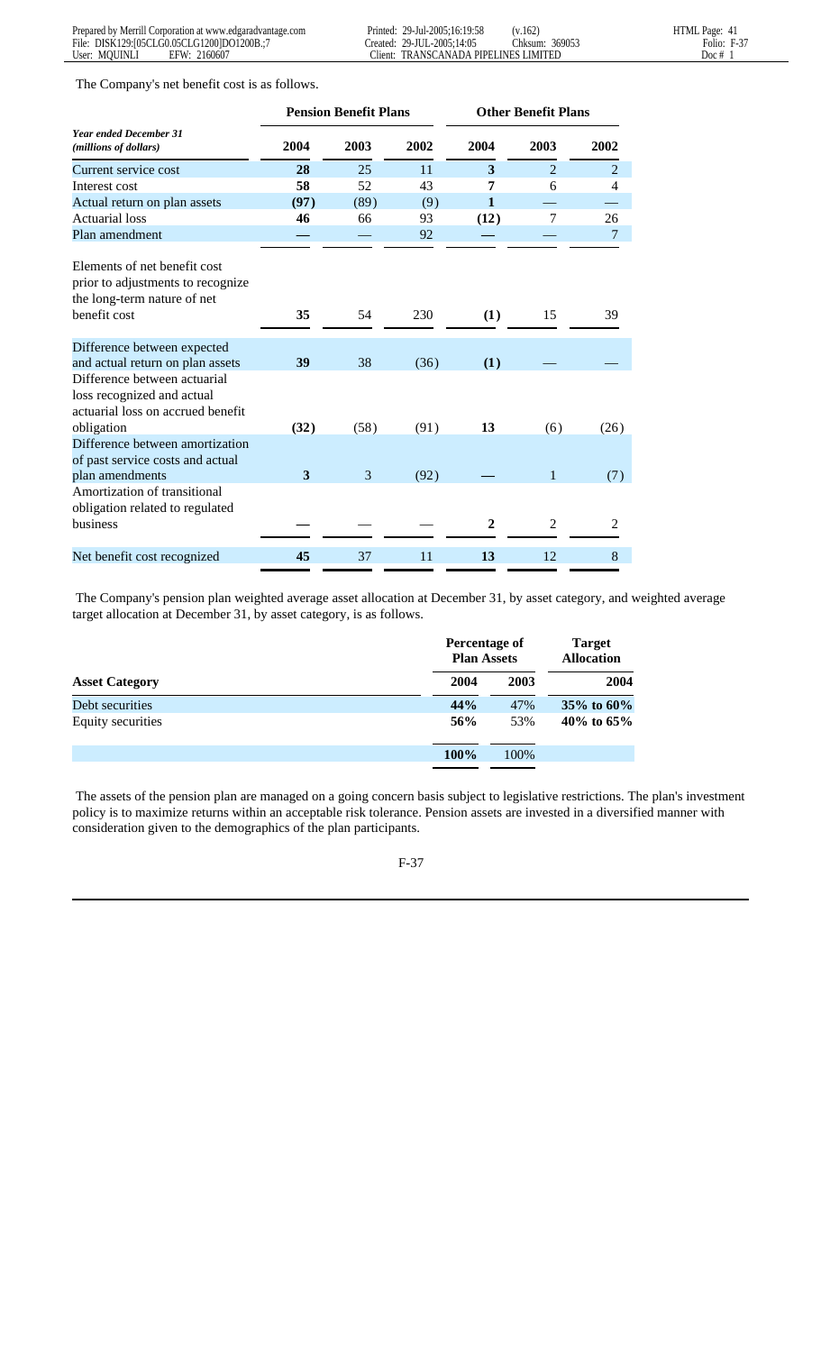The Company's net benefit cost is as follows.

|                                                                                                                  | <b>Pension Benefit Plans</b> |      |      |                | <b>Other Benefit Plans</b> |                |  |
|------------------------------------------------------------------------------------------------------------------|------------------------------|------|------|----------------|----------------------------|----------------|--|
| <b>Year ended December 31</b><br>(millions of dollars)                                                           | 2004                         | 2003 | 2002 | 2004           | 2003                       | 2002           |  |
| Current service cost                                                                                             | 28                           | 25   | 11   | 3              | $\overline{2}$             | $\overline{2}$ |  |
| Interest cost                                                                                                    | 58                           | 52   | 43   | 7              | 6                          | 4              |  |
| Actual return on plan assets                                                                                     | (97)                         | (89) | (9)  | $\mathbf{1}$   |                            |                |  |
| Actuarial loss                                                                                                   | 46                           | 66   | 93   | (12)           | $\tau$                     | 26             |  |
| Plan amendment                                                                                                   |                              |      | 92   |                |                            |                |  |
| Elements of net benefit cost<br>prior to adjustments to recognize<br>the long-term nature of net<br>benefit cost | 35                           | 54   | 230  | (1)            | 15                         | 39             |  |
| Difference between expected                                                                                      |                              |      |      |                |                            |                |  |
| and actual return on plan assets                                                                                 | 39                           | 38   | (36) | (1)            |                            |                |  |
| Difference between actuarial<br>loss recognized and actual<br>actuarial loss on accrued benefit<br>obligation    | (32)                         | (58) | (91) | 13             | (6)                        | (26)           |  |
| Difference between amortization                                                                                  |                              |      |      |                |                            |                |  |
| of past service costs and actual                                                                                 |                              |      |      |                |                            |                |  |
| plan amendments                                                                                                  | 3                            | 3    | (92) |                | 1                          | (7)            |  |
| Amortization of transitional<br>obligation related to regulated                                                  |                              |      |      |                |                            |                |  |
| business                                                                                                         |                              |      |      | $\overline{2}$ | 2                          | 2              |  |
| Net benefit cost recognized                                                                                      | 45                           | 37   | 11   | 13             | 12                         | 8              |  |

 The Company's pension plan weighted average asset allocation at December 31, by asset category, and weighted average target allocation at December 31, by asset category, is as follows.

|                       |      | Percentage of<br><b>Plan Assets</b> | <b>Target</b><br><b>Allocation</b> |  |
|-----------------------|------|-------------------------------------|------------------------------------|--|
| <b>Asset Category</b> | 2004 | 2003                                | 2004                               |  |
| Debt securities       | 44%  | 47%                                 | 35\% to $60\%$                     |  |
| Equity securities     | 56%  | 53%                                 | 40\% to $65\%$                     |  |
|                       | 100% | 100%                                |                                    |  |
|                       |      |                                     |                                    |  |

 The assets of the pension plan are managed on a going concern basis subject to legislative restrictions. The plan's investment policy is to maximize returns within an acceptable risk tolerance. Pension assets are invested in a diversified manner with consideration given to the demographics of the plan participants.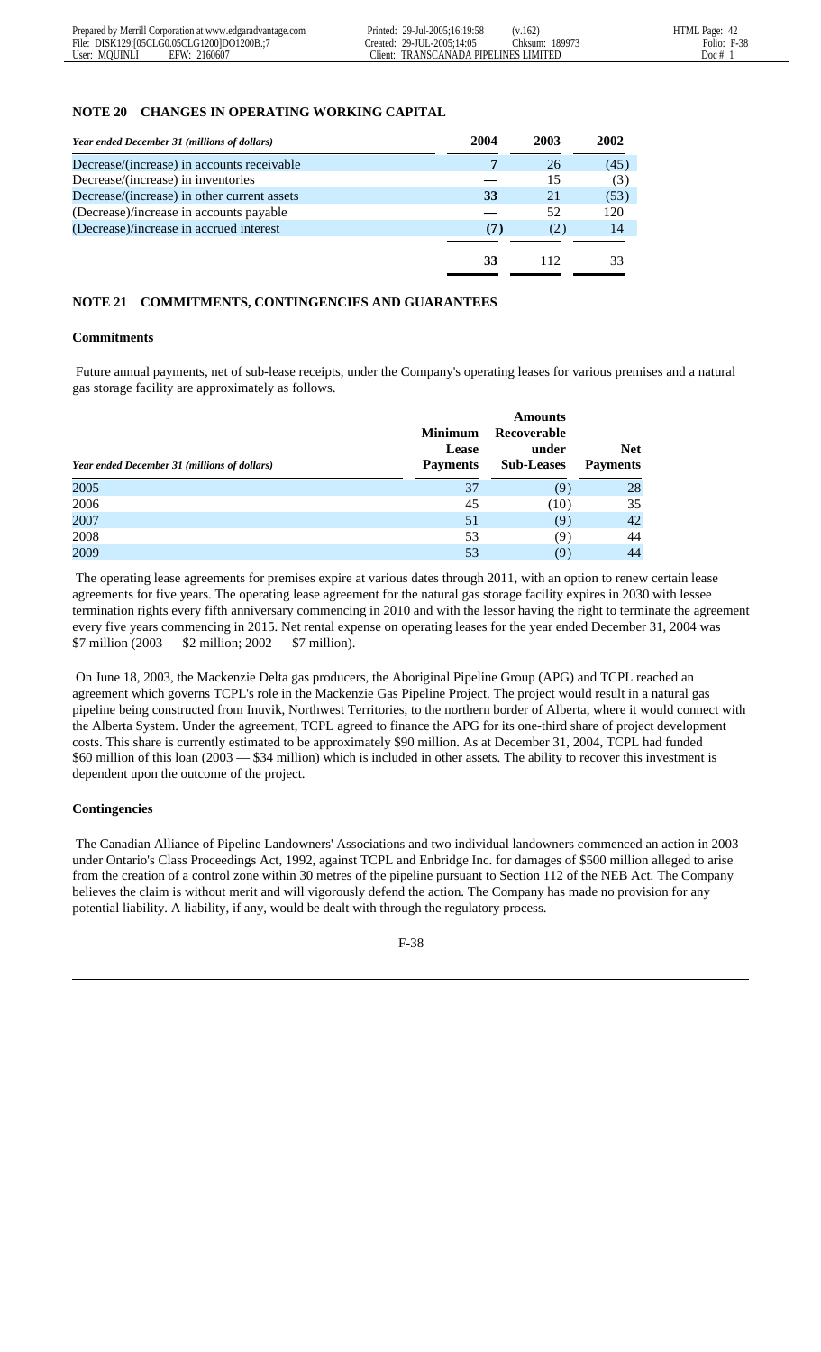#### **NOTE 20 CHANGES IN OPERATING WORKING CAPITAL**

| Year ended December 31 (millions of dollars) | 2004 | 2003 | 2002 |
|----------------------------------------------|------|------|------|
| Decrease/(increase) in accounts receivable   |      | 26   | (45) |
| Decrease/(increase) in inventories           |      | 15   | (3)  |
| Decrease/(increase) in other current assets  | 33   | 21   | (53) |
| (Decrease)/increase in accounts payable      |      | 52   | 120  |
| (Decrease)/increase in accrued interest      | (7)  | (2)  | 14   |
|                                              |      |      |      |
|                                              | 33   | 112  | 33   |

# **NOTE 21 COMMITMENTS, CONTINGENCIES AND GUARANTEES**

#### **Commitments**

 Future annual payments, net of sub-lease receipts, under the Company's operating leases for various premises and a natural gas storage facility are approximately as follows.

| Year ended December 31 (millions of dollars) | <b>Minimum</b><br><b>Lease</b><br><b>Payments</b> | <b>Amounts</b><br>Recoverable<br>under<br><b>Sub-Leases</b> | <b>Net</b><br><b>Payments</b> |
|----------------------------------------------|---------------------------------------------------|-------------------------------------------------------------|-------------------------------|
| 2005                                         | 37                                                | (9)                                                         | 28                            |
| 2006                                         | 45                                                | (10)                                                        | 35                            |
| 2007                                         | 51                                                | (9)                                                         | 42                            |
| 2008                                         | 53                                                | (9)                                                         | 44                            |
| 2009                                         | 53                                                | (9)                                                         | 44                            |

 The operating lease agreements for premises expire at various dates through 2011, with an option to renew certain lease agreements for five years. The operating lease agreement for the natural gas storage facility expires in 2030 with lessee termination rights every fifth anniversary commencing in 2010 and with the lessor having the right to terminate the agreement every five years commencing in 2015. Net rental expense on operating leases for the year ended December 31, 2004 was  $$7$  million (2003 — \$2 million; 2002 — \$7 million).

 On June 18, 2003, the Mackenzie Delta gas producers, the Aboriginal Pipeline Group (APG) and TCPL reached an agreement which governs TCPL's role in the Mackenzie Gas Pipeline Project. The project would result in a natural gas pipeline being constructed from Inuvik, Northwest Territories, to the northern border of Alberta, where it would connect with the Alberta System. Under the agreement, TCPL agreed to finance the APG for its one-third share of project development costs. This share is currently estimated to be approximately \$90 million. As at December 31, 2004, TCPL had funded \$60 million of this loan (2003 — \$34 million) which is included in other assets. The ability to recover this investment is dependent upon the outcome of the project.

# **Contingencies**

 The Canadian Alliance of Pipeline Landowners' Associations and two individual landowners commenced an action in 2003 under Ontario's Class Proceedings Act, 1992, against TCPL and Enbridge Inc. for damages of \$500 million alleged to arise from the creation of a control zone within 30 metres of the pipeline pursuant to Section 112 of the NEB Act. The Company believes the claim is without merit and will vigorously defend the action. The Company has made no provision for any potential liability. A liability, if any, would be dealt with through the regulatory process.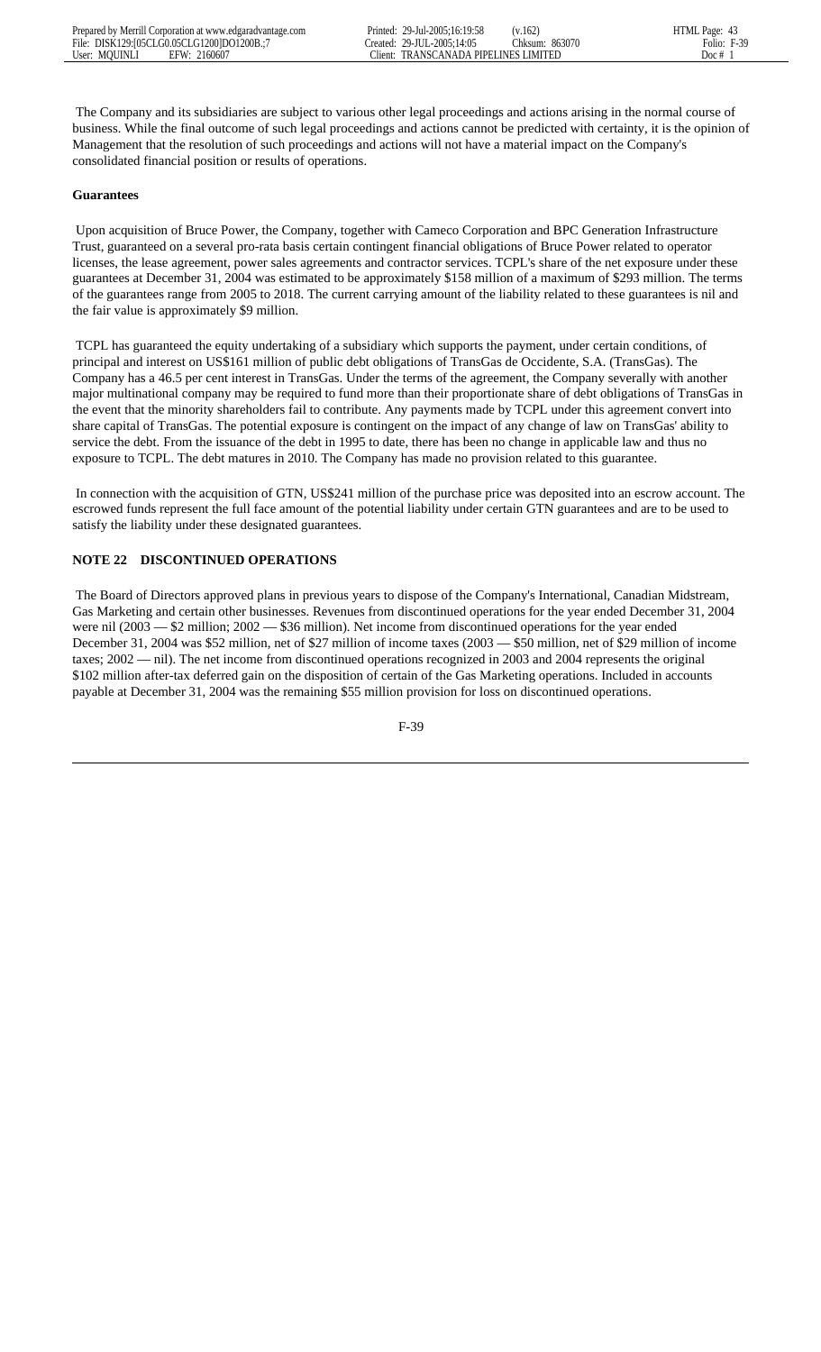The Company and its subsidiaries are subject to various other legal proceedings and actions arising in the normal course of business. While the final outcome of such legal proceedings and actions cannot be predicted with certainty, it is the opinion of Management that the resolution of such proceedings and actions will not have a material impact on the Company's consolidated financial position or results of operations.

# **Guarantees**

 Upon acquisition of Bruce Power, the Company, together with Cameco Corporation and BPC Generation Infrastructure Trust, guaranteed on a several pro-rata basis certain contingent financial obligations of Bruce Power related to operator licenses, the lease agreement, power sales agreements and contractor services. TCPL's share of the net exposure under these guarantees at December 31, 2004 was estimated to be approximately \$158 million of a maximum of \$293 million. The terms of the guarantees range from 2005 to 2018. The current carrying amount of the liability related to these guarantees is nil and the fair value is approximately \$9 million.

 TCPL has guaranteed the equity undertaking of a subsidiary which supports the payment, under certain conditions, of principal and interest on US\$161 million of public debt obligations of TransGas de Occidente, S.A. (TransGas). The Company has a 46.5 per cent interest in TransGas. Under the terms of the agreement, the Company severally with another major multinational company may be required to fund more than their proportionate share of debt obligations of TransGas in the event that the minority shareholders fail to contribute. Any payments made by TCPL under this agreement convert into share capital of TransGas. The potential exposure is contingent on the impact of any change of law on TransGas' ability to service the debt. From the issuance of the debt in 1995 to date, there has been no change in applicable law and thus no exposure to TCPL. The debt matures in 2010. The Company has made no provision related to this guarantee.

 In connection with the acquisition of GTN, US\$241 million of the purchase price was deposited into an escrow account. The escrowed funds represent the full face amount of the potential liability under certain GTN guarantees and are to be used to satisfy the liability under these designated guarantees.

# **NOTE 22 DISCONTINUED OPERATIONS**

 The Board of Directors approved plans in previous years to dispose of the Company's International, Canadian Midstream, Gas Marketing and certain other businesses. Revenues from discontinued operations for the year ended December 31, 2004 were nil (2003 — \$2 million; 2002 — \$36 million). Net income from discontinued operations for the year ended December 31, 2004 was \$52 million, net of \$27 million of income taxes (2003 — \$50 million, net of \$29 million of income taxes; 2002 — nil). The net income from discontinued operations recognized in 2003 and 2004 represents the original \$102 million after-tax deferred gain on the disposition of certain of the Gas Marketing operations. Included in accounts payable at December 31, 2004 was the remaining \$55 million provision for loss on discontinued operations.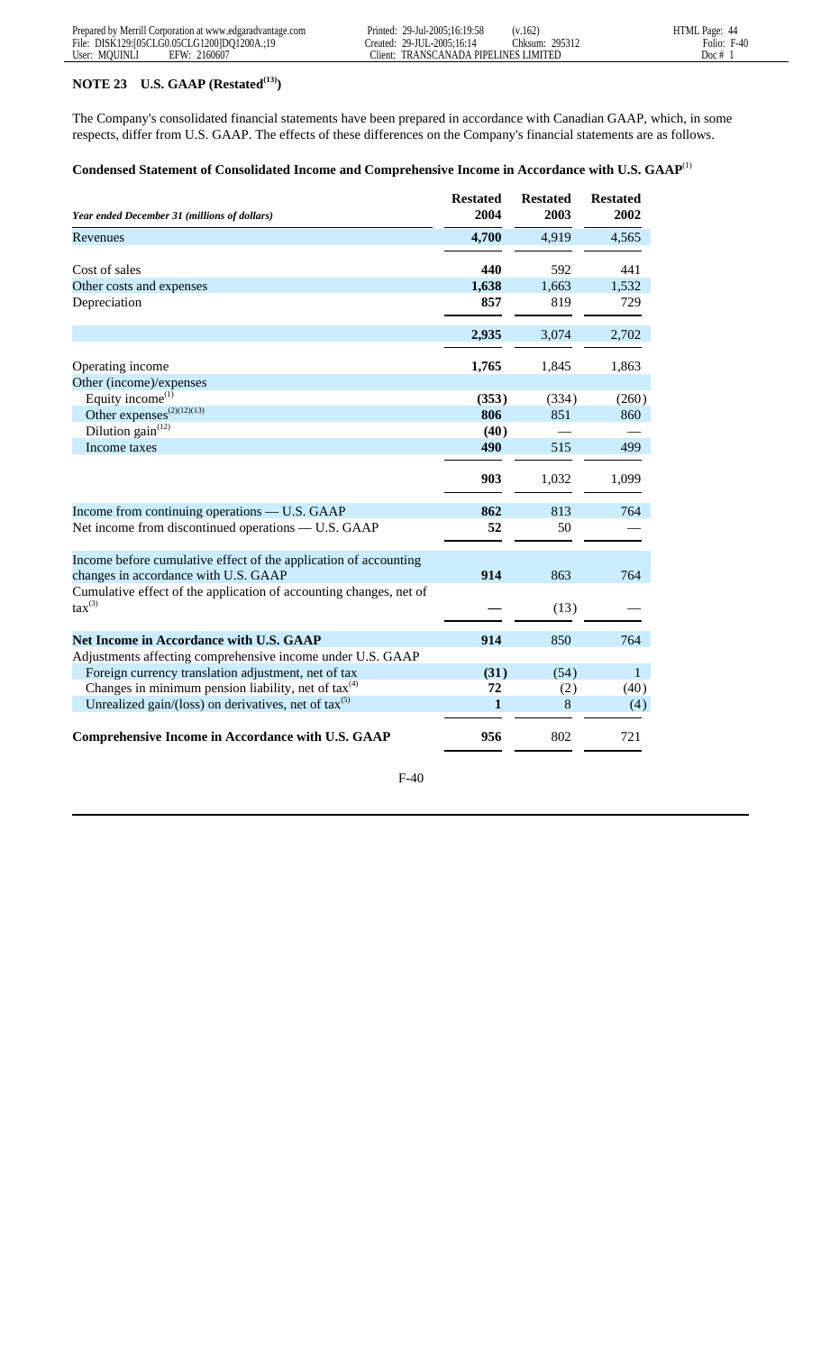# **NOTE 23 U.S. GAAP (Restated(13))**

The Company's consolidated financial statements have been prepared in accordance with Canadian GAAP, which, in some respects, differ from U.S. GAAP. The effects of these differences on the Company's financial statements are as follows.

| Year ended December 31 (millions of dollars)                                                             | <b>Restated</b><br>2004 | <b>Restated</b><br>2003 | <b>Restated</b><br>2002 |
|----------------------------------------------------------------------------------------------------------|-------------------------|-------------------------|-------------------------|
| Revenues                                                                                                 | 4,700                   | 4,919                   | 4,565                   |
| Cost of sales                                                                                            | 440                     | 592                     | 441                     |
| Other costs and expenses                                                                                 | 1,638                   | 1,663                   | 1,532                   |
| Depreciation                                                                                             | 857                     | 819                     | 729                     |
|                                                                                                          | 2,935                   | 3,074                   | 2,702                   |
| Operating income                                                                                         | 1,765                   | 1,845                   | 1,863                   |
| Other (income)/expenses                                                                                  |                         |                         |                         |
| Equity income <sup>(1)</sup>                                                                             | (353)                   | (334)                   | (260)                   |
| Other expenses <sup><math>(2)(12)(13)</math></sup>                                                       | 806                     | 851                     | 860                     |
| Dilution gain <sup>(12)</sup>                                                                            | (40)                    |                         |                         |
| Income taxes                                                                                             | 490                     | 515                     | 499                     |
|                                                                                                          | 903                     | 1,032                   | 1,099                   |
| Income from continuing operations — U.S. GAAP                                                            | 862                     | 813                     | 764                     |
| Net income from discontinued operations — U.S. GAAP                                                      | 52                      | 50                      |                         |
| Income before cumulative effect of the application of accounting<br>changes in accordance with U.S. GAAP | 914                     | 863                     | 764                     |
| Cumulative effect of the application of accounting changes, net of<br>$\text{tax}^{(3)}$                 |                         | (13)                    |                         |
| <b>Net Income in Accordance with U.S. GAAP</b>                                                           | 914                     | 850                     | 764                     |
| Adjustments affecting comprehensive income under U.S. GAAP                                               |                         |                         |                         |
| Foreign currency translation adjustment, net of tax                                                      | (31)                    | (54)                    | $\mathbf{1}$            |
| Changes in minimum pension liability, net of $\text{tax}^{(4)}$                                          | 72                      | (2)                     | (40)                    |
| Unrealized gain/(loss) on derivatives, net of $\text{tax}^{(5)}$                                         | 1                       | 8                       | (4)                     |
| <b>Comprehensive Income in Accordance with U.S. GAAP</b>                                                 | 956                     | 802                     | 721                     |

# **Condensed Statement of Consolidated Income and Comprehensive Income in Accordance with U.S. GAAP**(1)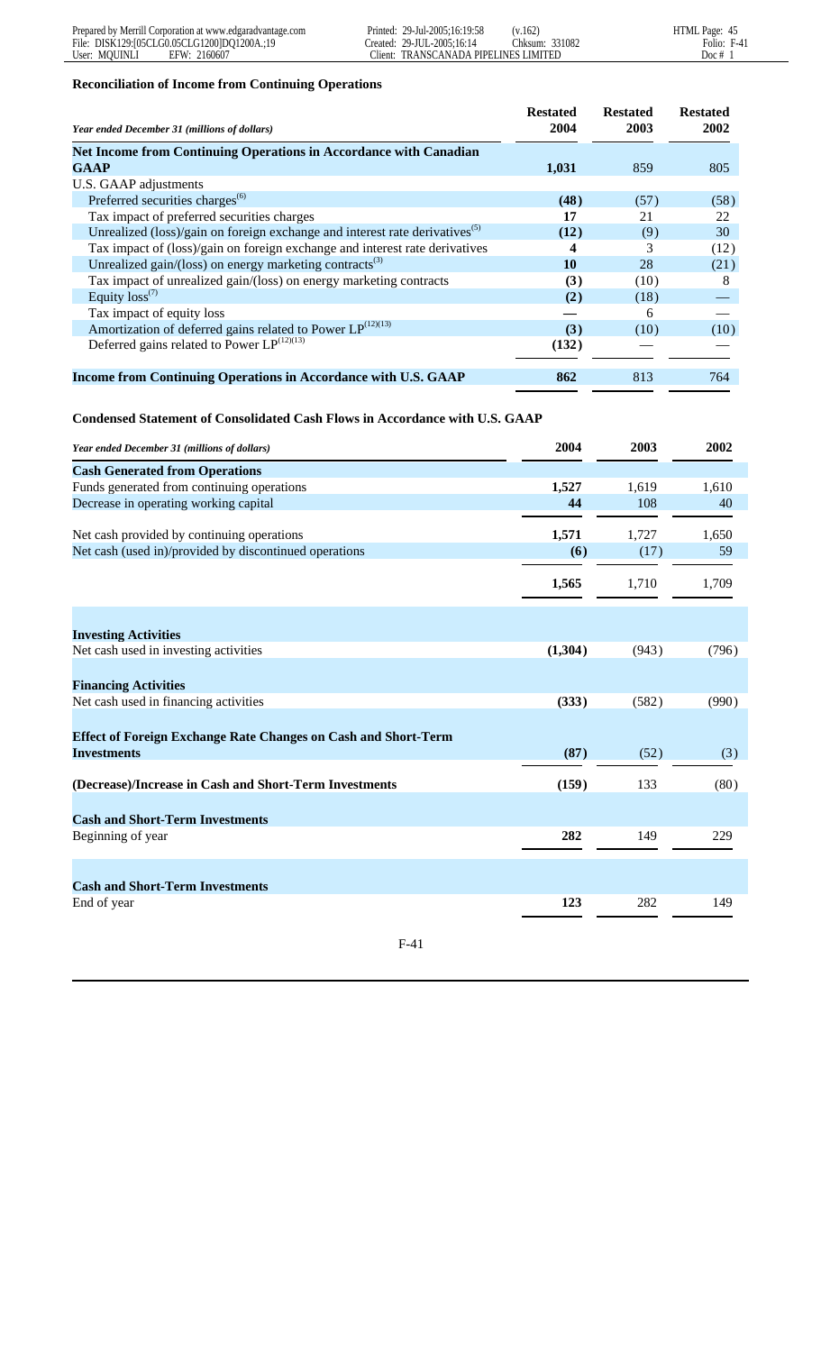# **Reconciliation of Income from Continuing Operations**

| Year ended December 31 (millions of dollars)                                            | <b>Restated</b><br>2004 | <b>Restated</b><br>2003 | <b>Restated</b><br>2002 |
|-----------------------------------------------------------------------------------------|-------------------------|-------------------------|-------------------------|
| <b>Net Income from Continuing Operations in Accordance with Canadian</b>                |                         |                         |                         |
| <b>GAAP</b>                                                                             | 1,031                   | 859                     | 805                     |
| U.S. GAAP adjustments                                                                   |                         |                         |                         |
| Preferred securities charges <sup>(6)</sup>                                             | (48)                    | (57)                    | (58)                    |
| Tax impact of preferred securities charges                                              | 17                      | 21                      | 22                      |
| Unrealized (loss)/gain on foreign exchange and interest rate derivatives <sup>(5)</sup> | (12)                    | (9)                     | 30                      |
| Tax impact of (loss)/gain on foreign exchange and interest rate derivatives             | 4                       | 3                       | (12)                    |
| Unrealized gain/(loss) on energy marketing contracts <sup>(3)</sup>                     | 10                      | 28                      | (21)                    |
| Tax impact of unrealized gain/(loss) on energy marketing contracts                      | (3)                     | (10)                    | 8                       |
| Equity $loss^{(7)}$                                                                     | (2)                     | (18)                    |                         |
| Tax impact of equity loss                                                               |                         | 6                       |                         |
| Amortization of deferred gains related to Power $LP^{(12)(13)}$                         | (3)                     | (10)                    | (10)                    |
| Deferred gains related to Power $LP^{(12)(13)}$                                         | (132)                   |                         |                         |
| Income from Continuing Operations in Accordance with U.S. GAAP                          | 862                     | 813                     | 764                     |

# **Condensed Statement of Consolidated Cash Flows in Accordance with U.S. GAAP**

| Year ended December 31 (millions of dollars)                          | 2004    | 2003  | 2002  |
|-----------------------------------------------------------------------|---------|-------|-------|
| <b>Cash Generated from Operations</b>                                 |         |       |       |
| Funds generated from continuing operations                            | 1,527   | 1,619 | 1,610 |
| Decrease in operating working capital                                 | 44      | 108   | 40    |
| Net cash provided by continuing operations                            | 1,571   | 1,727 | 1,650 |
| Net cash (used in)/provided by discontinued operations                | (6)     | (17)  | 59    |
|                                                                       | 1,565   | 1,710 | 1,709 |
| <b>Investing Activities</b>                                           |         |       |       |
| Net cash used in investing activities                                 | (1,304) | (943) | (796) |
| <b>Financing Activities</b>                                           |         |       |       |
| Net cash used in financing activities                                 | (333)   | (582) | (990) |
| <b>Effect of Foreign Exchange Rate Changes on Cash and Short-Term</b> |         |       |       |
| <b>Investments</b>                                                    | (87)    | (52)  | (3)   |
| (Decrease)/Increase in Cash and Short-Term Investments                | (159)   | 133   | (80)  |
| <b>Cash and Short-Term Investments</b>                                |         |       |       |
| Beginning of year                                                     | 282     | 149   | 229   |
|                                                                       |         |       |       |
| <b>Cash and Short-Term Investments</b>                                |         |       |       |
| End of year                                                           | 123     | 282   | 149   |
|                                                                       |         |       |       |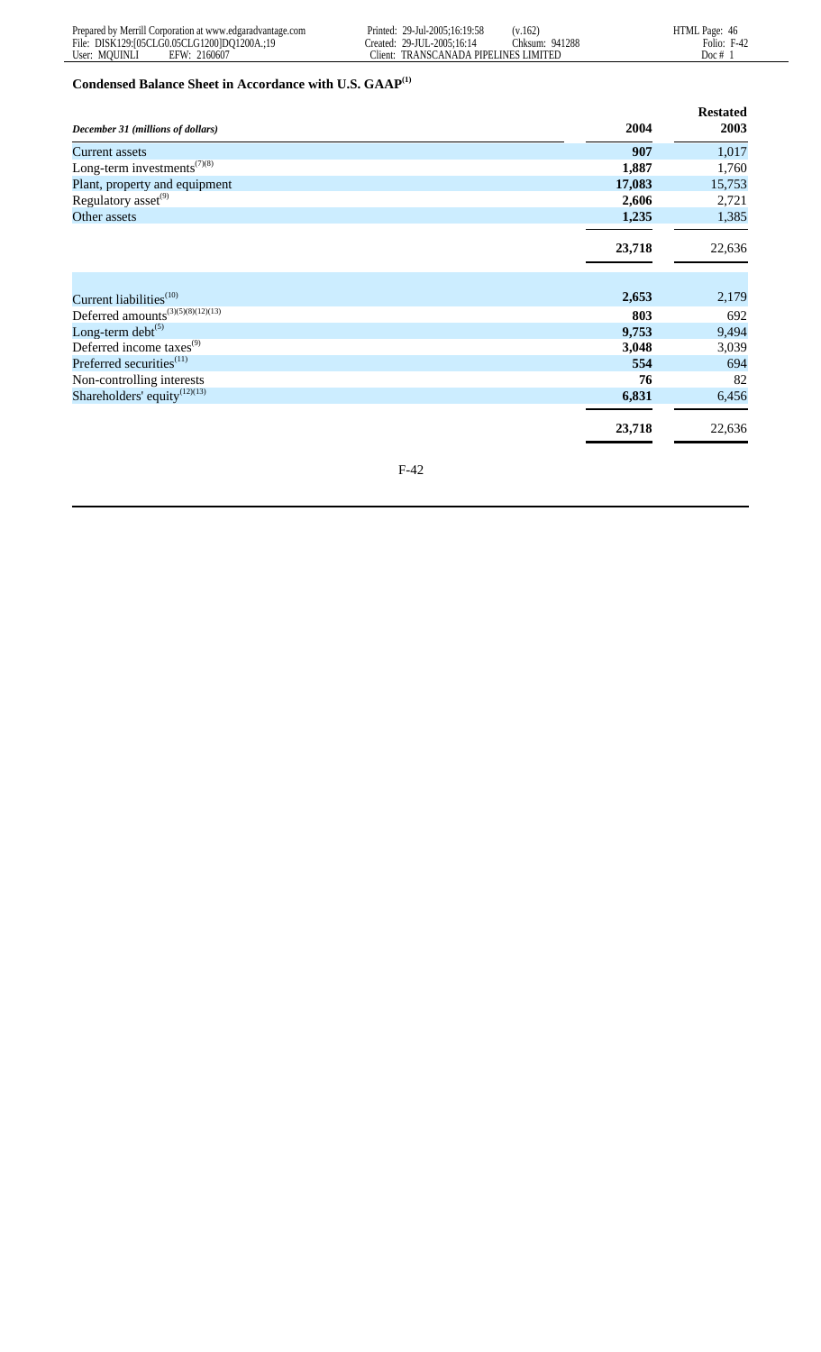# **Condensed Balance Sheet in Accordance with U.S. GAAP(1)**

|                                                       |        | <b>Restated</b> |
|-------------------------------------------------------|--------|-----------------|
| December 31 (millions of dollars)                     | 2004   | 2003            |
| <b>Current assets</b>                                 | 907    | 1,017           |
| Long-term investments <sup><math>(7)(8)</math></sup>  | 1,887  | 1,760           |
| Plant, property and equipment                         | 17,083 | 15,753          |
| Regulatory asset <sup>(9)</sup>                       | 2,606  | 2,721           |
| Other assets                                          | 1,235  | 1,385           |
|                                                       |        |                 |
|                                                       | 23,718 | 22,636          |
|                                                       |        |                 |
|                                                       |        |                 |
| Current liabilities <sup>(10)</sup>                   | 2,653  | 2,179           |
| Deferred amounts <sup>(3)(5)(8)(12)(13)</sup>         | 803    | 692             |
| Long-term debt $(5)$                                  | 9,753  | 9,494           |
| Deferred income taxes <sup>(9)</sup>                  | 3,048  | 3,039           |
| Preferred securities <sup>(11)</sup>                  | 554    | 694             |
| Non-controlling interests                             | 76     | 82              |
| Shareholders' equity <sup><math>(12)(13)</math></sup> | 6,831  | 6,456           |
|                                                       |        |                 |
|                                                       | 23,718 | 22,636          |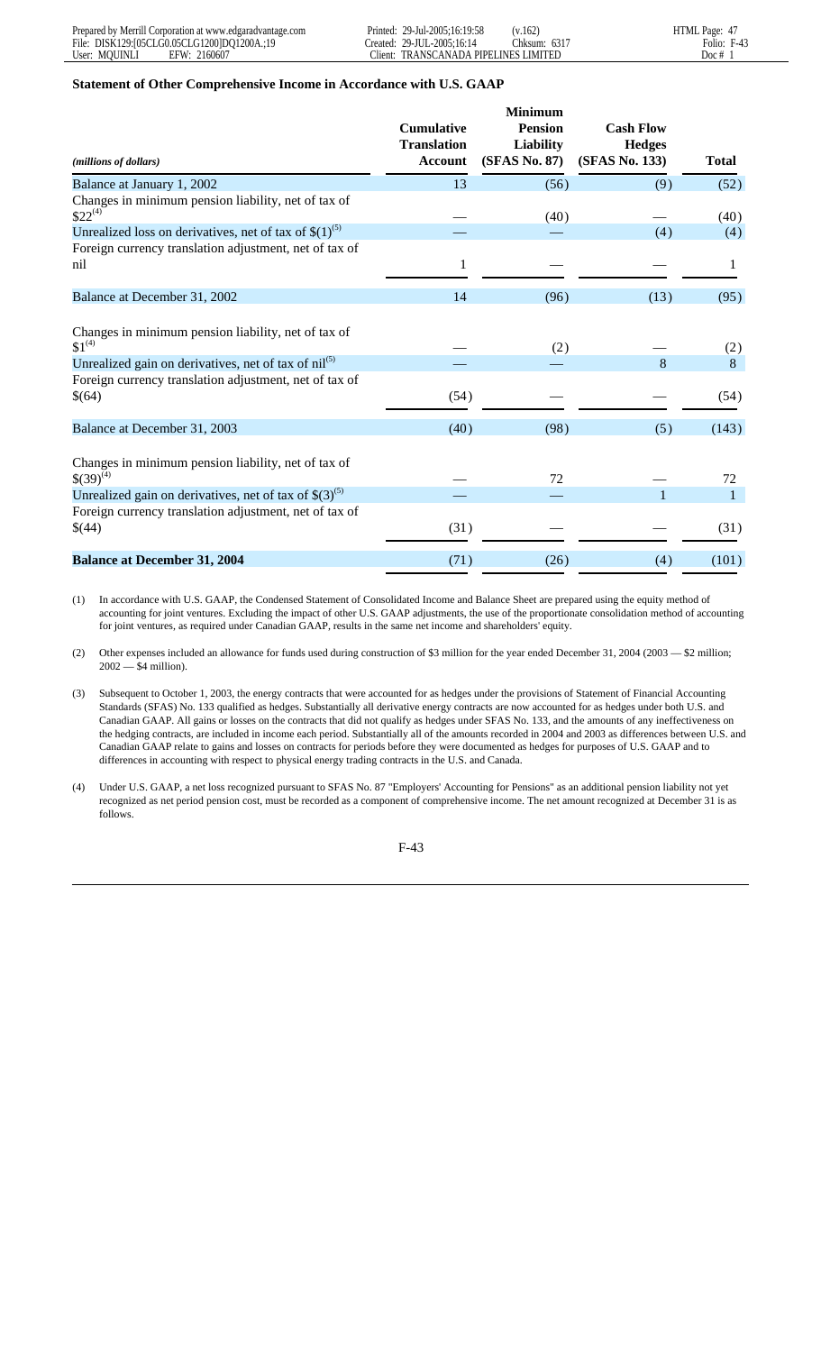#### **Statement of Other Comprehensive Income in Accordance with U.S. GAAP**

| (millions of dollars)                                                                                                                                                                                     | <b>Cumulative</b><br><b>Translation</b><br><b>Account</b> | <b>Minimum</b><br><b>Pension</b><br><b>Liability</b><br>(SFAS No. 87) | <b>Cash Flow</b><br><b>Hedges</b><br>(SFAS No. 133) | <b>Total</b>               |
|-----------------------------------------------------------------------------------------------------------------------------------------------------------------------------------------------------------|-----------------------------------------------------------|-----------------------------------------------------------------------|-----------------------------------------------------|----------------------------|
| Balance at January 1, 2002                                                                                                                                                                                | 13                                                        | (56)                                                                  | (9)                                                 | (52)                       |
| Changes in minimum pension liability, net of tax of<br>$$22^{(4)}$                                                                                                                                        |                                                           | (40)                                                                  |                                                     | (40)                       |
| Unrealized loss on derivatives, net of tax of $$(1)^{(5)}$                                                                                                                                                |                                                           |                                                                       | (4)                                                 | (4)                        |
| Foreign currency translation adjustment, net of tax of<br>nil                                                                                                                                             | $\mathbf{1}$                                              |                                                                       |                                                     | 1                          |
| Balance at December 31, 2002                                                                                                                                                                              | 14                                                        | (96)                                                                  | (13)                                                | (95)                       |
| Changes in minimum pension liability, net of tax of<br>$$1^{(4)}$<br>Unrealized gain on derivatives, net of tax of nil <sup>(5)</sup><br>Foreign currency translation adjustment, net of tax of<br>\$(64) | (54)                                                      | (2)                                                                   | 8                                                   | (2)<br>8<br>(54)           |
| Balance at December 31, 2003                                                                                                                                                                              | (40)                                                      | (98)                                                                  | (5)                                                 | (143)                      |
| Changes in minimum pension liability, net of tax of<br>$$(39)^{(4)}$<br>Unrealized gain on derivatives, net of tax of $$(3)^{(5)}$<br>Foreign currency translation adjustment, net of tax of<br>\$(44)    | (31)                                                      | 72                                                                    |                                                     | 72<br>$\mathbf{1}$<br>(31) |
| <b>Balance at December 31, 2004</b>                                                                                                                                                                       | (71)                                                      | (26)                                                                  | (4)                                                 | (101)                      |

(1) In accordance with U.S. GAAP, the Condensed Statement of Consolidated Income and Balance Sheet are prepared using the equity method of accounting for joint ventures. Excluding the impact of other U.S. GAAP adjustments, the use of the proportionate consolidation method of accounting for joint ventures, as required under Canadian GAAP, results in the same net income and shareholders' equity.

(2) Other expenses included an allowance for funds used during construction of \$3 million for the year ended December 31, 2004 (2003 — \$2 million; 2002 — \$4 million).

- (3) Subsequent to October 1, 2003, the energy contracts that were accounted for as hedges under the provisions of Statement of Financial Accounting Standards (SFAS) No. 133 qualified as hedges. Substantially all derivative energy contracts are now accounted for as hedges under both U.S. and Canadian GAAP. All gains or losses on the contracts that did not qualify as hedges under SFAS No. 133, and the amounts of any ineffectiveness on the hedging contracts, are included in income each period. Substantially all of the amounts recorded in 2004 and 2003 as differences between U.S. and Canadian GAAP relate to gains and losses on contracts for periods before they were documented as hedges for purposes of U.S. GAAP and to differences in accounting with respect to physical energy trading contracts in the U.S. and Canada.
- (4) Under U.S. GAAP, a net loss recognized pursuant to SFAS No. 87 "Employers' Accounting for Pensions" as an additional pension liability not yet recognized as net period pension cost, must be recorded as a component of comprehensive income. The net amount recognized at December 31 is as follows.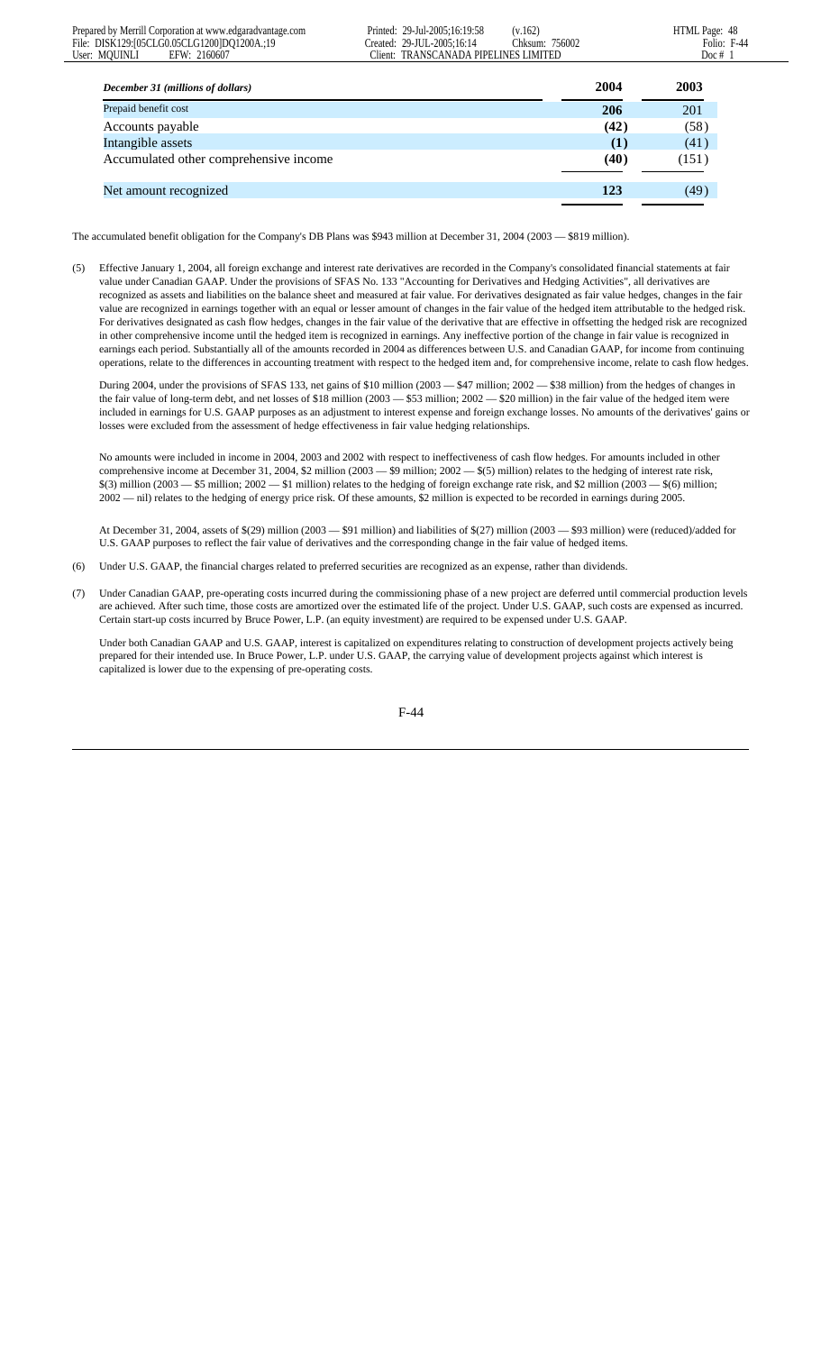| December 31 (millions of dollars)      | 2004 | 2003  |
|----------------------------------------|------|-------|
| Prepaid benefit cost                   | 206  | 201   |
| Accounts payable                       | (42) | (58)  |
| Intangible assets                      | (1)  | (41)  |
| Accumulated other comprehensive income | (40) | (151) |
| Net amount recognized                  | 123  | (49)  |
|                                        |      |       |

The accumulated benefit obligation for the Company's DB Plans was \$943 million at December 31, 2004 (2003 — \$819 million).

(5) Effective January 1, 2004, all foreign exchange and interest rate derivatives are recorded in the Company's consolidated financial statements at fair value under Canadian GAAP. Under the provisions of SFAS No. 133 "Accounting for Derivatives and Hedging Activities", all derivatives are recognized as assets and liabilities on the balance sheet and measured at fair value. For derivatives designated as fair value hedges, changes in the fair value are recognized in earnings together with an equal or lesser amount of changes in the fair value of the hedged item attributable to the hedged risk. For derivatives designated as cash flow hedges, changes in the fair value of the derivative that are effective in offsetting the hedged risk are recognized in other comprehensive income until the hedged item is recognized in earnings. Any ineffective portion of the change in fair value is recognized in earnings each period. Substantially all of the amounts recorded in 2004 as differences between U.S. and Canadian GAAP, for income from continuing operations, relate to the differences in accounting treatment with respect to the hedged item and, for comprehensive income, relate to cash flow hedges.

During 2004, under the provisions of SFAS 133, net gains of \$10 million (2003 — \$47 million; 2002 — \$38 million) from the hedges of changes in the fair value of long-term debt, and net losses of \$18 million  $(2003 - 553$  million;  $2002 - 820$  million) in the fair value of the hedged item were included in earnings for U.S. GAAP purposes as an adjustment to interest expense and foreign exchange losses. No amounts of the derivatives' gains or losses were excluded from the assessment of hedge effectiveness in fair value hedging relationships.

No amounts were included in income in 2004, 2003 and 2002 with respect to ineffectiveness of cash flow hedges. For amounts included in other comprehensive income at December 31, 2004, \$2 million (2003 — \$9 million; 2002 — \$(5) million) relates to the hedging of interest rate risk,  $$(3)$  million  $(2003 - $5)$  million;  $2002 - $1$  million) relates to the hedging of foreign exchange rate risk, and \$2 million  $(2003 - $6)$  million; 2002 — nil) relates to the hedging of energy price risk. Of these amounts, \$2 million is expected to be recorded in earnings during 2005.

At December 31, 2004, assets of \$(29) million (2003 — \$91 million) and liabilities of \$(27) million (2003 — \$93 million) were (reduced)/added for U.S. GAAP purposes to reflect the fair value of derivatives and the corresponding change in the fair value of hedged items.

- (6) Under U.S. GAAP, the financial charges related to preferred securities are recognized as an expense, rather than dividends.
- (7) Under Canadian GAAP, pre-operating costs incurred during the commissioning phase of a new project are deferred until commercial production levels are achieved. After such time, those costs are amortized over the estimated life of the project. Under U.S. GAAP, such costs are expensed as incurred. Certain start-up costs incurred by Bruce Power, L.P. (an equity investment) are required to be expensed under U.S. GAAP.

Under both Canadian GAAP and U.S. GAAP, interest is capitalized on expenditures relating to construction of development projects actively being prepared for their intended use. In Bruce Power, L.P. under U.S. GAAP, the carrying value of development projects against which interest is capitalized is lower due to the expensing of pre-operating costs.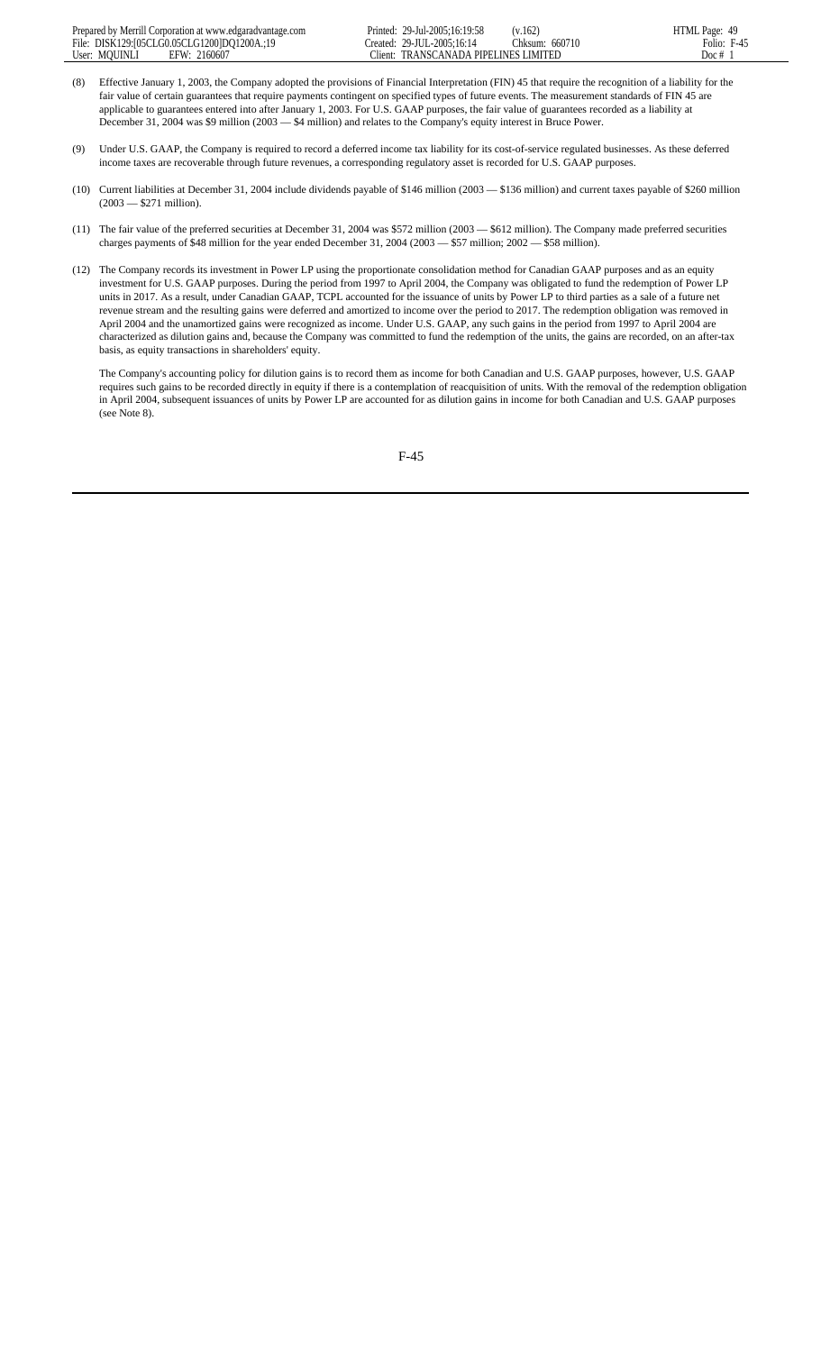- (8) Effective January 1, 2003, the Company adopted the provisions of Financial Interpretation (FIN) 45 that require the recognition of a liability for the fair value of certain guarantees that require payments contingent on specified types of future events. The measurement standards of FIN 45 are applicable to guarantees entered into after January 1, 2003. For U.S. GAAP purposes, the fair value of guarantees recorded as a liability at December 31, 2004 was \$9 million (2003 — \$4 million) and relates to the Company's equity interest in Bruce Power.
- (9) Under U.S. GAAP, the Company is required to record a deferred income tax liability for its cost-of-service regulated businesses. As these deferred income taxes are recoverable through future revenues, a corresponding regulatory asset is recorded for U.S. GAAP purposes.
- (10) Current liabilities at December 31, 2004 include dividends payable of \$146 million (2003 \$136 million) and current taxes payable of \$260 million (2003 — \$271 million).
- (11) The fair value of the preferred securities at December 31, 2004 was \$572 million (2003 \$612 million). The Company made preferred securities charges payments of \$48 million for the year ended December 31, 2004 (2003 — \$57 million; 2002 — \$58 million).
- (12) The Company records its investment in Power LP using the proportionate consolidation method for Canadian GAAP purposes and as an equity investment for U.S. GAAP purposes. During the period from 1997 to April 2004, the Company was obligated to fund the redemption of Power LP units in 2017. As a result, under Canadian GAAP, TCPL accounted for the issuance of units by Power LP to third parties as a sale of a future net revenue stream and the resulting gains were deferred and amortized to income over the period to 2017. The redemption obligation was removed in April 2004 and the unamortized gains were recognized as income. Under U.S. GAAP, any such gains in the period from 1997 to April 2004 are characterized as dilution gains and, because the Company was committed to fund the redemption of the units, the gains are recorded, on an after-tax basis, as equity transactions in shareholders' equity.

The Company's accounting policy for dilution gains is to record them as income for both Canadian and U.S. GAAP purposes, however, U.S. GAAP requires such gains to be recorded directly in equity if there is a contemplation of reacquisition of units. With the removal of the redemption obligation in April 2004, subsequent issuances of units by Power LP are accounted for as dilution gains in income for both Canadian and U.S. GAAP purposes (see Note 8).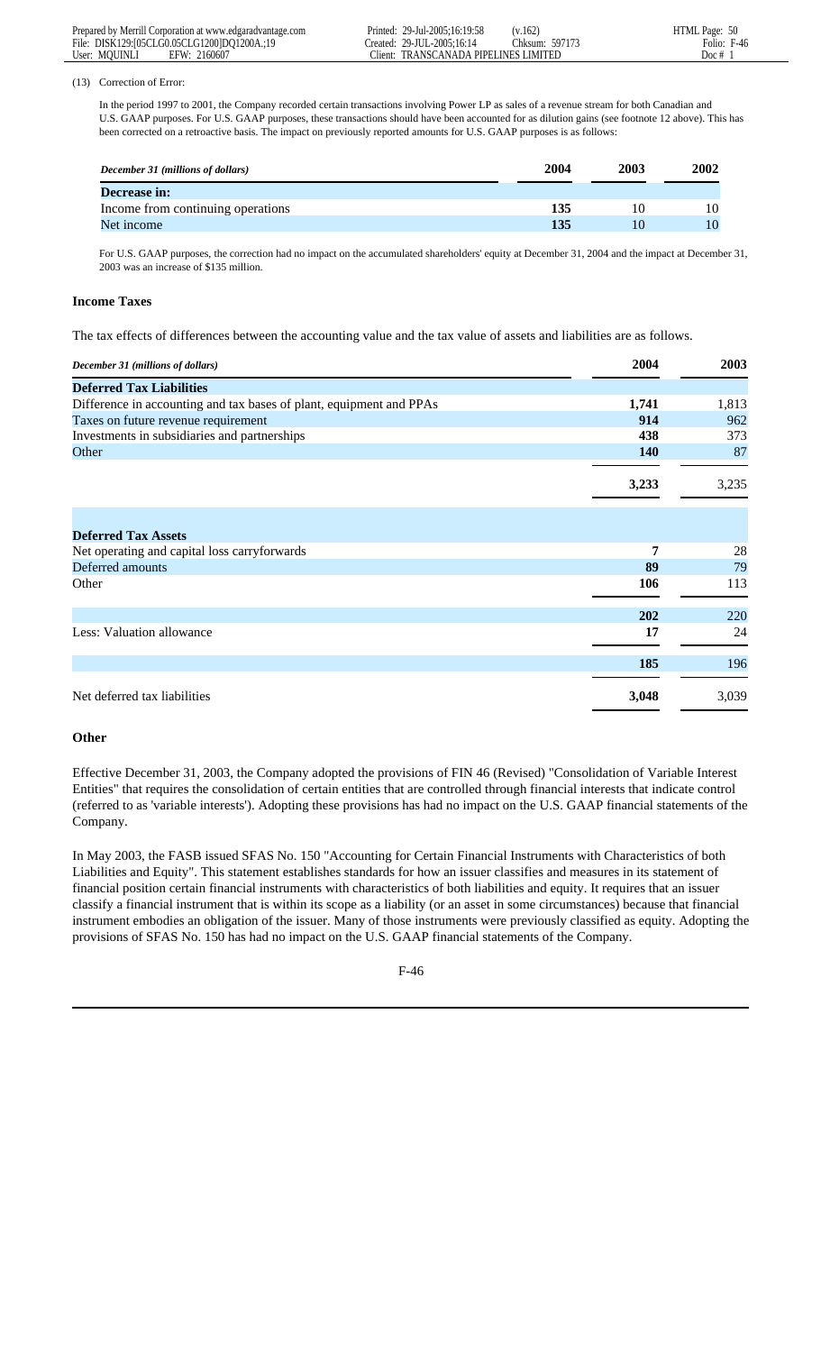#### (13) Correction of Error:

In the period 1997 to 2001, the Company recorded certain transactions involving Power LP as sales of a revenue stream for both Canadian and U.S. GAAP purposes. For U.S. GAAP purposes, these transactions should have been accounted for as dilution gains (see footnote 12 above). This has been corrected on a retroactive basis. The impact on previously reported amounts for U.S. GAAP purposes is as follows:

| December 31 (millions of dollars) | 2004 | 2003 | 2002 |
|-----------------------------------|------|------|------|
| <b>Decrease in:</b>               |      |      |      |
| Income from continuing operations | 135  |      | 10   |
| Net income                        | 135  |      | 10   |

For U.S. GAAP purposes, the correction had no impact on the accumulated shareholders' equity at December 31, 2004 and the impact at December 31, 2003 was an increase of \$135 million.

#### **Income Taxes**

The tax effects of differences between the accounting value and the tax value of assets and liabilities are as follows.

| December 31 (millions of dollars)                                   | 2004       | 2003       |
|---------------------------------------------------------------------|------------|------------|
| <b>Deferred Tax Liabilities</b>                                     |            |            |
| Difference in accounting and tax bases of plant, equipment and PPAs | 1,741      | 1,813      |
| Taxes on future revenue requirement                                 | 914        | 962        |
| Investments in subsidiaries and partnerships                        | 438        | 373        |
| Other                                                               | <b>140</b> | 87         |
|                                                                     | 3,233      | 3,235      |
| <b>Deferred Tax Assets</b>                                          |            |            |
| Net operating and capital loss carryforwards                        | 7          | 28         |
| Deferred amounts                                                    | 89         | 79         |
| Other                                                               | 106        | 113        |
|                                                                     | 202        | <b>220</b> |
| Less: Valuation allowance                                           | 17         | 24         |
|                                                                     | 185        | 196        |
| Net deferred tax liabilities                                        | 3,048      | 3,039      |

#### **Other**

Effective December 31, 2003, the Company adopted the provisions of FIN 46 (Revised) "Consolidation of Variable Interest Entities" that requires the consolidation of certain entities that are controlled through financial interests that indicate control (referred to as 'variable interests'). Adopting these provisions has had no impact on the U.S. GAAP financial statements of the Company.

In May 2003, the FASB issued SFAS No. 150 "Accounting for Certain Financial Instruments with Characteristics of both Liabilities and Equity". This statement establishes standards for how an issuer classifies and measures in its statement of financial position certain financial instruments with characteristics of both liabilities and equity. It requires that an issuer classify a financial instrument that is within its scope as a liability (or an asset in some circumstances) because that financial instrument embodies an obligation of the issuer. Many of those instruments were previously classified as equity. Adopting the provisions of SFAS No. 150 has had no impact on the U.S. GAAP financial statements of the Company.